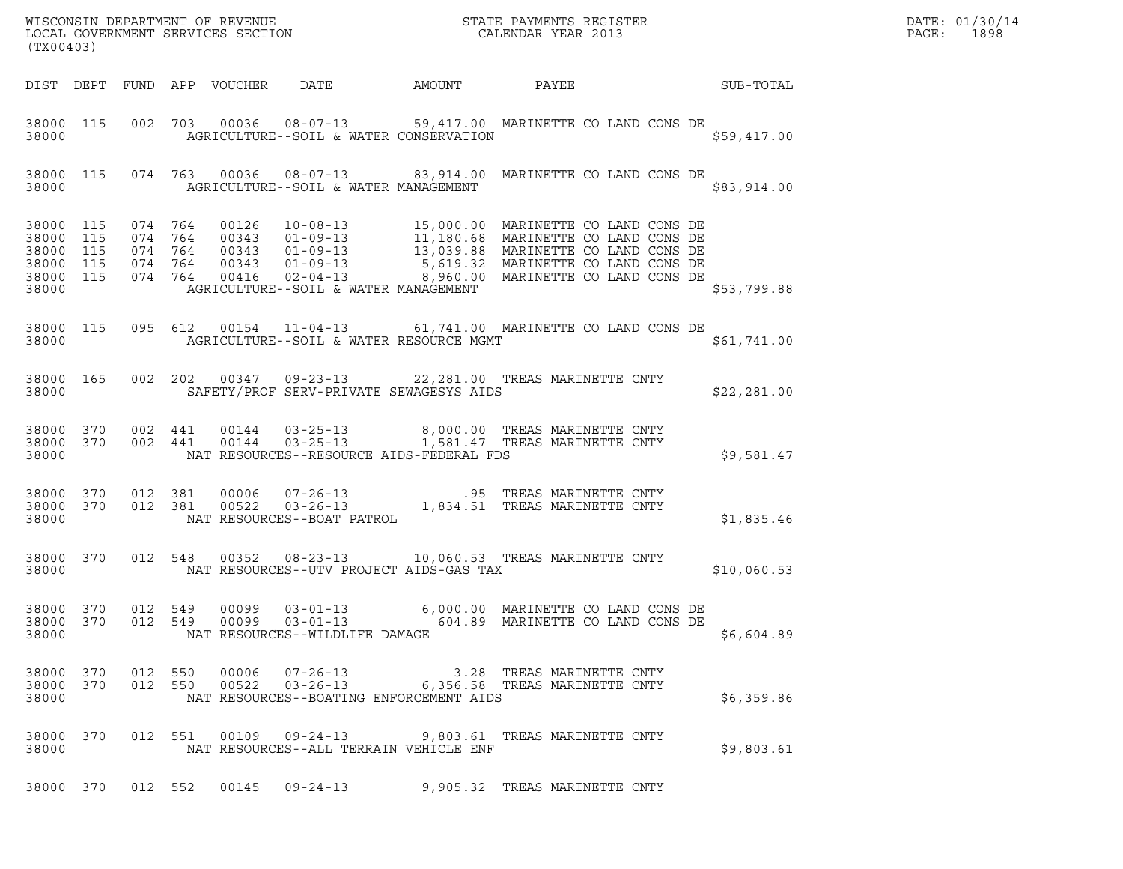| (TX00403) |                                                               |         |         |                                                  | WISCONSIN DEPARTMENT OF REVENUE ${\tiny\begin{array}{ll} \text{5TATE} \end{array}} {\tiny\begin{array}{ll} \text{5TATE} \end{array}} {\tiny\begin{array}{ll} \text{2013} \\ \text{2014} \end{array}}$                                   |  | DATE: 01/30/14<br>$\mathtt{PAGE:}$<br>1898 |  |
|-----------|---------------------------------------------------------------|---------|---------|--------------------------------------------------|-----------------------------------------------------------------------------------------------------------------------------------------------------------------------------------------------------------------------------------------|--|--------------------------------------------|--|
|           |                                                               |         |         | DIST DEPT FUND APP VOUCHER DATE AMOUNT           | PAYEE                                                                                                                                                                                                                                   |  | SUB-TOTAL                                  |  |
| 38000     | 38000 115                                                     |         |         | AGRICULTURE--SOIL & WATER CONSERVATION           | 002 703 00036 08-07-13 59,417.00 MARINETTE CO LAND CONS DE                                                                                                                                                                              |  | \$59,417.00                                |  |
|           |                                                               |         |         | 38000 AGRICULTURE--SOIL & WATER MANAGEMENT       | 38000 115 074 763 00036 08-07-13 83,914.00 MARINETTE CO LAND CONS DE                                                                                                                                                                    |  | \$83,914.00                                |  |
| 38000     | 38000 115<br>38000 115<br>38000 115<br>38000 115<br>38000 115 |         |         | AGRICULTURE--SOIL & WATER MANAGEMENT             | 074 764 00126 10-08-13 15,000.00 MARINETTE CO LAND CONS DE<br>074 764 00343 01-09-13 11,180.68 MARINETTE CO LAND CONS DE<br>074 764 00343 01-09-13 13,039.88 MARINETTE CO LAND CONS DE<br>074 764 00416 02-04-13,039.89 MARINETTE CO LA |  | \$53,799.88                                |  |
| 38000     | 38000 115                                                     |         |         |                                                  | 095 612 00154 11-04-13 61,741.00 MARINETTE CO LAND CONS DE<br>AGRICULTURE--SOIL & WATER RESOURCE MGMT                                                                                                                                   |  | \$61,741.00                                |  |
| 38000     | 38000 165                                                     |         |         |                                                  | 002 202 00347 09-23-13 22,281.00 TREAS MARINETTE CNTY<br>SAFETY/PROF SERV-PRIVATE SEWAGESYS AIDS                                                                                                                                        |  | \$22,281.00                                |  |
| 38000     | 38000 370<br>38000 370                                        |         |         | NAT RESOURCES--RESOURCE AIDS-FEDERAL FDS         | 002 441 00144 03-25-13 8,000.00 TREAS MARINETTE CNTY<br>002 441 00144 03-25-13 1,581.47 TREAS MARINETTE CNTY                                                                                                                            |  | \$9,581.47                                 |  |
| 38000     | 38000 370<br>38000 370                                        |         |         | NAT RESOURCES--BOAT PATROL                       | 012 381 00006 07-26-13 .95 TREAS MARINETTE CNTY<br>012 381 00522 03-26-13 1,834.51 TREAS MARINETTE CNTY                                                                                                                                 |  | \$1,835.46                                 |  |
| 38000     | 38000 370                                                     |         | 012 548 | NAT RESOURCES--UTV PROJECT AIDS-GAS TAX          | 00352  08-23-13  10,060.53  TREAS MARINETTE CNTY                                                                                                                                                                                        |  | \$10,060.53                                |  |
| 38000     | 38000 370 012 549<br>38000 370                                |         |         | 00099 03-01-13<br>NAT RESOURCES--WILDLIFE DAMAGE | 6,000.00 MARINETTE CO LAND CONS DE<br>012 549 00099 03-01-13 604.89 MARINETTE CO LAND CONS DE                                                                                                                                           |  | \$6,604.89                                 |  |
| 38000     | 38000 370<br>38000 370                                        | 012 550 |         | NAT RESOURCES--BOATING ENFORCEMENT AIDS          | 012 550 00006 07-26-13 3.28 TREAS MARINETTE CNTY<br>012 550 00522 03-26-13 6,356.58 TREAS MARINETTE CNTY                                                                                                                                |  | \$6,359.86                                 |  |
| 38000     | 38000 370                                                     |         |         | NAT RESOURCES--ALL TERRAIN VEHICLE ENF           | 012 551 00109 09-24-13 9,803.61 TREAS MARINETTE CNTY                                                                                                                                                                                    |  | \$9,803.61                                 |  |
|           |                                                               |         |         | 38000 370 012 552 00145 09-24-13                 | 9,905.32 TREAS MARINETTE CNTY                                                                                                                                                                                                           |  |                                            |  |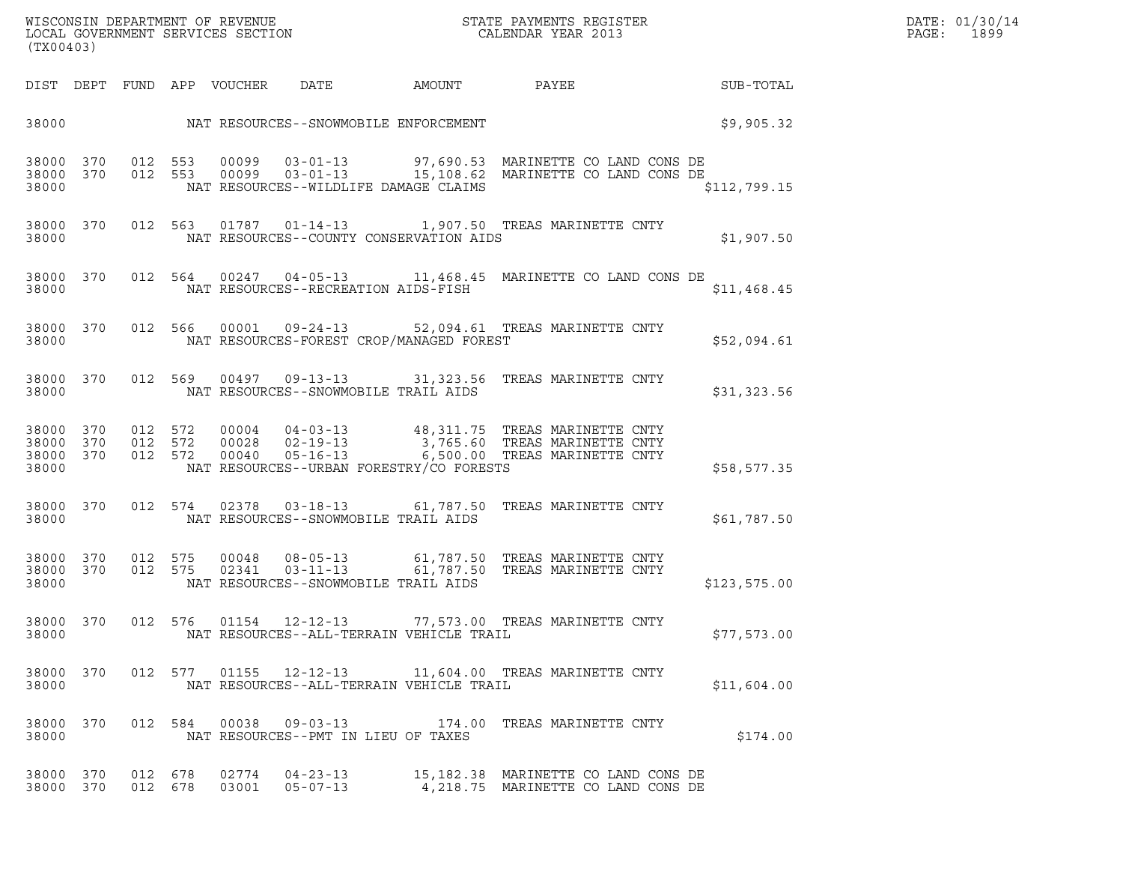| DATE: | 01/30/14 |
|-------|----------|
| PAGE: | 1899     |

| (TX00403)                                    |  |                    | % WISCONSIN DEPARTMENT OF REVENUE $$\tt STATE$ PAYMENTS REGISTER LOCAL GOVERNMENT SERVICES SECTION $$\tt CALENDAR$ YEAR 2013 |                                      | DATE: 01/30/14<br>$\mathtt{PAGE:}$<br>1899  |                                                                                                                                                                       |                 |  |
|----------------------------------------------|--|--------------------|------------------------------------------------------------------------------------------------------------------------------|--------------------------------------|---------------------------------------------|-----------------------------------------------------------------------------------------------------------------------------------------------------------------------|-----------------|--|
|                                              |  |                    | DIST DEPT FUND APP VOUCHER DATE                                                                                              |                                      | AMOUNT                                      |                                                                                                                                                                       | PAYEE SUB-TOTAL |  |
|                                              |  |                    |                                                                                                                              |                                      | 38000 NAT RESOURCES--SNOWMOBILE ENFORCEMENT |                                                                                                                                                                       | \$9,905.32      |  |
| 38000 370<br>38000 370<br>38000              |  |                    |                                                                                                                              |                                      | NAT RESOURCES--WILDLIFE DAMAGE CLAIMS       | 012 553 00099 03-01-13 97,690.53 MARINETTE COLAND CONS DE<br>012 553 00099 03-01-13 15,108.62 MARINETTE COLAND CONS DE                                                | \$112,799.15    |  |
| 38000                                        |  |                    |                                                                                                                              |                                      | NAT RESOURCES--COUNTY CONSERVATION AIDS     | 38000 370 012 563 01787 01-14-13 1,907.50 TREAS MARINETTE CNTY                                                                                                        | \$1,907.50      |  |
| 38000                                        |  |                    |                                                                                                                              | NAT RESOURCES--RECREATION AIDS-FISH  |                                             | 38000 370 012 564 00247 04-05-13 11,468.45 MARINETTE CO LAND CONS DE                                                                                                  | \$11,468.45     |  |
| 38000                                        |  |                    |                                                                                                                              |                                      | NAT RESOURCES-FOREST CROP/MANAGED FOREST    | 38000 370 012 566 00001 09-24-13 52,094.61 TREAS MARINETTE CNTY                                                                                                       | \$52,094.61     |  |
| 38000 370<br>38000                           |  |                    |                                                                                                                              |                                      | NAT RESOURCES--SNOWMOBILE TRAIL AIDS        | 012 569 00497 09-13-13 31,323.56 TREAS MARINETTE CNTY                                                                                                                 | \$31,323.56     |  |
| 38000 370<br>38000 370<br>38000 370<br>38000 |  |                    |                                                                                                                              |                                      | NAT RESOURCES--URBAN FORESTRY/CO FORESTS    | 012 572 00004 04-03-13 48,311.75 TREAS MARINETTE CNTY<br>012 572 00028 02-19-13 3,765.60 TREAS MARINETTE CNTY<br>012 572 00040 05-16-13 6,500.00 TREAS MARINETTE CNTY | \$58,577.35     |  |
| 38000 370<br>38000                           |  |                    |                                                                                                                              |                                      | NAT RESOURCES--SNOWMOBILE TRAIL AIDS        | 012 574 02378 03-18-13 61,787.50 TREAS MARINETTE CNTY                                                                                                                 | \$61,787.50     |  |
| 38000 370<br>38000 370<br>38000              |  | 012 575<br>012 575 |                                                                                                                              |                                      | NAT RESOURCES--SNOWMOBILE TRAIL AIDS        | 00048  08-05-13  61,787.50  TREAS MARINETTE CNTY<br>02341  03-11-13  61,787.50  TREAS MARINETTE CNTY                                                                  | \$123,575.00    |  |
| 38000 370<br>38000                           |  |                    |                                                                                                                              |                                      | NAT RESOURCES--ALL-TERRAIN VEHICLE TRAIL    | 012 576 01154 12-12-13 77,573.00 TREAS MARINETTE CNTY                                                                                                                 | \$77,573.00     |  |
| 38000 370<br>38000                           |  |                    |                                                                                                                              |                                      | NAT RESOURCES--ALL-TERRAIN VEHICLE TRAIL    | 012 577 01155 12-12-13 11,604.00 TREAS MARINETTE CNTY                                                                                                                 | \$11,604.00     |  |
| 38000 370<br>38000                           |  |                    |                                                                                                                              | NAT RESOURCES--PMT IN LIEU OF TAXES  |                                             | 012 584 00038 09-03-13 174.00 TREAS MARINETTE CNTY                                                                                                                    | \$174.00        |  |
| 38000 370<br>38000 370                       |  | 012 678<br>012 678 |                                                                                                                              | $02774$ $04-23-13$<br>03001 05-07-13 |                                             | 15,182.38 MARINETTE CO LAND CONS DE<br>4,218.75 MARINETTE CO LAND CONS DE                                                                                             |                 |  |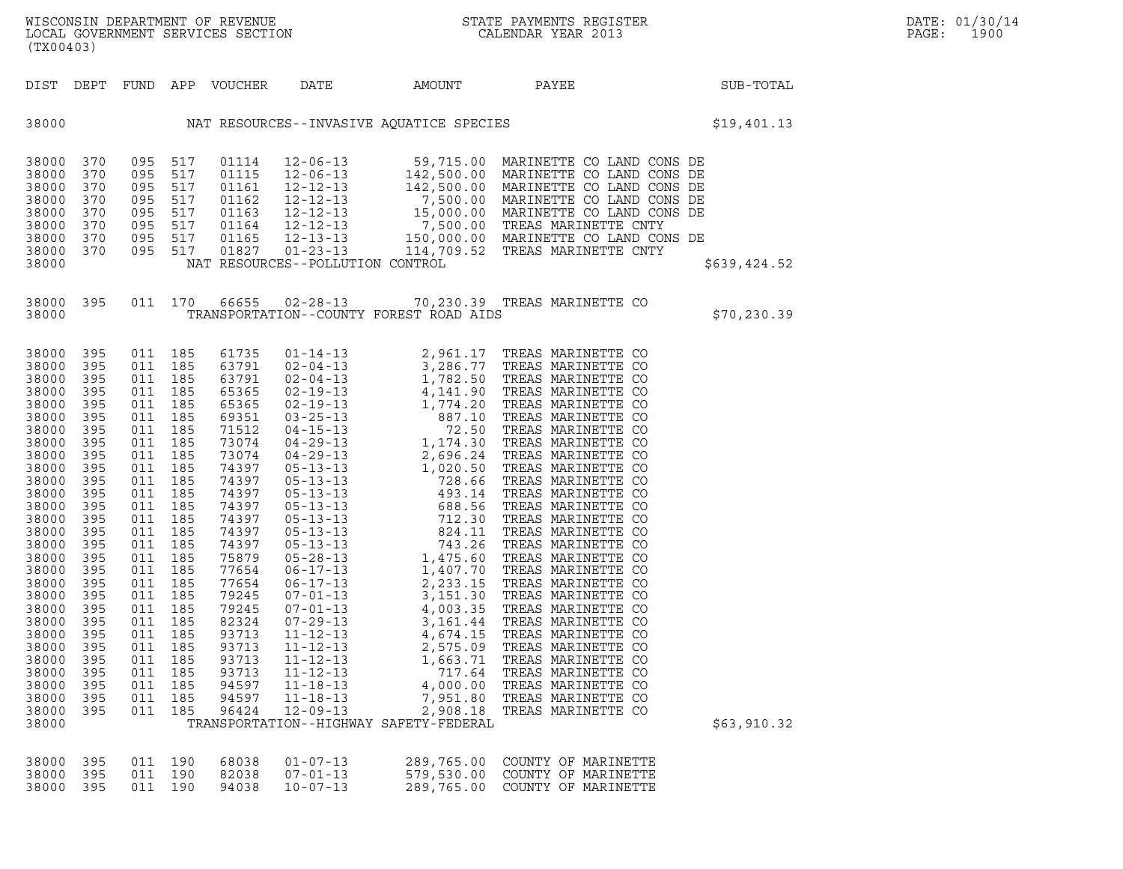| (TX00403)                                                                                                                                                                                                                                                                  |                                                                                                                                                                                                         |                                                                                                                                                                                                         |                                                                                                                                                                                                         |                                                                                                                                                                                                                                                                   |                                                    |                                                                            |                                                                                                                                                                                                                                                                                                                                                                                   |              |
|----------------------------------------------------------------------------------------------------------------------------------------------------------------------------------------------------------------------------------------------------------------------------|---------------------------------------------------------------------------------------------------------------------------------------------------------------------------------------------------------|---------------------------------------------------------------------------------------------------------------------------------------------------------------------------------------------------------|---------------------------------------------------------------------------------------------------------------------------------------------------------------------------------------------------------|-------------------------------------------------------------------------------------------------------------------------------------------------------------------------------------------------------------------------------------------------------------------|----------------------------------------------------|----------------------------------------------------------------------------|-----------------------------------------------------------------------------------------------------------------------------------------------------------------------------------------------------------------------------------------------------------------------------------------------------------------------------------------------------------------------------------|--------------|
| DIST                                                                                                                                                                                                                                                                       | DEPT                                                                                                                                                                                                    | <b>FUND</b>                                                                                                                                                                                             | APP                                                                                                                                                                                                     | VOUCHER                                                                                                                                                                                                                                                           | DATE                                               | AMOUNT                                                                     | PAYEE                                                                                                                                                                                                                                                                                                                                                                             | SUB-TOTAL    |
| 38000                                                                                                                                                                                                                                                                      |                                                                                                                                                                                                         |                                                                                                                                                                                                         |                                                                                                                                                                                                         |                                                                                                                                                                                                                                                                   |                                                    |                                                                            | NAT RESOURCES--INVASIVE AQUATICE SPECIES                                                                                                                                                                                                                                                                                                                                          | \$19,401.13  |
| 38000<br>38000<br>38000<br>38000<br>38000<br>38000<br>38000<br>38000<br>38000                                                                                                                                                                                              | 370<br>370<br>370<br>370<br>370<br>370<br>370<br>370                                                                                                                                                    | 095<br>095<br>095<br>095<br>095<br>095<br>095<br>095                                                                                                                                                    | 517<br>517<br>517<br>517<br>517<br>517<br>517<br>517                                                                                                                                                    | 01114<br>01115<br>01161<br>01162<br>01163<br>01164<br>01165<br>01827                                                                                                                                                                                              | NAT RESOURCES--POLLUTION CONTROL                   |                                                                            | $\begin{tabular}{l l l l l} $12-06-13$ & $59,715.00$ {MARINETTE CO LAND CONS DE} \\ $12-06-13$ & $142,500.00$ {MARINETTE CO LAND CONS DE} \\ $12-12-13$ & $142,500.00$ {MARINETTE CO LAND CONS DE} \\ $12-12-13$ & $7,500.00$ {MARINETTE CO LAND CONS DE} \\ $12-12-13$ & $15,000.00$ {MARINETTE CO LAND CONS DE} \\ $12-12-13$ & $7,500.00$ {MARINETTE CO LAND CONS DE} \\ $12-$ | \$639,424.52 |
| 38000<br>38000                                                                                                                                                                                                                                                             | 395                                                                                                                                                                                                     | 011                                                                                                                                                                                                     | 170                                                                                                                                                                                                     | 66655                                                                                                                                                                                                                                                             | $02 - 28 - 13$                                     | TRANSPORTATION--COUNTY FOREST ROAD AIDS                                    | 70,230.39 TREAS MARINETTE CO                                                                                                                                                                                                                                                                                                                                                      | \$70, 230.39 |
| 38000<br>38000<br>38000<br>38000<br>38000<br>38000<br>38000<br>38000<br>38000<br>38000<br>38000<br>38000<br>38000<br>38000<br>38000<br>38000<br>38000<br>38000<br>38000<br>38000<br>38000<br>38000<br>38000<br>38000<br>38000<br>38000<br>38000<br>38000<br>38000<br>38000 | 395<br>395<br>395<br>395<br>395<br>395<br>395<br>395<br>395<br>395<br>395<br>395<br>395<br>395<br>395<br>395<br>395<br>395<br>395<br>395<br>395<br>395<br>395<br>395<br>395<br>395<br>395<br>395<br>395 | 011<br>011<br>011<br>011<br>011<br>011<br>011<br>011<br>011<br>011<br>011<br>011<br>011<br>011<br>011<br>011<br>011<br>011<br>011<br>011<br>011<br>011<br>011<br>011<br>011<br>011<br>011<br>011<br>011 | 185<br>185<br>185<br>185<br>185<br>185<br>185<br>185<br>185<br>185<br>185<br>185<br>185<br>185<br>185<br>185<br>185<br>185<br>185<br>185<br>185<br>185<br>185<br>185<br>185<br>185<br>185<br>185<br>185 | 61735<br>63791<br>63791<br>65365<br>65365<br>69351<br>71512<br>73074<br>73074<br>74397<br>74397<br>74397<br>74397<br>74397<br>74397<br>74397<br>75879<br>77654<br>77654<br>79245<br>79245<br>82324<br>93713<br>93713<br>93713<br>93713<br>94597<br>94597<br>96424 | $11 - 18 - 13$<br>$11 - 18 - 13$<br>$12 - 09 - 13$ | 4,000.00<br>7,951.80<br>2,908.18<br>TRANSPORTATION--HIGHWAY SAFETY-FEDERAL | TREAS MARINETTE CO<br>TREAS MARINETTE CO<br>TREAS MARINETTE CO                                                                                                                                                                                                                                                                                                                    | \$63,910.32  |
| 38000<br>38000<br>38000 395                                                                                                                                                                                                                                                | 395<br>395                                                                                                                                                                                              | 011<br>011<br>011                                                                                                                                                                                       | 190<br>190<br>190                                                                                                                                                                                       | 68038<br>82038<br>94038                                                                                                                                                                                                                                           | $01 - 07 - 13$<br>$07 - 01 - 13$<br>$10 - 07 - 13$ | 289,765.00<br>579,530.00<br>289,765.00                                     | COUNTY OF MARINETTE<br>COUNTY OF MARINETTE<br>COUNTY OF MARINETTE                                                                                                                                                                                                                                                                                                                 |              |

|  |  | 38000 395 011 190 68038 01-07-13 | 289,765.00 COUNTY OF MARINETTE |  |
|--|--|----------------------------------|--------------------------------|--|
|  |  | 38000 395 011 190 82038 07-01-13 | 579,530.00 COUNTY OF MARINETTE |  |
|  |  | 38000 395 011 190 94038 10-07-13 | 289,765.00 COUNTY OF MARINETTE |  |
|  |  |                                  |                                |  |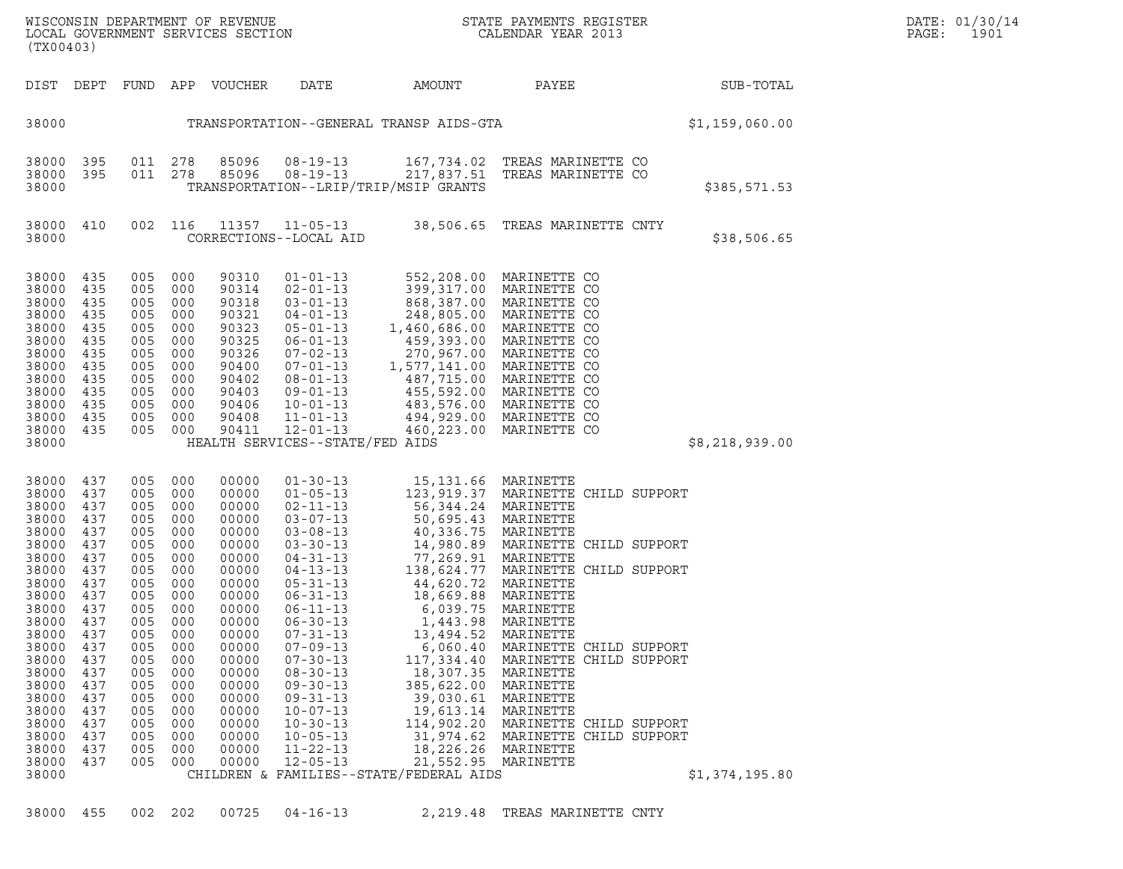| (TX00403)                                                                                                                                                                                                            |                                                                                                                                                               |                                                                                                                                                               |                                                                                                                                                               |                                                                                                                                                                                                             | WISCONSIN DEPARTMENT OF REVENUE<br>LOCAL GOVERNMENT SERVICES SECTION                                                                                                                                                                                                                                                                                                                                                       |                                                                                                                                                                                                                                                                                                                                                                       | STATE PAYMENTS REGISTER<br>CALENDAR YEAR 2013                                                                                                                                                                                                                                                                                                                                                               |  | DATE: 01/30/14<br>PAGE:<br>1901 |  |
|----------------------------------------------------------------------------------------------------------------------------------------------------------------------------------------------------------------------|---------------------------------------------------------------------------------------------------------------------------------------------------------------|---------------------------------------------------------------------------------------------------------------------------------------------------------------|---------------------------------------------------------------------------------------------------------------------------------------------------------------|-------------------------------------------------------------------------------------------------------------------------------------------------------------------------------------------------------------|----------------------------------------------------------------------------------------------------------------------------------------------------------------------------------------------------------------------------------------------------------------------------------------------------------------------------------------------------------------------------------------------------------------------------|-----------------------------------------------------------------------------------------------------------------------------------------------------------------------------------------------------------------------------------------------------------------------------------------------------------------------------------------------------------------------|-------------------------------------------------------------------------------------------------------------------------------------------------------------------------------------------------------------------------------------------------------------------------------------------------------------------------------------------------------------------------------------------------------------|--|---------------------------------|--|
| DIST DEPT                                                                                                                                                                                                            |                                                                                                                                                               |                                                                                                                                                               |                                                                                                                                                               | FUND APP VOUCHER                                                                                                                                                                                            | DATE                                                                                                                                                                                                                                                                                                                                                                                                                       | AMOUNT                                                                                                                                                                                                                                                                                                                                                                | PAYEE                                                                                                                                                                                                                                                                                                                                                                                                       |  | SUB-TOTAL                       |  |
| 38000                                                                                                                                                                                                                | TRANSPORTATION--GENERAL TRANSP AIDS-GTA                                                                                                                       |                                                                                                                                                               |                                                                                                                                                               |                                                                                                                                                                                                             |                                                                                                                                                                                                                                                                                                                                                                                                                            |                                                                                                                                                                                                                                                                                                                                                                       |                                                                                                                                                                                                                                                                                                                                                                                                             |  | \$1,159,060.00                  |  |
| 38000<br>38000 395<br>38000                                                                                                                                                                                          | 395                                                                                                                                                           |                                                                                                                                                               | 011 278<br>011 278                                                                                                                                            | 85096<br>85096                                                                                                                                                                                              | $08 - 19 - 13$<br>$08 - 19 - 13$                                                                                                                                                                                                                                                                                                                                                                                           | TRANSPORTATION--LRIP/TRIP/MSIP GRANTS                                                                                                                                                                                                                                                                                                                                 | 167,734.02 TREAS MARINETTE CO<br>217,837.51 TREAS MARINETTE CO                                                                                                                                                                                                                                                                                                                                              |  | \$385,571.53                    |  |
| 38000 410<br>38000                                                                                                                                                                                                   |                                                                                                                                                               |                                                                                                                                                               | 002 116                                                                                                                                                       |                                                                                                                                                                                                             | 11357 11-05-13<br>CORRECTIONS--LOCAL AID                                                                                                                                                                                                                                                                                                                                                                                   |                                                                                                                                                                                                                                                                                                                                                                       | 38,506.65 TREAS MARINETTE CNTY                                                                                                                                                                                                                                                                                                                                                                              |  | \$38,506.65                     |  |
| 38000<br>38000<br>38000<br>38000<br>38000<br>38000<br>38000<br>38000<br>38000<br>38000<br>38000<br>38000<br>38000<br>38000                                                                                           | 435<br>435<br>435<br>435<br>435<br>435<br>435<br>435<br>435<br>435<br>435<br>435<br>435                                                                       | 005<br>005<br>005<br>005<br>005<br>005<br>005<br>005<br>005<br>005<br>005<br>005<br>005                                                                       | 000<br>000<br>000<br>000<br>000<br>000<br>000<br>000<br>000<br>000<br>000<br>000<br>000                                                                       | 90310<br>90314<br>90318<br>90321<br>90323<br>90325<br>90326<br>90400<br>90402<br>90403<br>90406<br>90408<br>90411                                                                                           | $01 - 01 - 13$<br>$02 - 01 - 13$<br>$03 - 01 - 13$<br>$04 - 01 - 13$<br>$05 - 01 - 13$<br>$12 - 01 - 13$<br>HEALTH SERVICES--STATE/FED AIDS                                                                                                                                                                                                                                                                                | $\frac{1}{2}$<br>248,805.00<br>1,460,686.00 MARINETTE CO<br>06-01-13<br>07-02-13<br>07-02-13<br>07-01-13<br>1,577,141.00<br>08-01-13<br>1,577,141.00<br>08-01-13<br>487,715.00<br>MARINETTE CO<br>09-01-13<br>485,592.00<br>MARINETTE CO<br>09-01-13<br>485,592.00<br>MARINETTE CO<br>10-01-13<br>483,576.00<br>MARINETTE CO<br><br>460,223.00                        | 552,208.00 MARINETTE CO<br>399,317.00 MARINETTE CO<br>868,387.00 MARINETTE CO<br>MARINETTE CO<br>MARINETTE CO                                                                                                                                                                                                                                                                                               |  | \$8,218,939.00                  |  |
| 38000<br>38000<br>38000<br>38000<br>38000<br>38000<br>38000<br>38000<br>38000<br>38000<br>38000<br>38000<br>38000<br>38000<br>38000<br>38000<br>38000<br>38000<br>38000<br>38000<br>38000<br>38000<br>38000<br>38000 | 437<br>437<br>437<br>437<br>437<br>437<br>437<br>437<br>437<br>437<br>437<br>437<br>437<br>437<br>437<br>437<br>437<br>437<br>437<br>437<br>437<br>437<br>437 | 005<br>005<br>005<br>005<br>005<br>005<br>005<br>005<br>005<br>005<br>005<br>005<br>005<br>005<br>005<br>005<br>005<br>005<br>005<br>005<br>005<br>005<br>005 | 000<br>000<br>000<br>000<br>000<br>000<br>000<br>000<br>000<br>000<br>000<br>000<br>000<br>000<br>000<br>000<br>000<br>000<br>000<br>000<br>000<br>000<br>000 | 00000<br>00000<br>00000<br>00000<br>00000<br>00000<br>00000<br>00000<br>00000<br>00000<br>00000<br>00000<br>00000<br>00000<br>00000<br>00000<br>00000<br>00000<br>00000<br>00000<br>00000<br>00000<br>00000 | $01 - 30 - 13$<br>$01 - 05 - 13$<br>$02 - 11 - 13$<br>$03 - 07 - 13$<br>$03 - 08 - 13$<br>$03 - 30 - 13$<br>$04 - 31 - 13$<br>$04 - 13 - 13$<br>$05 - 31 - 13$<br>$06 - 31 - 13$<br>$06 - 11 - 13$<br>$06 - 30 - 13$<br>$07 - 31 - 13$<br>$07 - 09 - 13$<br>$07 - 30 - 13$<br>$08 - 30 - 13$<br>$09 - 30 - 13$<br>$09 - 31 - 13$<br>$10 - 07 - 13$<br>$10 - 30 - 13$<br>$10 - 05 - 13$<br>$11 - 22 - 13$<br>$12 - 05 - 13$ | 15,131.66 MARINETTE<br>123,919.37 MARINETTE<br>56,344.24 MARINETTE<br>50,695.43 MARINETTE<br>40,336.75 MARINETTE<br>18,669.88 MARINETTE<br>6,039.75<br>1,443.98<br>13,494.52<br>6,060.40<br>117,334.40<br>18,307.35<br>385,622.00<br>39,030.61<br>19,613.14<br>114,902.20<br>31,974.62<br>18,226.26<br>21,552.95 MARINETTE<br>CHILDREN & FAMILIES--STATE/FEDERAL AIDS | 123,919.37 MARINETTE CHILD SUPPORT<br>40, 336.75 MARINETTE<br>14, 980.89 MARINETTE CHILD SUPPORT<br>77, 269.91 MARINETTE<br>138, 624.77 MARINETTE CHILD SUPPORT<br>44, 620.72 MARINETTE<br>MARINETTE<br>MARINETTE<br>MARINETTE<br>MARINETTE CHILD SUPPORT<br>MARINETTE CHILD SUPPORT<br>MARINETTE<br>MARINETTE<br>MARINETTE<br>MARINETTE<br>MARINETTE CHILD SUPPORT<br>MARINETTE CHILD SUPPORT<br>MARINETTE |  | \$1,374,195.80                  |  |

38000 455 002 202 00725 04-16-13 2,219.48 TREAS MARINETTE CNTY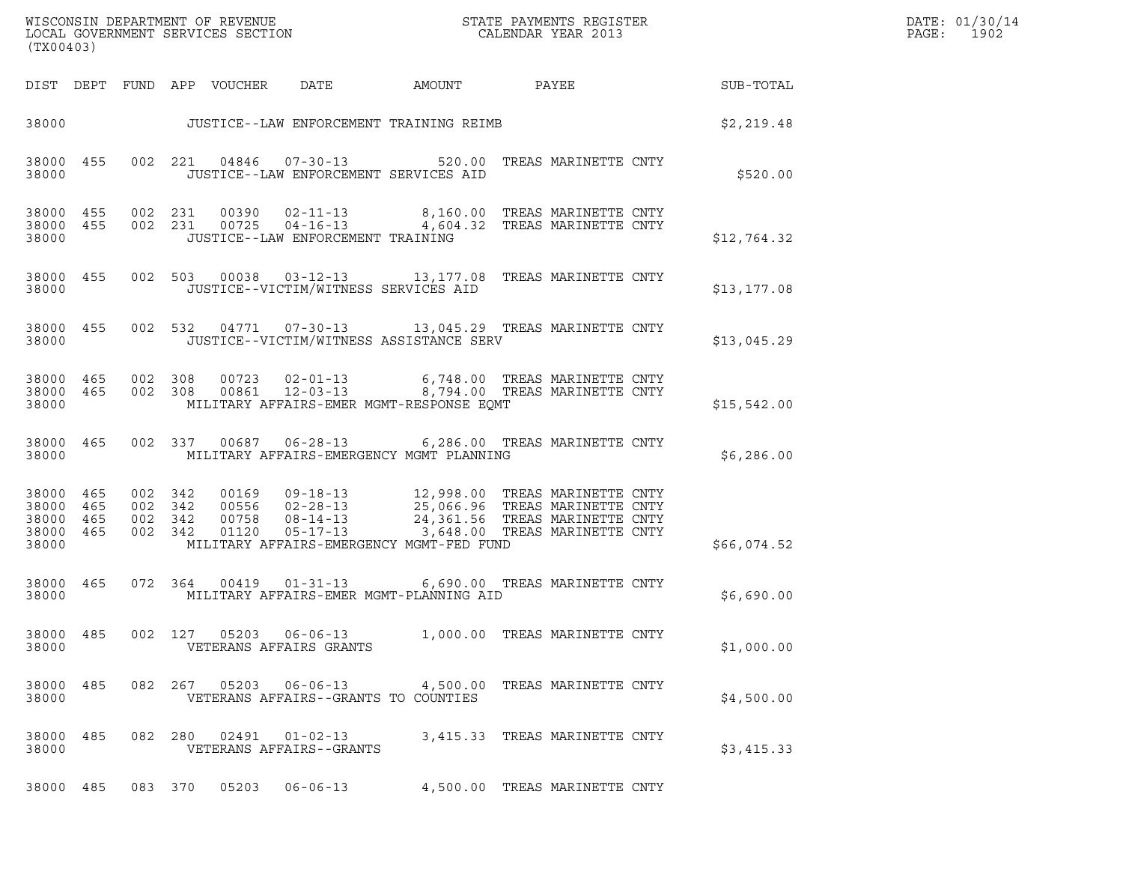| (TX00403)                                             |     |                                          |         |                            |                                                  | ${\tt WISCO} {\tt NSM} {\tt NEMR} {\tt NEMR} {\tt NEMR} {\tt NEMR} {\tt NEMR} {\tt NEMR} {\tt NEMR} {\tt NEMR} {\tt NEMR} {\tt NEMR} {\tt NEMR} {\tt NEMR} {\tt NEMR} {\tt NEMR} {\tt NEMR} {\tt NEMR} {\tt NEMR} {\tt NEMR} {\tt NEMR} {\tt NEMR} {\tt NEMR} {\tt NEMR} {\tt NEMR} {\tt NEMR} {\tt NEMR} {\tt NEMR} {\tt NEMR} {\tt NEMR} {\tt NEMR} {\tt NEMR} {\tt NEMR} {\tt NEMR} {\tt NEMR} {\tt NEMR} {\tt NEMR}$ |                               |  | DATE: 01/30/14<br>PAGE: 1902 |  |
|-------------------------------------------------------|-----|------------------------------------------|---------|----------------------------|--------------------------------------------------|--------------------------------------------------------------------------------------------------------------------------------------------------------------------------------------------------------------------------------------------------------------------------------------------------------------------------------------------------------------------------------------------------------------------------|-------------------------------|--|------------------------------|--|
|                                                       |     |                                          |         | DIST DEPT FUND APP VOUCHER | DATE                                             | AMOUNT                                                                                                                                                                                                                                                                                                                                                                                                                   | PAYEE                         |  | SUB-TOTAL                    |  |
|                                                       |     |                                          |         |                            |                                                  | 38000 JUSTICE--LAW ENFORCEMENT TRAINING REIMB                                                                                                                                                                                                                                                                                                                                                                            |                               |  | \$2,219.48                   |  |
| 38000 455<br>38000                                    |     |                                          |         |                            |                                                  | 002 221 04846 07-30-13 520.00 TREAS MARINETTE CNTY<br>JUSTICE--LAW ENFORCEMENT SERVICES AID                                                                                                                                                                                                                                                                                                                              |                               |  | \$520.00                     |  |
| 38000 455<br>38000 455<br>38000                       |     |                                          |         |                            | JUSTICE--LAW ENFORCEMENT TRAINING                | 002 231 00390 02-11-13 8,160.00 TREAS MARINETTE CNTY<br>002 231 00725 04-16-13 4,604.32 TREAS MARINETTE CNTY                                                                                                                                                                                                                                                                                                             |                               |  | \$12,764.32                  |  |
| 38000 455<br>38000                                    |     |                                          |         |                            | JUSTICE--VICTIM/WITNESS SERVICES AID             | 002 503 00038 03-12-13 13,177.08 TREAS MARINETTE CNTY                                                                                                                                                                                                                                                                                                                                                                    |                               |  | \$13, 177.08                 |  |
| 38000 455<br>38000                                    |     |                                          |         |                            |                                                  | 002 532 04771 07-30-13 13,045.29 TREAS MARINETTE CNTY<br>JUSTICE--VICTIM/WITNESS ASSISTANCE SERV                                                                                                                                                                                                                                                                                                                         |                               |  | \$13,045.29                  |  |
| 38000 465 002 308<br>38000 465<br>38000               |     |                                          |         |                            |                                                  | 002 308 00723 02-01-13 6,748.00 TREAS MARINETTE CNTY<br>002 308 00861 12-03-13 8,794.00 TREAS MARINETTE CNTY<br>MILITARY AFFAIRS-EMER MGMT-RESPONSE EQMT                                                                                                                                                                                                                                                                 |                               |  | \$15,542.00                  |  |
| 38000 465<br>38000                                    |     |                                          |         |                            |                                                  | 002 337 00687 06-28-13 6,286.00 TREAS MARINETTE CNTY<br>MILITARY AFFAIRS-EMERGENCY MGMT PLANNING                                                                                                                                                                                                                                                                                                                         |                               |  | \$6,286.00                   |  |
| 38000 465<br>38000 465<br>38000<br>38000 465<br>38000 | 465 | 002 342<br>002 342<br>002 342<br>002 342 |         | 01120                      |                                                  | 00169  09-18-13  12,998.00 TREAS MARINETTE CNTY<br>00556  02-28-13  25,066.96 TREAS MARINETTE CNTY<br>00758  08-14-13  24,361.56 TREAS MARINETTE CNTY<br>05-17-13 3,648.00 TREAS MARINETTE CNTY<br>MILITARY AFFAIRS-EMERGENCY MGMT-FED FUND                                                                                                                                                                              |                               |  | \$66,074.52                  |  |
| 38000 465<br>38000                                    |     |                                          |         |                            |                                                  | 072  364  00419  01-31-13  6,690.00  TREAS MARINETTE CNTY<br>MILITARY AFFAIRS-EMER MGMT-PLANNING AID                                                                                                                                                                                                                                                                                                                     |                               |  | \$6,690.00                   |  |
| 38000 485<br>38000                                    |     |                                          | 002 127 | 05203                      | 06-06-13<br>VETERANS AFFAIRS GRANTS              | 1,000.00 TREAS MARINETTE CNTY                                                                                                                                                                                                                                                                                                                                                                                            |                               |  | \$1,000.00                   |  |
| 38000 485<br>38000                                    |     |                                          | 082 267 | 05203                      | 06-06-13<br>VETERANS AFFAIRS--GRANTS TO COUNTIES | 4,500.00 TREAS MARINETTE CNTY                                                                                                                                                                                                                                                                                                                                                                                            |                               |  | \$4,500.00                   |  |
| 38000 485<br>38000                                    |     |                                          | 082 280 | 02491                      | $01 - 02 - 13$<br>VETERANS AFFAIRS--GRANTS       |                                                                                                                                                                                                                                                                                                                                                                                                                          | 3,415.33 TREAS MARINETTE CNTY |  | \$3,415.33                   |  |
| 38000 485                                             |     |                                          | 083 370 | 05203                      | 06-06-13                                         |                                                                                                                                                                                                                                                                                                                                                                                                                          | 4,500.00 TREAS MARINETTE CNTY |  |                              |  |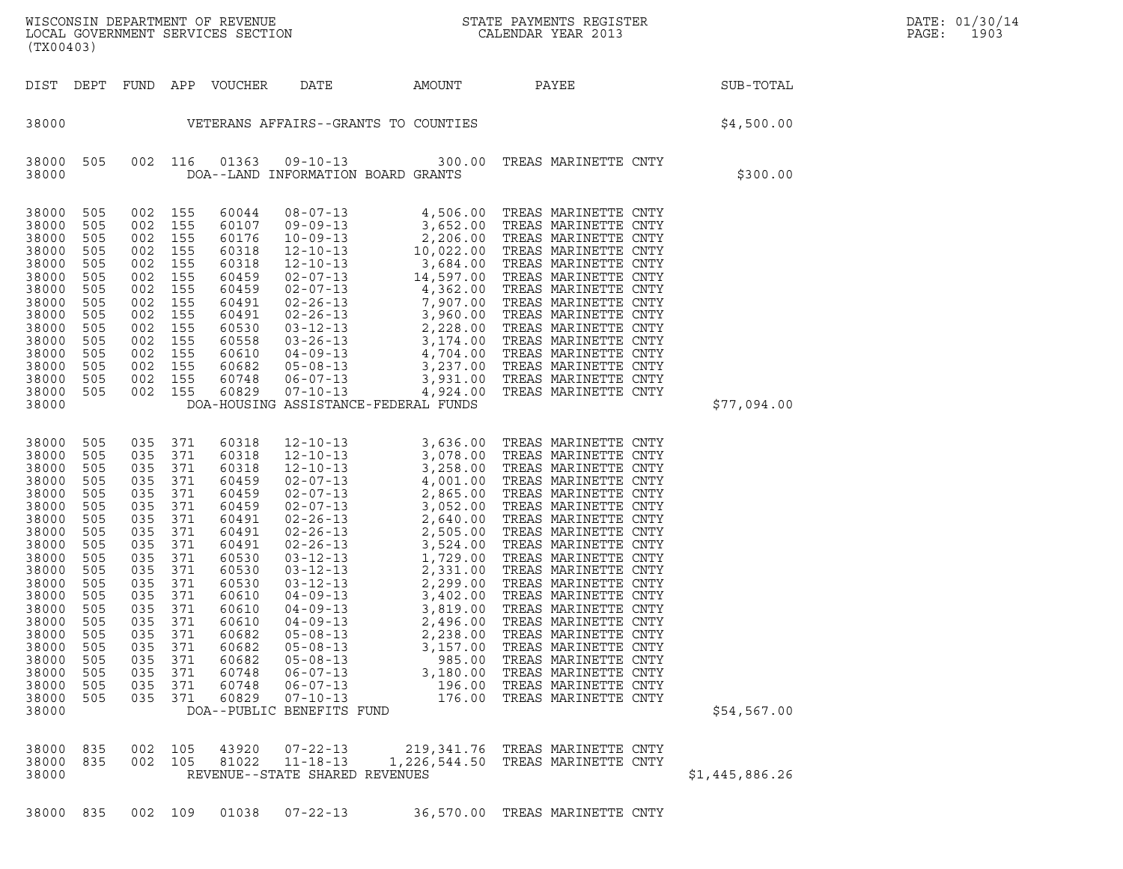|  |  | 38000 835 002 109 01038 07-22-13 | 36,570.00 TREAS MARINETTE CNTY |  |  |
|--|--|----------------------------------|--------------------------------|--|--|
|  |  |                                  |                                |  |  |

| 38000                   |            |         |               | DOA--PUBLIC BENEFITS FUND                                    |                                                                      | \$54,567.00    |
|-------------------------|------------|---------|---------------|--------------------------------------------------------------|----------------------------------------------------------------------|----------------|
| 38000<br>38000<br>38000 | 835<br>835 | 002 105 | 002 105 43920 | 07-22-13<br>81022 11-18-13<br>REVENUE--STATE SHARED REVENUES | 219,341.76 TREAS MARINETTE CNTY<br>1,226,544.50 TREAS MARINETTE CNTY | \$1,445,886.26 |
| 38000                   | 835        | 002 109 | 01038         | $07 - 22 - 13$                                               | 36,570.00 TREAS MARINETTE CNTY                                       |                |

| 38000                                                                                                                                                                                              |                                                                                                                                                 |                                                                                                                                                 |                                                                                                                                                 |                                                                                                                                                                                           | DOA-HOUSING ASSISTANCE-FEDERAL FUNDS                                                                                                                                                                                                                                                                                                                          |                                                                      |                                                                                                                                                                                                                                                                                                                                                                                                                                                                                                                                                                                                                                                    | \$77,094.00 |
|----------------------------------------------------------------------------------------------------------------------------------------------------------------------------------------------------|-------------------------------------------------------------------------------------------------------------------------------------------------|-------------------------------------------------------------------------------------------------------------------------------------------------|-------------------------------------------------------------------------------------------------------------------------------------------------|-------------------------------------------------------------------------------------------------------------------------------------------------------------------------------------------|---------------------------------------------------------------------------------------------------------------------------------------------------------------------------------------------------------------------------------------------------------------------------------------------------------------------------------------------------------------|----------------------------------------------------------------------|----------------------------------------------------------------------------------------------------------------------------------------------------------------------------------------------------------------------------------------------------------------------------------------------------------------------------------------------------------------------------------------------------------------------------------------------------------------------------------------------------------------------------------------------------------------------------------------------------------------------------------------------------|-------------|
| 38000<br>38000<br>38000<br>38000<br>38000<br>38000<br>38000<br>38000<br>38000<br>38000<br>38000<br>38000<br>38000<br>38000<br>38000<br>38000<br>38000<br>38000<br>38000<br>38000<br>38000<br>38000 | 505<br>505<br>505<br>505<br>505<br>505<br>505<br>505<br>505<br>505<br>505<br>505<br>505<br>505<br>505<br>505<br>505<br>505<br>505<br>505<br>505 | 035<br>035<br>035<br>035<br>035<br>035<br>035<br>035<br>035<br>035<br>035<br>035<br>035<br>035<br>035<br>035<br>035<br>035<br>035<br>035<br>035 | 371<br>371<br>371<br>371<br>371<br>371<br>371<br>371<br>371<br>371<br>371<br>371<br>371<br>371<br>371<br>371<br>371<br>371<br>371<br>371<br>371 | 60318<br>60318<br>60318<br>60459<br>60459<br>60459<br>60491<br>60491<br>60491<br>60530<br>60530<br>60530<br>60610<br>60610<br>60610<br>60682<br>60682<br>60682<br>60748<br>60748<br>60829 | $12 - 10 - 13$<br>$12 - 10 - 13$<br>12-10-13<br>$02 - 07 - 13$<br>02-07-13<br>$02 - 07 - 13$<br>02-26-13<br>02-26-13<br>$02 - 26 - 13$<br>03-12-13<br>$03 - 12 - 13$<br>$03 - 12 - 13$<br>$04 - 09 - 13$<br>$05 - 08 - 13$<br>05-08-13 3,157.00<br>05-08-13 985.00<br>$06 - 07 - 13$<br>06-07-13 196.00<br>$07 - 10 - 13$ 176.00<br>DOA--PUBLIC BENEFITS FUND | 3,636.00<br>2,865.00<br>2,640.00<br>2,299.00<br>3,819.00<br>3,180.00 | TREAS MARINETTE CNTY<br>3,078.00 TREAS MARINETTE CNTY<br>3,258.00 TREAS MARINETTE CNTY<br>4,001.00 TREAS MARINETTE CNTY<br>TREAS MARINETTE CNTY<br>3,052.00 TREAS MARINETTE CNTY<br>TREAS MARINETTE CNTY<br>2,505.00 TREAS MARINETTE CNTY<br>3,524.00 TREAS MARINETTE CNTY<br>1,729.00 TREAS MARINETTE CNTY<br>2,331.00 TREAS MARINETTE CNTY<br>TREAS MARINETTE CNTY<br>04-09-13 3,402.00 TREAS MARINETTE CNTY<br>TREAS MARINETTE CNTY<br>04-09-13 2,496.00 TREAS MARINETTE CNTY<br>2,238.00 TREAS MARINETTE CNTY<br>3,157.00 TREAS MARINETTE CNTY<br>TREAS MARINETTE CNTY<br>TREAS MARINETTE CNTY<br>TREAS MARINETTE CNTY<br>TREAS MARINETTE CNTY | \$54,567.00 |
|                                                                                                                                                                                                    |                                                                                                                                                 |                                                                                                                                                 |                                                                                                                                                 |                                                                                                                                                                                           |                                                                                                                                                                                                                                                                                                                                                               |                                                                      |                                                                                                                                                                                                                                                                                                                                                                                                                                                                                                                                                                                                                                                    |             |

| 38000 | 505 | 002 116 |     | 01363     | $09 - 10 - 13$ | 300.00                               | TREAS MARINETTE CNTY |      |             |
|-------|-----|---------|-----|-----------|----------------|--------------------------------------|----------------------|------|-------------|
| 38000 |     |         |     | DOA--LAND |                | INFORMATION BOARD GRANTS             |                      |      | \$300.00    |
|       |     |         |     |           |                |                                      |                      |      |             |
| 38000 | 505 | 002     | 155 | 60044     | $08 - 07 - 13$ | 4,506.00                             | TREAS MARINETTE CNTY |      |             |
| 38000 | 505 | 002     | 155 | 60107     | $09 - 09 - 13$ | 3,652.00                             | TREAS MARINETTE CNTY |      |             |
| 38000 | 505 | 002     | 155 | 60176     | $10 - 09 - 13$ | 2,206.00                             | TREAS MARINETTE      | CNTY |             |
| 38000 | 505 | 002     | 155 | 60318     | $12 - 10 - 13$ | 10,022.00                            | TREAS MARINETTE      | CNTY |             |
| 38000 | 505 | 002     | 155 | 60318     | $12 - 10 - 13$ | 3,684.00                             | TREAS MARINETTE CNTY |      |             |
| 38000 | 505 | 002     | 155 | 60459     | 02-07-13       | 14,597.00                            | TREAS MARINETTE CNTY |      |             |
| 38000 | 505 | 002     | 155 | 60459     | 02-07-13       | 4,362.00                             | TREAS MARINETTE      | CNTY |             |
| 38000 | 505 | 002     | 155 | 60491     | $02 - 26 - 13$ | 7,907.00                             | TREAS MARINETTE CNTY |      |             |
| 38000 | 505 | 002     | 155 | 60491     | $02 - 26 - 13$ | 3,960.00                             | TREAS MARINETTE CNTY |      |             |
| 38000 | 505 | 002     | 155 | 60530     | 03-12-13       | 2,228.00                             | TREAS MARINETTE      | CNTY |             |
| 38000 | 505 | 002     | 155 | 60558     | $03 - 26 - 13$ | 3,174.00                             | TREAS MARINETTE CNTY |      |             |
| 38000 | 505 | 002     | 155 | 60610     | $04 - 09 - 13$ | 4,704.00                             | TREAS MARINETTE CNTY |      |             |
| 38000 | 505 | 002     | 155 | 60682     | 05-08-13       | 3,237.00                             | TREAS MARINETTE      | CNTY |             |
| 38000 | 505 | 002     | 155 | 60748     | 06-07-13       | 3,931.00                             | TREAS MARINETTE CNTY |      |             |
| 38000 | 505 | 002     | 155 | 60829     | $07 - 10 - 13$ | 4,924.00                             | TREAS MARINETTE CNTY |      |             |
| 38000 |     |         |     |           |                | DOA-HOUSING ASSISTANCE-FEDERAL FUNDS |                      |      | \$77,094.00 |
|       |     |         |     |           |                |                                      |                      |      |             |

DIST DEPT FUND APP VOUCHER DATE AMOUNT PAYEE SUB-TOTAL

(TX00403)

WISCONSIN DEPARTMENT OF REVENUE<br>LOCAL GOVERNMENT SERVICES SECTION STATE PAYMENTS REGISTER SECONDER STATE PASSES OF SAMENTS REGISTER<br>DOCAL GOVERNMENT SERVICES SECTION SECONDER SERVICES SECONDAR VEAR 2013 WISCONSIN DEPARTMENT OF REVENUE<br>LOCAL GOVERNMENT SERVICES SECTION PARA PROPERTY CALENDAR YEAR 2013<br>(TX00403)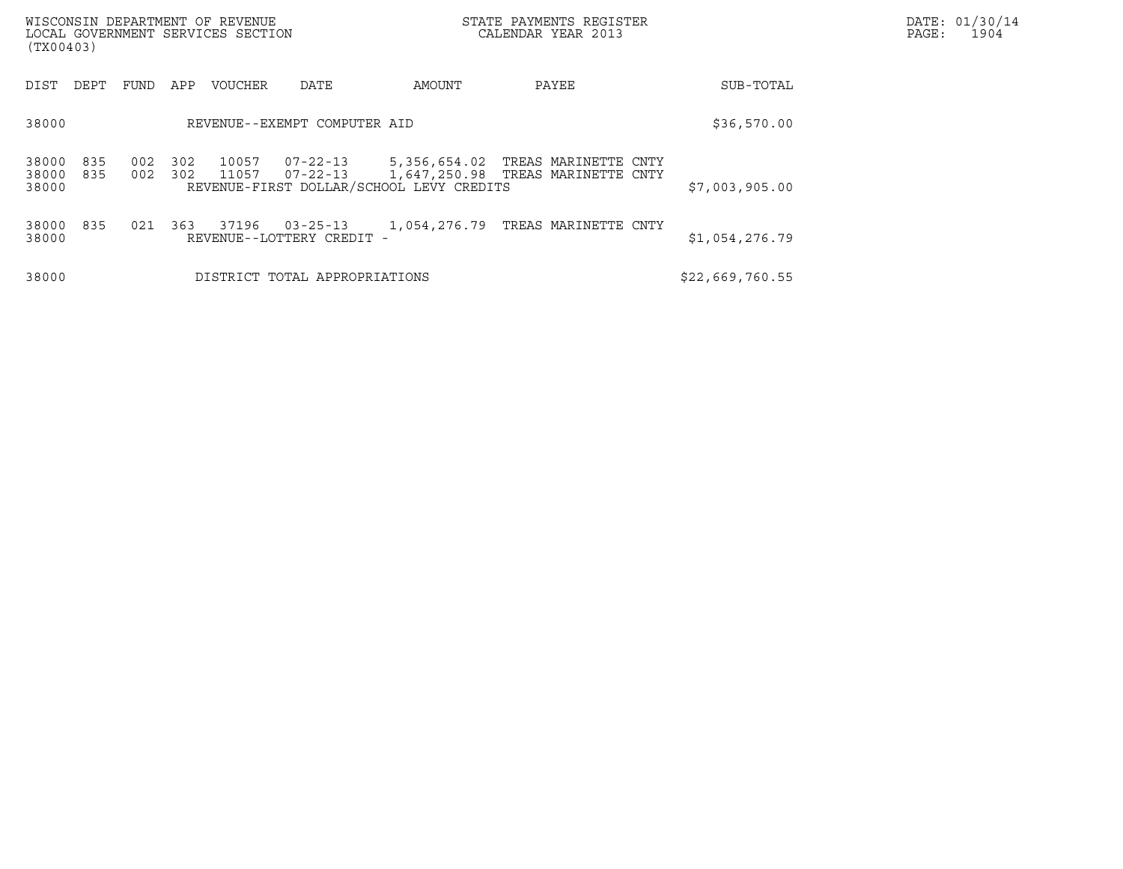| (TX00403)               |            |            |            | WISCONSIN DEPARTMENT OF REVENUE<br>LOCAL GOVERNMENT SERVICES SECTION |                                             |                                          | DATE: 01/30/14<br>PAGE:<br>1904                                                 |                 |  |
|-------------------------|------------|------------|------------|----------------------------------------------------------------------|---------------------------------------------|------------------------------------------|---------------------------------------------------------------------------------|-----------------|--|
| DIST                    | DEPT       | FUND       | APP        | <b>VOUCHER</b>                                                       | DATE                                        | AMOUNT                                   | PAYEE                                                                           | SUB-TOTAL       |  |
| 38000                   |            |            |            |                                                                      | REVENUE--EXEMPT COMPUTER AID                |                                          |                                                                                 | \$36,570.00     |  |
| 38000<br>38000<br>38000 | 835<br>835 | 002<br>002 | 302<br>302 | 10057<br>11057                                                       | 07-22-13                                    | REVENUE-FIRST DOLLAR/SCHOOL LEVY CREDITS | 07-22-13 5,356,654.02 TREAS MARINETTE CNTY<br>1,647,250.98 TREAS MARINETTE CNTY | \$7,003,905.00  |  |
| 38000<br>38000          | 835        | 021        | 363        | 37196                                                                | $03 - 25 - 13$<br>REVENUE--LOTTERY CREDIT - |                                          | 1,054,276.79 TREAS MARINETTE CNTY                                               | \$1,054,276.79  |  |
| 38000                   |            |            |            |                                                                      | DISTRICT TOTAL APPROPRIATIONS               |                                          |                                                                                 | \$22,669,760.55 |  |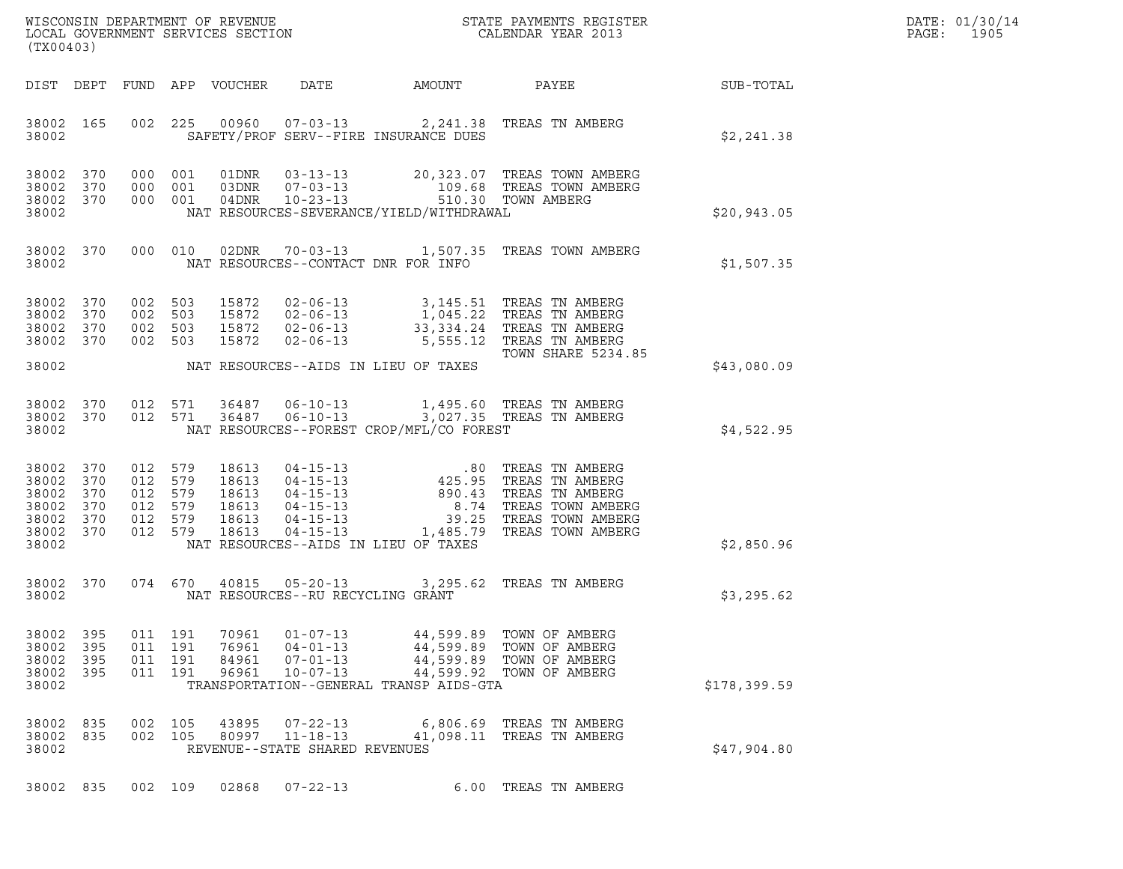| DATE: | 01/30/14 |
|-------|----------|
| PAGE: | 1905     |

| (TX00403)                                              |                                 |                                                            |            |                                                    |                                                                      |                                                                   | WISCONSIN DEPARTMENT OF REVENUE<br>LOCAL GOVERNMENT SERVICES SECTION<br>(TWO0400)                                                                                                                                                                                          |                 | DATE: 01/30/14<br>PAGE:<br>1905 |
|--------------------------------------------------------|---------------------------------|------------------------------------------------------------|------------|----------------------------------------------------|----------------------------------------------------------------------|-------------------------------------------------------------------|----------------------------------------------------------------------------------------------------------------------------------------------------------------------------------------------------------------------------------------------------------------------------|-----------------|---------------------------------|
|                                                        |                                 |                                                            |            | DIST DEPT FUND APP VOUCHER DATE                    |                                                                      | AMOUNT                                                            |                                                                                                                                                                                                                                                                            | PAYEE SUB-TOTAL |                                 |
| 38002                                                  | 38002 165                       |                                                            |            |                                                    |                                                                      | SAFETY/PROF SERV--FIRE INSURANCE DUES                             | 002 225 00960 07-03-13 2,241.38 TREAS TN AMBERG                                                                                                                                                                                                                            | \$2,241.38      |                                 |
| 38002 370<br>38002<br>38002 370<br>38002               | 370                             | 000 001<br>000 001                                         | 000 001    |                                                    |                                                                      | NAT RESOURCES-SEVERANCE/YIELD/WITHDRAWAL                          |                                                                                                                                                                                                                                                                            | \$20,943.05     |                                 |
| 38002                                                  | 38002 370                       |                                                            |            |                                                    | NAT RESOURCES--CONTACT DNR FOR INFO                                  |                                                                   | 000 010 02DNR 70-03-13 1,507.35 TREAS TOWN AMBERG                                                                                                                                                                                                                          | \$1,507.35      |                                 |
| 38002 370<br>38002<br>38002<br>38002 370               | 370<br>370                      | 002 503<br>002 503<br>002 503<br>002 503                   |            | 15872                                              | $02 - 06 - 13$                                                       |                                                                   | 15872  02-06-13  3,145.51  TREAS TN AMBERG<br>5,555.12 TREAS TN AMBERG<br>TOWN SHARE 5234.85                                                                                                                                                                               |                 |                                 |
| 38002                                                  |                                 |                                                            |            |                                                    |                                                                      | NAT RESOURCES--AIDS IN LIEU OF TAXES                              |                                                                                                                                                                                                                                                                            | \$43,080.09     |                                 |
| 38002 370<br>38002                                     |                                 | 38002 370 012 571<br>012 571                               |            | 36487<br>36487                                     |                                                                      | NAT RESOURCES--FOREST CROP/MFL/CO FOREST                          | 06-10-13 1,495.60 TREAS TN AMBERG<br>06-10-13 3,027.35 TREAS TN AMBERG                                                                                                                                                                                                     | \$4,522.95      |                                 |
| 38002<br>38002<br>38002<br>38002<br>38002<br>38002 370 | 370<br>370<br>370<br>370<br>370 | 012 579<br>012 579<br>012 579<br>012 579<br>012<br>012 579 | 579        | 18613<br>18613<br>18613<br>18613<br>18613<br>18613 |                                                                      |                                                                   | 04-15-13<br>04-15-13<br>04-15-13<br>04-15-13<br>04-15-13<br>04-15-13<br>04-15-13<br>04-15-13<br>04-15-13<br>04-15-13<br>04-15-13<br>04-15-13<br>04-15-13<br>04-15-13<br>04-15-13<br>04-15-13<br>04-15-13<br>04-15-13<br>04-15-13<br>04-15-13<br>04-15-13<br>04-15-13<br>04 |                 |                                 |
| 38002                                                  |                                 |                                                            |            |                                                    |                                                                      | NAT RESOURCES--AIDS IN LIEU OF TAXES                              |                                                                                                                                                                                                                                                                            | \$2,850.96      |                                 |
| 38002 370<br>38002                                     |                                 |                                                            |            |                                                    | NAT RESOURCES--RU RECYCLING GRANT                                    |                                                                   | 074 670 40815 05-20-13 3,295.62 TREAS TN AMBERG                                                                                                                                                                                                                            | \$3,295.62      |                                 |
| 38002<br>38002<br>38002<br>38002<br>38002              | 395<br>395<br>395<br>395        | 011 191<br>011<br>011<br>011 191                           | 191<br>191 | 70961<br>76961<br>84961<br>96961                   | $01 - 07 - 13$<br>$04 - 01 - 13$<br>$07 - 01 - 13$<br>$10 - 07 - 13$ | 44,599.89<br>44,599.89<br>TRANSPORTATION--GENERAL TRANSP AIDS-GTA | TOWN OF AMBERG<br>TOWN OF AMBERG<br>44,599.89 TOWN OF AMBERG<br>44,599.92 TOWN OF AMBERG                                                                                                                                                                                   | \$178,399.59    |                                 |
| 38002<br>38002<br>38002                                | 835<br>835                      | 002<br>002                                                 | 105<br>105 | 43895<br>80997                                     | $07 - 22 - 13$<br>$11 - 18 - 13$<br>REVENUE--STATE SHARED REVENUES   | 6,806.69                                                          | TREAS TN AMBERG<br>41,098.11 TREAS TN AMBERG                                                                                                                                                                                                                               | \$47,904.80     |                                 |
| 38002 835                                              |                                 | 002 109                                                    |            | 02868                                              | $07 - 22 - 13$                                                       |                                                                   | 6.00 TREAS TN AMBERG                                                                                                                                                                                                                                                       |                 |                                 |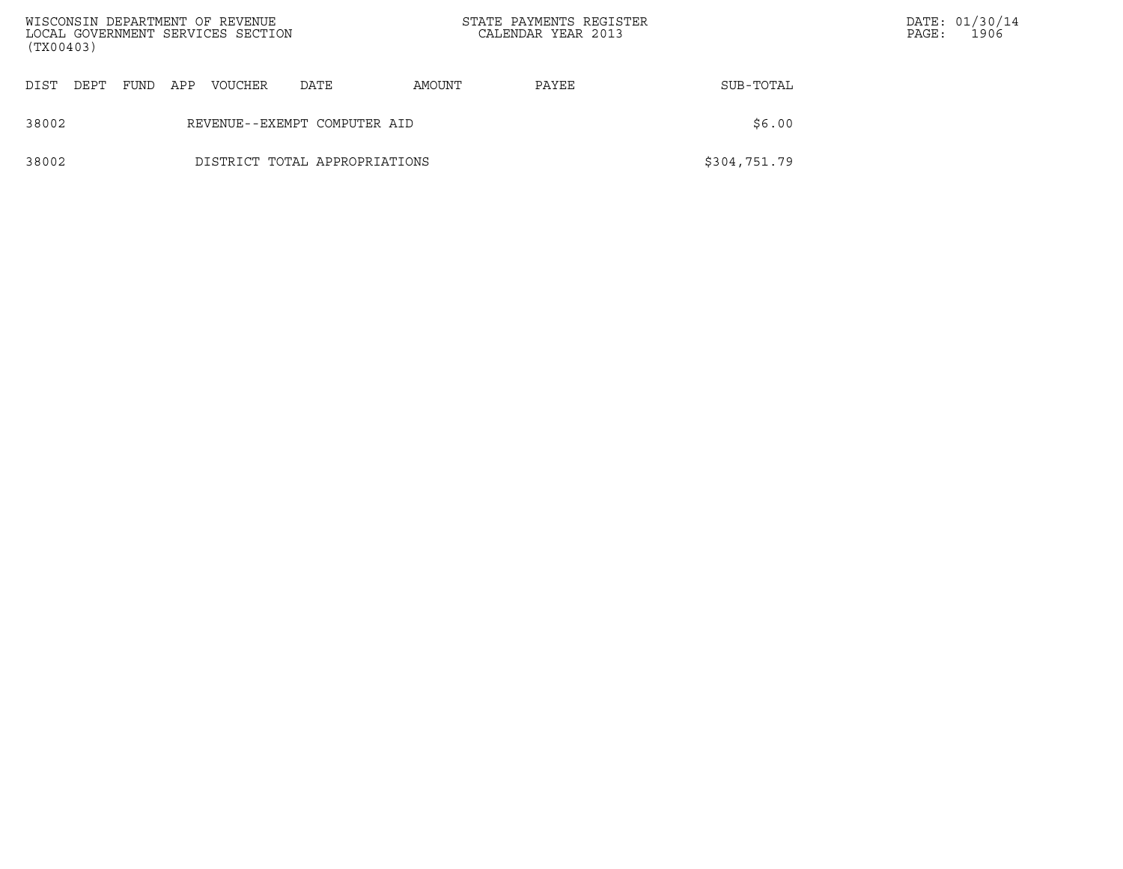| (TX00403) |      |      |     | WISCONSIN DEPARTMENT OF REVENUE<br>LOCAL GOVERNMENT SERVICES SECTION |                               |        | STATE PAYMENTS REGISTER<br>CALENDAR YEAR 2013 |              | PAGE: | DATE: 01/30/14<br>1906 |
|-----------|------|------|-----|----------------------------------------------------------------------|-------------------------------|--------|-----------------------------------------------|--------------|-------|------------------------|
| DIST      | DEPT | FUND | APP | <b>VOUCHER</b>                                                       | DATE                          | AMOUNT | PAYEE                                         | SUB-TOTAL    |       |                        |
| 38002     |      |      |     |                                                                      | REVENUE--EXEMPT COMPUTER AID  |        |                                               | \$6.00       |       |                        |
| 38002     |      |      |     |                                                                      | DISTRICT TOTAL APPROPRIATIONS |        |                                               | \$304,751.79 |       |                        |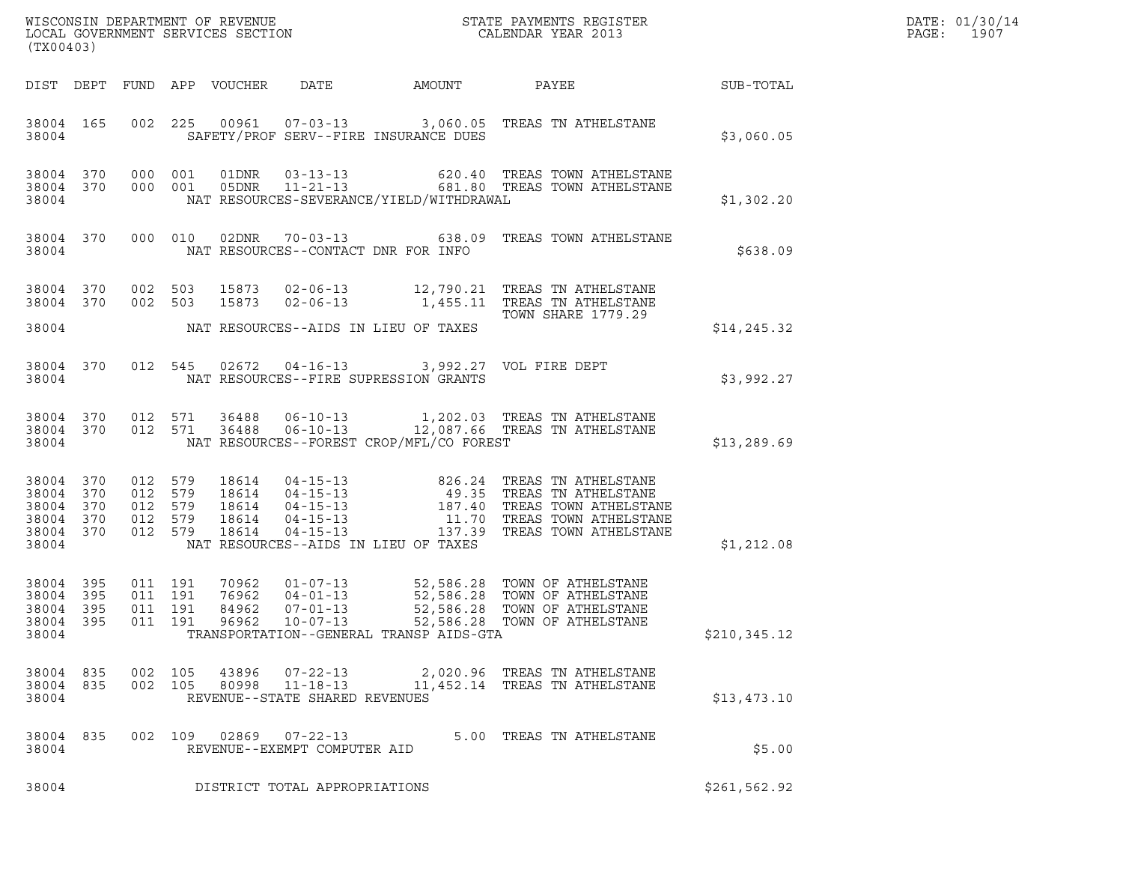| (TX00403)                                             |                                 |                                                     |                            |                                                        |                                                                                                  |                                                                                                                                                                                                                                            |              | DATE: 01/30/14<br>PAGE: 1907 |
|-------------------------------------------------------|---------------------------------|-----------------------------------------------------|----------------------------|--------------------------------------------------------|--------------------------------------------------------------------------------------------------|--------------------------------------------------------------------------------------------------------------------------------------------------------------------------------------------------------------------------------------------|--------------|------------------------------|
|                                                       |                                 |                                                     | DIST DEPT FUND APP VOUCHER | DATE                                                   | AMOUNT                                                                                           | <b>PAYEE</b>                                                                                                                                                                                                                               | SUB-TOTAL    |                              |
| 38004 165<br>38004                                    |                                 |                                                     |                            |                                                        | SAFETY/PROF SERV--FIRE INSURANCE DUES                                                            | 002  225  00961  07-03-13  3,060.05  TREAS TN ATHELSTANE                                                                                                                                                                                   | \$3,060.05   |                              |
| 38004                                                 |                                 |                                                     |                            |                                                        | NAT RESOURCES-SEVERANCE/YIELD/WITHDRAWAL                                                         | 38004 370 000 001 01DNR 03-13-13   620.40 TREAS TOWN ATHELSTANE<br>38004 370 000 001 05DNR 11-21-13   681.80 TREAS TOWN ATHELSTANE                                                                                                         | \$1,302.20   |                              |
| 38004 370<br>38004                                    |                                 |                                                     |                            |                                                        | NAT RESOURCES--CONTACT DNR FOR INFO                                                              | 000 010 02DNR 70-03-13 638.09 TREAS TOWN ATHELSTANE                                                                                                                                                                                        | \$638.09     |                              |
| 38004<br>38004 370<br>38004                           | 370                             | 002 503                                             |                            | 15873  02-06-13                                        | NAT RESOURCES--AIDS IN LIEU OF TAXES                                                             | 002 503 15873 02-06-13 12,790.21 TREAS TN ATHELSTANE<br>1,455.11 TREAS TN ATHELSTANE<br>TOWN SHARE 1779.29                                                                                                                                 | \$14, 245.32 |                              |
| 38004                                                 |                                 |                                                     |                            |                                                        | 38004 370 012 545 02672 04-16-13 3,992.27 VOL FIRE DEPT<br>NAT RESOURCES--FIRE SUPRESSION GRANTS |                                                                                                                                                                                                                                            | \$3,992.27   |                              |
| 38004 370<br>38004 370<br>38004                       |                                 |                                                     |                            |                                                        | NAT RESOURCES--FOREST CROP/MFL/CO FOREST                                                         | 012 571 36488 06-10-13 1,202.03 TREAS TN ATHELSTANE<br>012 571 36488 06-10-13 12,087.66 TREAS TN ATHELSTANE                                                                                                                                | \$13, 289.69 |                              |
| 38004<br>38004<br>38004<br>38004<br>38004<br>38004    | 370<br>370<br>370<br>370<br>370 | 012 579<br>012 579<br>012 579<br>012 579<br>012 579 |                            |                                                        | NAT RESOURCES--AIDS IN LIEU OF TAXES                                                             | 18614  04-15-13  826.24 TREAS TN ATHELSTANE<br>18614  04-15-13  49.35 TREAS TN ATHELSTANE<br>18614  04-15-13  187.40 TREAS TOWN ATHELSTANE<br>18614  04-15-13  11.70 TREAS TOWN ATHELSTANE<br>18614  04-15-13  137.39 TREAS TOWN ATHELSTAN | \$1,212.08   |                              |
| 38004 395<br>38004<br>38004 395<br>38004 395<br>38004 | 395                             | 011 191<br>011 191<br>011 191                       | 84962                      | $07 - 01 - 13$                                         | TRANSPORTATION--GENERAL TRANSP AIDS-GTA                                                          | 70962  01-07-13  52,586.28  TOWN OF ATHELSTANE<br>76962  04-01-13  52,586.28  TOWN OF ATHELSTANE<br>52,586.28 TOWN OF ATHELSTANE                                                                                                           | \$210,345.12 |                              |
| 38004<br>38004<br>38004                               | 835<br>835                      | 002 105                                             | 43896<br>002 105 80998     | $07 - 22 - 13$<br>REVENUE--STATE SHARED REVENUES       |                                                                                                  | 2,020.96   TREAS  TN  ATHELSTANE<br>11-18-13 11,452.14 TREAS TN ATHELSTANE                                                                                                                                                                 | \$13,473.10  |                              |
| 38004 835<br>38004                                    |                                 |                                                     |                            | 002 109 02869 07-22-13<br>REVENUE--EXEMPT COMPUTER AID |                                                                                                  | 5.00 TREAS TN ATHELSTANE                                                                                                                                                                                                                   | \$5.00       |                              |
| 38004                                                 |                                 |                                                     |                            | DISTRICT TOTAL APPROPRIATIONS                          |                                                                                                  |                                                                                                                                                                                                                                            | \$261,562.92 |                              |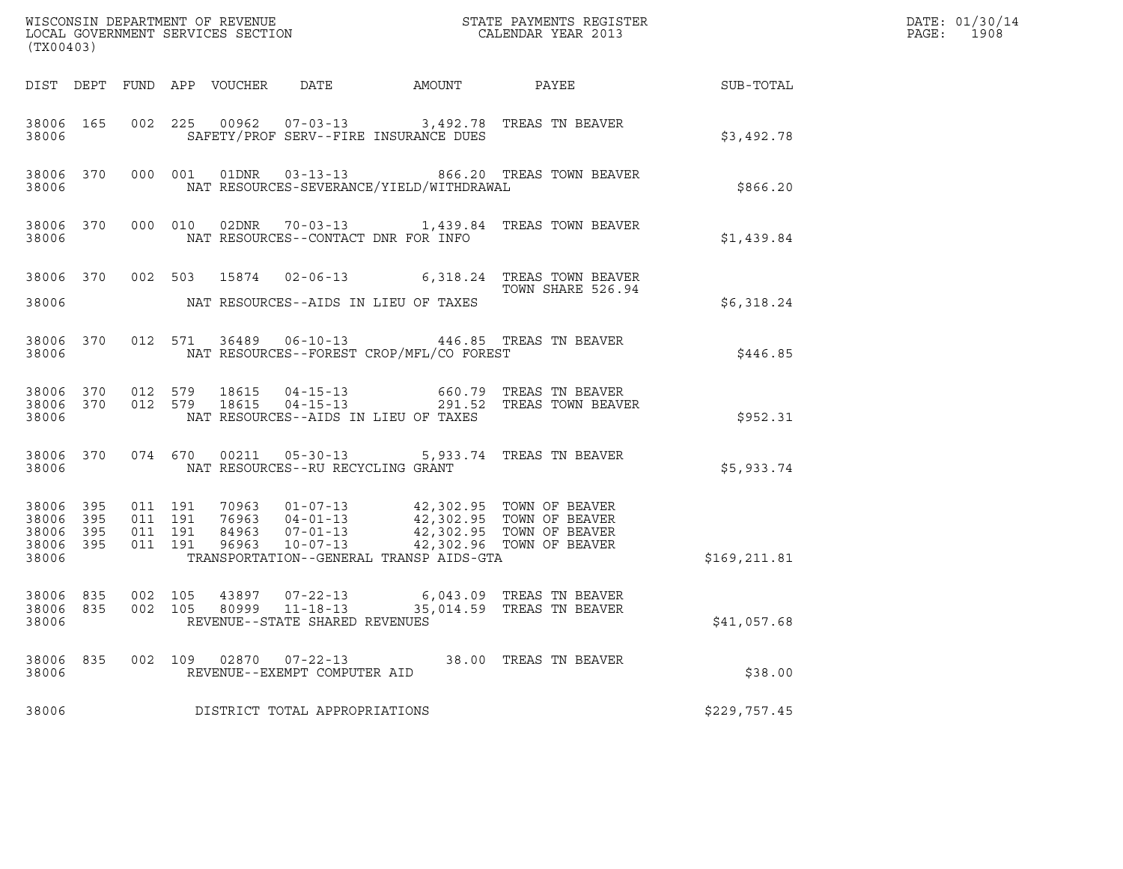| (TX00403)                                                 |     |                    |                    |                                                  |                                                                                                                                                                                                                                 | % WISCONSIN DEPARTMENT OF REVENUE $$\tt STATE$ PAYMENTS REGISTER LOCAL GOVERNMENT SERVICES SECTION $$\tt CALEINDAR$ YEAR 2013                                                                          |               | DATE: 01/30/14<br>PAGE: 1908 |
|-----------------------------------------------------------|-----|--------------------|--------------------|--------------------------------------------------|---------------------------------------------------------------------------------------------------------------------------------------------------------------------------------------------------------------------------------|--------------------------------------------------------------------------------------------------------------------------------------------------------------------------------------------------------|---------------|------------------------------|
|                                                           |     |                    |                    |                                                  |                                                                                                                                                                                                                                 | DIST DEPT FUND APP VOUCHER DATE AMOUNT PAYEE TO SUB-TOTAL                                                                                                                                              |               |                              |
| 38006                                                     |     |                    |                    |                                                  | SAFETY/PROF SERV--FIRE INSURANCE DUES                                                                                                                                                                                           | 38006 165 002 225 00962 07-03-13 3,492.78 TREAS TN BEAVER                                                                                                                                              | \$3,492.78    |                              |
| 38006                                                     |     |                    |                    |                                                  | NAT RESOURCES-SEVERANCE/YIELD/WITHDRAWAL                                                                                                                                                                                        | 38006 370 000 001 01DNR 03-13-13 866.20 TREAS TOWN BEAVER                                                                                                                                              | \$866.20      |                              |
| 38006                                                     |     |                    |                    |                                                  | NAT RESOURCES--CONTACT DNR FOR INFO                                                                                                                                                                                             | 38006 370 000 010 02DNR 70-03-13 1,439.84 TREAS TOWN BEAVER                                                                                                                                            | \$1,439.84    |                              |
|                                                           |     |                    |                    |                                                  | 38006 NAT RESOURCES--AIDS IN LIEU OF TAXES                                                                                                                                                                                      | 38006 370 002 503 15874 02-06-13 6,318.24 TREAS TOWN BEAVER                                                                                                                                            | \$6,318.24    |                              |
|                                                           |     |                    |                    |                                                  | 38006 NAT RESOURCES--FOREST CROP/MFL/CO FOREST                                                                                                                                                                                  | 38006 370 012 571 36489 06-10-13 446.85 TREAS TN BEAVER                                                                                                                                                | \$446.85      |                              |
| 38006                                                     |     |                    |                    |                                                  | NAT RESOURCES--AIDS IN LIEU OF TAXES                                                                                                                                                                                            | $\begin{array}{cccccc} 38006 & 370 & 012 & 579 & 18615 & 04-15-13 & & 660.79 & \text{TREAS TN BEAVER} \\ 38006 & 370 & 012 & 579 & 18615 & 04-15-13 & & 291.52 & \text{TREAS TOWN BEAVER} \end{array}$ | \$952.31      |                              |
| 38006                                                     |     |                    |                    | NAT RESOURCES--RU RECYCLING GRANT                |                                                                                                                                                                                                                                 | 38006 370 074 670 00211 05-30-13 5,933.74 TREAS TN BEAVER                                                                                                                                              | \$5,933.74    |                              |
| 38006 395<br>38006 395<br>38006 395<br>38006 395<br>38006 |     | 011 191<br>011 191 | 011 191<br>011 191 |                                                  | 70963  01-07-13  42,302.95  TOWN OF BEAVER<br>76963  04-01-13  42,302.95  TOWN OF BEAVER<br>84963  07-01-13  42,302.95  TOWN OF BEAVER<br>96963  10-07-13  42,302.96  TOWN OF BEAVER<br>TRANSPORTATION--GENERAL TRANSP AIDS-GTA |                                                                                                                                                                                                        | \$169, 211.81 |                              |
| 38006 835<br>38006 835<br>38006                           |     | 002 105<br>002 105 |                    | 80999 11-18-13<br>REVENUE--STATE SHARED REVENUES |                                                                                                                                                                                                                                 | 43897 07-22-13 6,043.09 TREAS TN BEAVER<br>35,014.59 TREAS TN BEAVER                                                                                                                                   | \$41,057.68   |                              |
| 38006<br>38006                                            | 835 | 002 109            |                    | 02870  07-22-13<br>REVENUE--EXEMPT COMPUTER AID  |                                                                                                                                                                                                                                 | 38.00 TREAS TN BEAVER                                                                                                                                                                                  | \$38.00       |                              |
| 38006                                                     |     |                    |                    | DISTRICT TOTAL APPROPRIATIONS                    |                                                                                                                                                                                                                                 |                                                                                                                                                                                                        | \$229,757.45  |                              |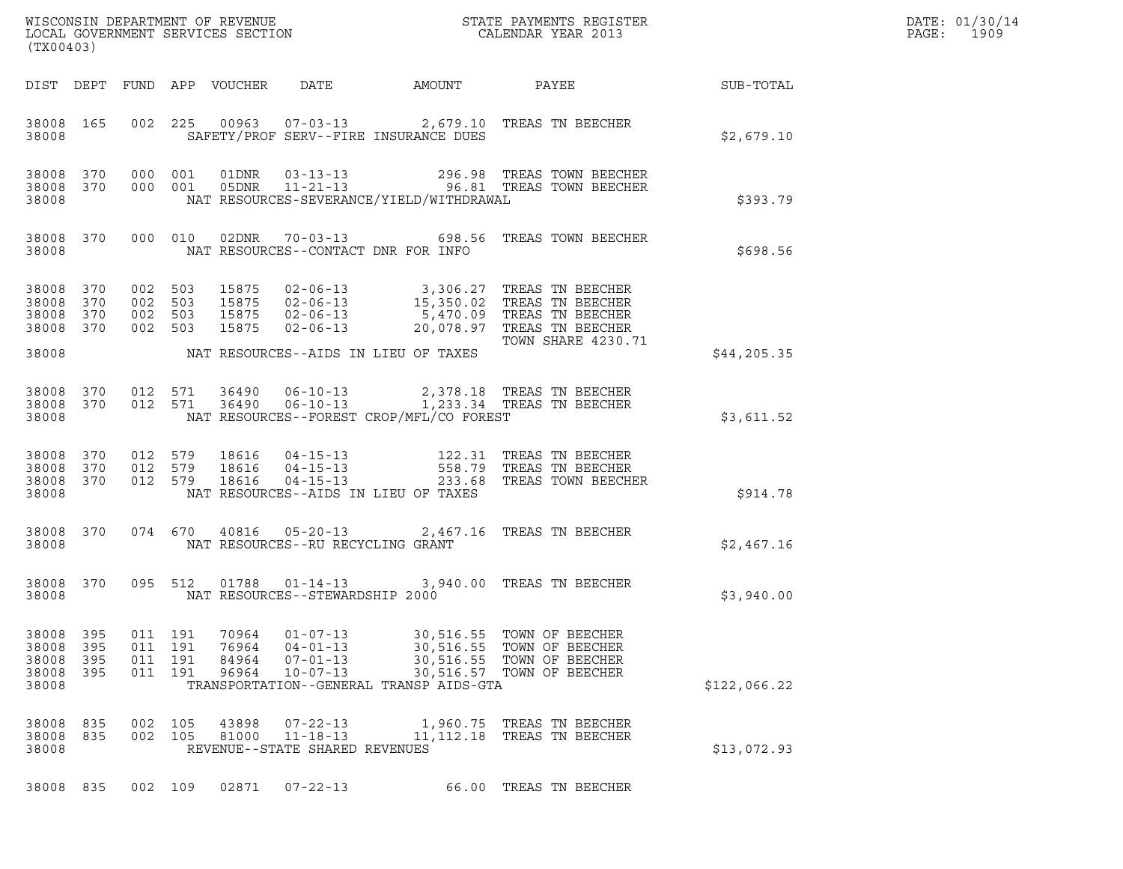| (TX00403)                                    |                          |                                          |            |                                  |                                                                      |                                                                   |                                                                                                                                                                                                                                              |                  | DATE: 01/30/14<br>PAGE:<br>1909 |
|----------------------------------------------|--------------------------|------------------------------------------|------------|----------------------------------|----------------------------------------------------------------------|-------------------------------------------------------------------|----------------------------------------------------------------------------------------------------------------------------------------------------------------------------------------------------------------------------------------------|------------------|---------------------------------|
|                                              |                          |                                          |            | DIST DEPT FUND APP VOUCHER DATE  |                                                                      | AMOUNT                                                            | PAYEE                                                                                                                                                                                                                                        | <b>SUB-TOTAL</b> |                                 |
| 38008                                        | 38008 165                |                                          |            |                                  |                                                                      | SAFETY/PROF SERV--FIRE INSURANCE DUES                             | 002 225 00963 07-03-13 2,679.10 TREAS TN BEECHER                                                                                                                                                                                             | \$2,679.10       |                                 |
| 38008 370<br>38008                           |                          | 38008 370 000 001                        | 000 001    |                                  |                                                                      | NAT RESOURCES-SEVERANCE/YIELD/WITHDRAWAL                          |                                                                                                                                                                                                                                              | \$393.79         |                                 |
| 38008                                        | 38008 370                |                                          |            |                                  |                                                                      | NAT RESOURCES--CONTACT DNR FOR INFO                               | 000 010 02DNR 70-03-13 698.56 TREAS TOWN BEECHER                                                                                                                                                                                             | \$698.56         |                                 |
| 38008 370<br>38008 370<br>38008<br>38008 370 | 370                      | 002 503<br>002 503<br>002 503<br>002 503 |            |                                  |                                                                      |                                                                   | 15875  02-06-13  3,306.27  TREAS TN BEECHER<br>15875  02-06-13  15,350.02  TREAS TN BEECHER<br>15875  02-06-13  5,470.09  TREAS TN BEECHER<br>15875  02-06-13  20,078.97  TREAS TN BEECHER<br>TOWN SHARE 4230.7<br><b>TOWN SHARE 4230.71</b> |                  |                                 |
| 38008                                        |                          |                                          |            |                                  |                                                                      | NAT RESOURCES--AIDS IN LIEU OF TAXES                              |                                                                                                                                                                                                                                              | \$44, 205.35     |                                 |
| 38008 370<br>38008                           |                          | 38008 370 012 571                        | 012 571    |                                  |                                                                      | NAT RESOURCES--FOREST CROP/MFL/CO FOREST                          | 36490   06-10-13   2,378.18   TREAS TN BEECHER<br>36490   06-10-13   1,233.34   TREAS TN BEECHER                                                                                                                                             | \$3,611.52       |                                 |
| 38008 370<br>38008 370<br>38008 370<br>38008 |                          | 012 579<br>012 579<br>012 579            |            |                                  |                                                                      | NAT RESOURCES--AIDS IN LIEU OF TAXES                              | 18616   04-15-13   122.31   TREAS TN BEECHER<br>18616   04-15-13   558.79   TREAS TN BEECHER<br>18616   04-15-13   233.68   TREAS TOWN BEECHER                                                                                               | \$914.78         |                                 |
| 38008                                        | 38008 370                |                                          |            |                                  | NAT RESOURCES--RU RECYCLING GRANT                                    |                                                                   | 074 670 40816 05-20-13 2,467.16 TREAS TN BEECHER                                                                                                                                                                                             | \$2,467.16       |                                 |
| 38008                                        | 38008 370                |                                          |            |                                  | NAT RESOURCES--STEWARDSHIP 2000                                      |                                                                   | 095 512 01788 01-14-13 3,940.00 TREAS TN BEECHER                                                                                                                                                                                             | \$3,940.00       |                                 |
| 38008<br>38008<br>38008<br>38008<br>38008    | 395<br>395<br>395<br>395 | 011 191<br>011<br>011<br>011 191         | 191<br>191 | 70964<br>76964<br>84964<br>96964 | $01 - 07 - 13$<br>$04 - 01 - 13$<br>$07 - 01 - 13$<br>$10 - 07 - 13$ | 30,516.55<br>30,516.55<br>TRANSPORTATION--GENERAL TRANSP AIDS-GTA | TOWN OF BEECHER<br>TOWN OF BEECHER<br>30,516.55 TOWN OF BEECHER<br>30,516.57 TOWN OF BEECHER                                                                                                                                                 | \$122,066.22     |                                 |
| 38008<br>38008<br>38008                      | 835<br>835               | 002<br>002                               | 105<br>105 | 43898<br>81000                   | $07 - 22 - 13$<br>$11 - 18 - 13$<br>REVENUE--STATE SHARED REVENUES   | 1,960.75<br>11,112.18                                             | TREAS TN BEECHER<br>TREAS TN BEECHER                                                                                                                                                                                                         | \$13,072.93      |                                 |
| 38008 835                                    |                          | 002 109                                  |            | 02871                            | $07 - 22 - 13$                                                       |                                                                   | 66.00 TREAS TN BEECHER                                                                                                                                                                                                                       |                  |                                 |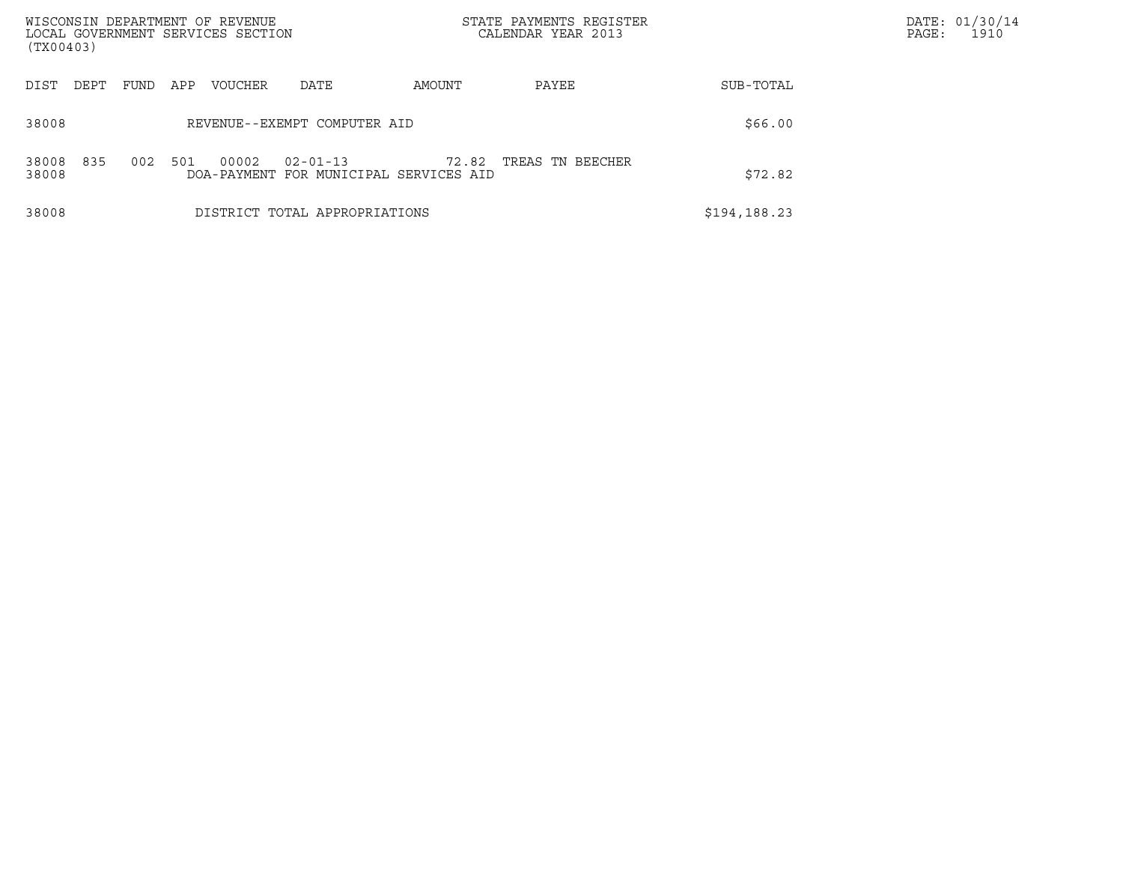| WISCONSIN DEPARTMENT OF REVENUE<br>LOCAL GOVERNMENT SERVICES SECTION<br>(TX00403) |             |                      |                                              |        | STATE PAYMENTS REGISTER<br>CALENDAR YEAR 2013 |              | DATE: 01/30/14<br>PAGE:<br>1910 |
|-----------------------------------------------------------------------------------|-------------|----------------------|----------------------------------------------|--------|-----------------------------------------------|--------------|---------------------------------|
| DIST<br>DEPT                                                                      | APP<br>FUND | VOUCHER              | DATE                                         | AMOUNT | PAYEE                                         | SUB-TOTAL    |                                 |
| 38008                                                                             |             |                      | REVENUE--EXEMPT COMPUTER AID                 |        |                                               | \$66.00      |                                 |
| 835<br>38008<br>38008                                                             | 002<br>501  | 00002<br>DOA-PAYMENT | $02 - 01 - 13$<br>FOR MUNICIPAL SERVICES AID | 72.82  | TREAS TN BEECHER                              | \$72.82      |                                 |
| 38008                                                                             |             |                      | DISTRICT TOTAL APPROPRIATIONS                |        |                                               | \$194,188.23 |                                 |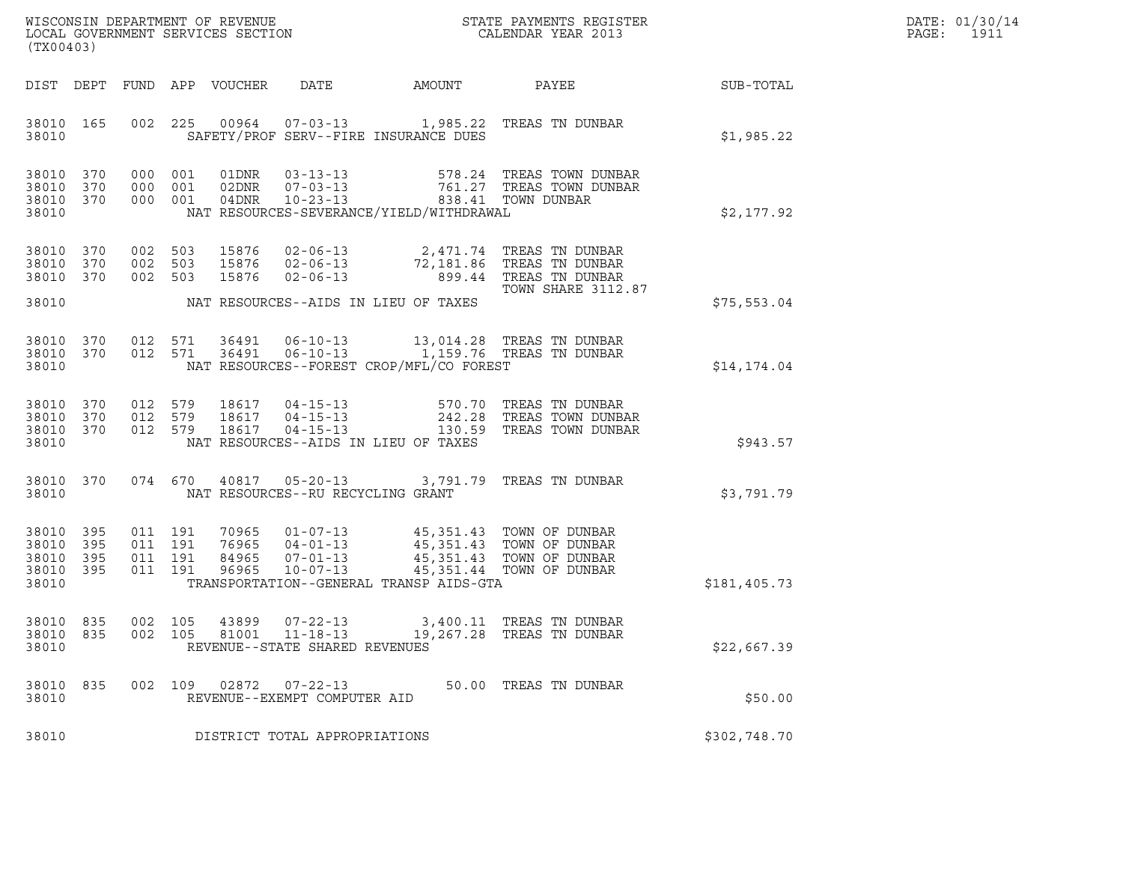| WISCONSIN DEPARTMENT OF REVENUE   | STATE PAYMENTS REGISTER | DATE: 01/30/14 |
|-----------------------------------|-------------------------|----------------|
| LOCAL GOVERNMENT SERVICES SECTION | CALENDAR YEAR 2013      | 1911<br>PAGE:  |

| (TX00403)                                                 |           |                                        |  |                                                 |                                                | WISCONSIN DEPARTMENT OF REVENUE<br>LOCAL GOVERNMENT SERVICES SECTION THE STATE PAYMENTS REGISTER<br>(TWOO403)                                                                                                                                                                                                                                               |              | DATE: 01/30/14<br>PAGE: 1911 |
|-----------------------------------------------------------|-----------|----------------------------------------|--|-------------------------------------------------|------------------------------------------------|-------------------------------------------------------------------------------------------------------------------------------------------------------------------------------------------------------------------------------------------------------------------------------------------------------------------------------------------------------------|--------------|------------------------------|
|                                                           |           |                                        |  |                                                 |                                                | DIST DEPT FUND APP VOUCHER DATE AMOUNT PAYEE PAYER SUB-TOTAL                                                                                                                                                                                                                                                                                                |              |                              |
|                                                           |           | 38010 38010                            |  |                                                 | SAFETY/PROF SERV--FIRE INSURANCE DUES          | 38010 165 002 225 00964 07-03-13 1,985.22 TREAS TN DUNBAR                                                                                                                                                                                                                                                                                                   | \$1,985.22   |                              |
| 38010                                                     |           |                                        |  |                                                 | NAT RESOURCES-SEVERANCE/YIELD/WITHDRAWAL       |                                                                                                                                                                                                                                                                                                                                                             | \$2,177.92   |                              |
|                                                           | 38010 370 | 38010 370 002 503<br>38010 370 002 503 |  |                                                 |                                                | 002 503 15876 02-06-13 2,471.74 TREAS TN DUNBAR<br>002 503 15876 02-06-13 72,181.86 TREAS TN DUNBAR<br>002 503 15876 02-06-13 899.44 TREAS TN DUNBAR<br><b>TOWN SHARE 3112.87</b>                                                                                                                                                                           | \$75,553.04  |                              |
|                                                           |           |                                        |  |                                                 | 38010 NAT RESOURCES--FOREST CROP/MFL/CO FOREST | $\begin{array}{cccccc} 38010 & 370 & 012 & 571 & 36491 & 06-10-13 & & 13,014.28 & \text{TREAS TN DUNBAR} \\ 38010 & 370 & 012 & 571 & 36491 & 06-10-13 & & 1,159.76 & \text{TREAS TN DUNBAR} \end{array}$                                                                                                                                                   | \$14,174.04  |                              |
| 38010                                                     |           |                                        |  |                                                 | NAT RESOURCES--AIDS IN LIEU OF TAXES           | $\begin{array}{cccccccc} 3\,8\,0\,1\,0 & 3\,7\,0 & 0\,1\,2 & 5\,7\,9 & 1\,8\,6\,1\,7 & 0\,4\, -1\,5\, -1\,3 & 5\,7\,0\,,\,7\,0 & \text{TREAS TN DUNBAR} \\ 3\,8\,0\,1\,0 & 3\,7\,0 & 0\,1\,2 & 5\,7\,9 & 1\,8\,6\,1\,7 & 0\,4\, -1\,5\, -1\,3 & 2\,4\,2\,,\,2\,8 & \text{TREAS TOWN DUNBAR} \\$                                                             | \$943.57     |                              |
| 38010                                                     |           |                                        |  | NAT RESOURCES--RU RECYCLING GRANT               |                                                | 38010 370 074 670 40817 05-20-13 3,791.79 TREAS TN DUNBAR                                                                                                                                                                                                                                                                                                   | \$3,791.79   |                              |
| 38010 395<br>38010 395<br>38010 395<br>38010 395<br>38010 |           |                                        |  |                                                 | TRANSPORTATION--GENERAL TRANSP AIDS-GTA        | $\begin{array}{cccccccc} 011 & 191 & 70965 & 01\texttt{-}07\texttt{-}13 & & 45,351.43 & \texttt{TOWN OF DUNBAR} \\ 011 & 191 & 76965 & 04\texttt{-}01\texttt{-}13 & & 45,351.43 & \texttt{TOWN OF DUNBAR} \\ 011 & 191 & 84965 & 07\texttt{-}01\texttt{-}13 & & 45,351.43 & \texttt{TOWN OF DUNBAR} \\ 011 & 191 & 96965 & 10\texttt{-}07\texttt{-}13 & & $ | \$181,405.73 |                              |
| 38010 835<br>38010                                        |           | 002 105                                |  | REVENUE--STATE SHARED REVENUES                  |                                                | 38010 835 002 105 43899 07-22-13 3,400.11 TREAS TN DUNBAR<br>81001  11-18-13                        19,267.28                              TREAS TN DUNBAR                                                                                                                                                                                                  | \$22,667.39  |                              |
| 38010 835<br>38010                                        |           | 002 109                                |  | 02872  07-22-13<br>REVENUE--EXEMPT COMPUTER AID |                                                | 50.00 TREAS TN DUNBAR                                                                                                                                                                                                                                                                                                                                       | \$50.00      |                              |
| 38010                                                     |           |                                        |  | DISTRICT TOTAL APPROPRIATIONS                   |                                                |                                                                                                                                                                                                                                                                                                                                                             | \$302,748.70 |                              |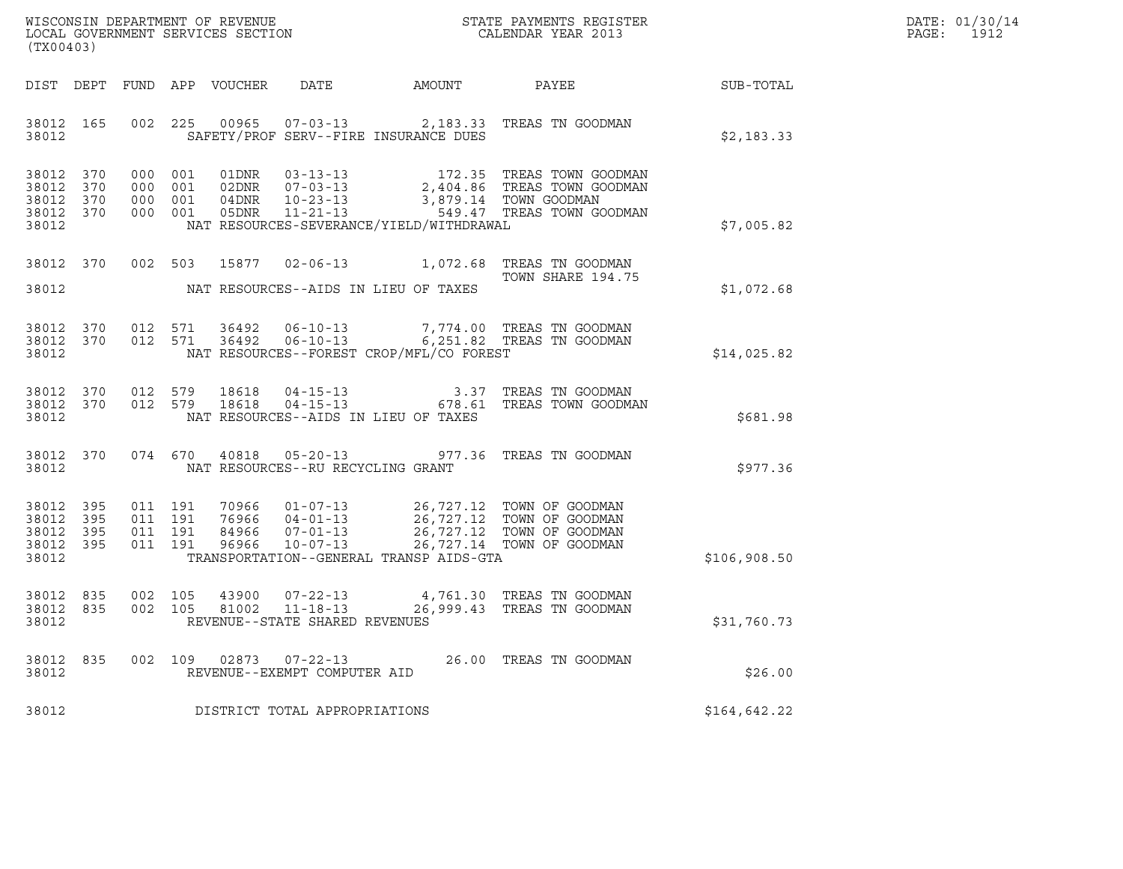| WISCONSIN DEPARTMENT OF REVENUE   | STATE PAYMENTS REGISTER | DATE: 01/30/14 |
|-----------------------------------|-------------------------|----------------|
| LOCAL GOVERNMENT SERVICES SECTION | CALENDAR YEAR 2013      | 1912<br>PAGE : |

| LOCAL GOVERNMENT SERVICES SECTION<br>(TX00403) | WISCONSIN DEPARTMENT OF REVENUE | STATE PAYMENTS REGISTER<br>CALENDAR YEAR 2013 |                          |                                  |                                                                          |                                                                                             |                                                                                |              |
|------------------------------------------------|---------------------------------|-----------------------------------------------|--------------------------|----------------------------------|--------------------------------------------------------------------------|---------------------------------------------------------------------------------------------|--------------------------------------------------------------------------------|--------------|
| DIST                                           | DEPT                            | FUND                                          | APP                      | VOUCHER                          | DATE                                                                     | AMOUNT                                                                                      | PAYEE                                                                          | SUB-TOTAL    |
| 38012<br>38012                                 | 165                             | 002                                           | 225                      | 00965                            | $07 - 03 - 13$<br>SAFETY/PROF SERV--FIRE INSURANCE DUES                  | 2,183.33                                                                                    | TREAS TN GOODMAN                                                               | \$2,183.33   |
| 38012<br>38012<br>38012<br>38012<br>38012      | 370<br>370<br>370<br>370        | 000<br>000<br>000<br>000                      | 001<br>001<br>001<br>001 | 01DNR<br>02DNR<br>04DNR<br>05DNR | $03 - 13 - 13$<br>$07 - 03 - 13$<br>$10 - 23 - 13$<br>$11 - 21 - 13$     | 172.35<br>2,404.86<br>3,879.14<br>549.47<br>NAT RESOURCES-SEVERANCE/YIELD/WITHDRAWAL        | TREAS TOWN GOODMAN<br>TREAS TOWN GOODMAN<br>TOWN GOODMAN<br>TREAS TOWN GOODMAN | \$7,005.82   |
| 38012                                          | 370                             | 002                                           | 503                      | 15877                            | $02 - 06 - 13$                                                           | 1,072.68                                                                                    | TREAS TN GOODMAN<br>TOWN SHARE 194.75                                          |              |
| 38012                                          |                                 |                                               |                          |                                  | NAT RESOURCES--AIDS IN LIEU OF TAXES                                     |                                                                                             |                                                                                | \$1,072.68   |
| 38012<br>38012<br>38012                        | 370<br>370                      | 012<br>012                                    | 571<br>571               | 36492<br>36492                   | $06 - 10 - 13$<br>$06 - 10 - 13$                                         | NAT RESOURCES--FOREST CROP/MFL/CO FOREST                                                    | 7,774.00 TREAS TN GOODMAN<br>6,251.82 TREAS TN GOODMAN                         | \$14,025.82  |
| 38012<br>38012<br>38012                        | 370<br>370                      | 012<br>012                                    | 579<br>579               | 18618<br>18618                   | $04 - 15 - 13$<br>$04 - 15 - 13$<br>NAT RESOURCES--AIDS IN LIEU OF TAXES | 3.37<br>678.61                                                                              | TREAS TN GOODMAN<br>TREAS TOWN GOODMAN                                         | \$681.98     |
| 38012<br>38012                                 | 370                             | 074                                           | 670                      | 40818                            | $05 - 20 - 13$<br>NAT RESOURCES--RU RECYCLING GRANT                      | 977.36                                                                                      | TREAS TN GOODMAN                                                               | \$977.36     |
| 38012<br>38012<br>38012<br>38012<br>38012      | 395<br>395<br>395<br>395        | 011<br>011<br>011<br>011                      | 191<br>191<br>191<br>191 | 70966<br>76966<br>84966<br>96966 | $01 - 07 - 13$<br>$04 - 01 - 13$<br>$07 - 01 - 13$<br>$10 - 07 - 13$     | 26,727.12<br>26,727.12<br>26,727.12<br>26,727.14<br>TRANSPORTATION--GENERAL TRANSP AIDS-GTA | TOWN OF GOODMAN<br>TOWN OF GOODMAN<br>TOWN OF GOODMAN<br>TOWN OF GOODMAN       | \$106,908.50 |
| 38012<br>38012<br>38012                        | 835<br>835                      | 002<br>002                                    | 105<br>105               | 43900<br>81002                   | $07 - 22 - 13$<br>$11 - 18 - 13$<br>REVENUE--STATE SHARED REVENUES       | 4,761.30<br>26,999.43                                                                       | TREAS TN GOODMAN<br>TREAS TN GOODMAN                                           | \$31,760.73  |
| 38012<br>38012                                 | 835                             | 002                                           | 109                      | 02873                            | $07 - 22 - 13$<br>REVENUE--EXEMPT COMPUTER AID                           | 26.00                                                                                       | TREAS TN GOODMAN                                                               | \$26.00      |
| 38012                                          |                                 |                                               |                          |                                  | DISTRICT TOTAL APPROPRIATIONS                                            |                                                                                             |                                                                                | \$164,642.22 |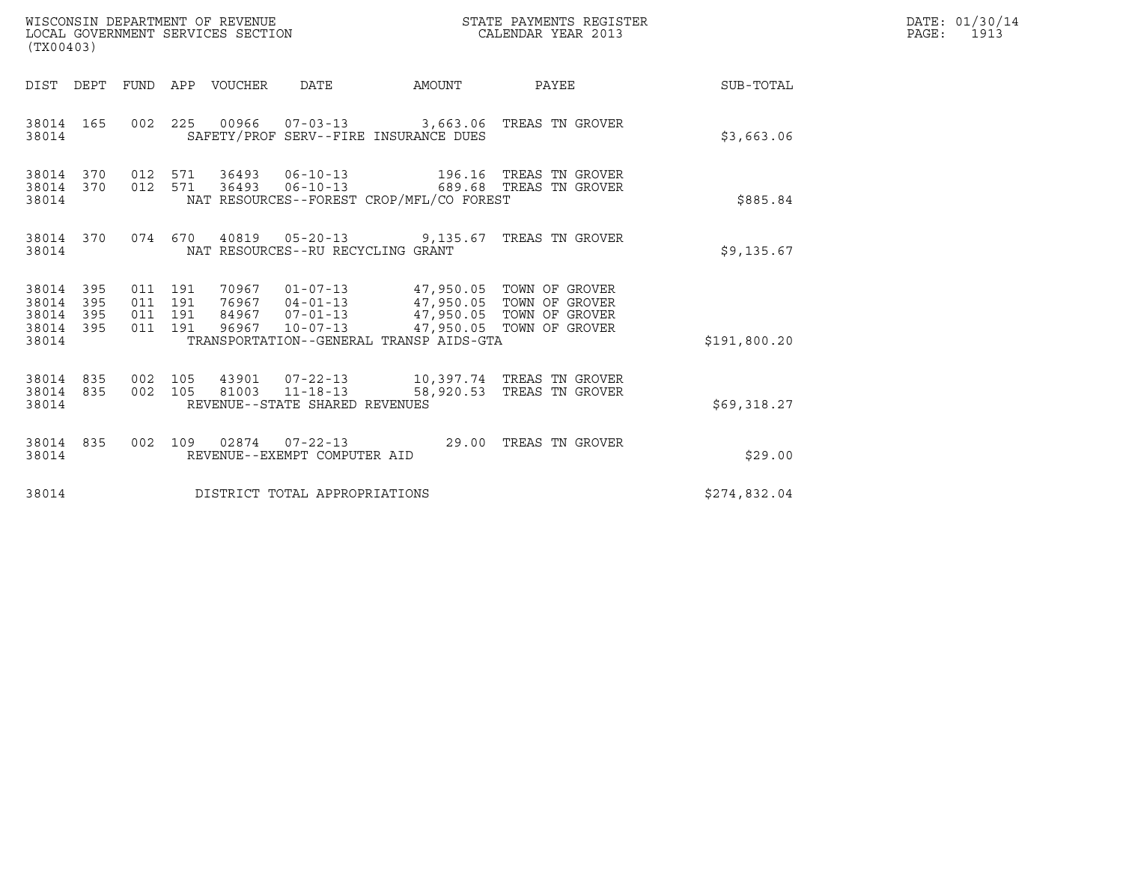| WISCONSIN DEPARTMENT OF REVENUE<br>LOCAL GOVERNMENT SERVICES SECTION<br>(TX00403) |                   |                                          |  |                            |                                   | STATE PAYMENTS REGISTER<br>CALENDAR YEAR 2013                                         |                                                                                                      | DATE: 01/30/14<br>PAGE: 1913 |  |
|-----------------------------------------------------------------------------------|-------------------|------------------------------------------|--|----------------------------|-----------------------------------|---------------------------------------------------------------------------------------|------------------------------------------------------------------------------------------------------|------------------------------|--|
|                                                                                   |                   |                                          |  | DIST DEPT FUND APP VOUCHER | DATE                              | AMOUNT                                                                                | PAYEE                                                                                                | <b>SUB-TOTAL</b>             |  |
| 38014 165<br>38014                                                                |                   |                                          |  |                            |                                   | SAFETY/PROF SERV--FIRE INSURANCE DUES                                                 | 002  225  00966  07-03-13  3,663.06  TREAS TN GROVER                                                 | \$3,663.06                   |  |
| 38014 370<br>38014<br>38014                                                       | 370               | 012 571<br>012 571                       |  |                            | 36493 06-10-13                    | NAT RESOURCES--FOREST CROP/MFL/CO FOREST                                              | 36493    06-10-13    196.16    TREAS TN GROVER<br>689.68 TREAS TN GROVER                             | \$885.84                     |  |
| 38014 370<br>38014                                                                |                   |                                          |  |                            | NAT RESOURCES--RU RECYCLING GRANT |                                                                                       | 074 670 40819 05-20-13 9,135.67 TREAS TN GROVER                                                      | \$9,135.67                   |  |
| 38014 395<br>38014<br>38014<br>38014<br>38014                                     | 395<br>395<br>395 | 011 191<br>011 191<br>011 191<br>011 191 |  |                            |                                   | 70967  01-07-13  47,950.05  TOWN OF GROVER<br>TRANSPORTATION--GENERAL TRANSP AIDS-GTA | 76967 04-01-13<br>84967 07-01-13 47,950.05 TOWN OF GROVER<br>96967 10-07-13 47,950.05 TOWN OF GROVER | \$191,800.20                 |  |
| 38014<br>38014 835<br>38014                                                       | 835               | 002 105<br>002 105                       |  |                            | REVENUE--STATE SHARED REVENUES    |                                                                                       | 81003  11-18-13  58,920.53  TREAS TN GROVER                                                          | \$69,318.27                  |  |
| 38014 835<br>38014                                                                |                   | 002 109                                  |  |                            | REVENUE--EXEMPT COMPUTER AID      |                                                                                       | 02874  07-22-13  29.00 TREAS TN GROVER                                                               | \$29.00                      |  |
| 38014                                                                             |                   |                                          |  |                            | DISTRICT TOTAL APPROPRIATIONS     |                                                                                       |                                                                                                      | \$274,832.04                 |  |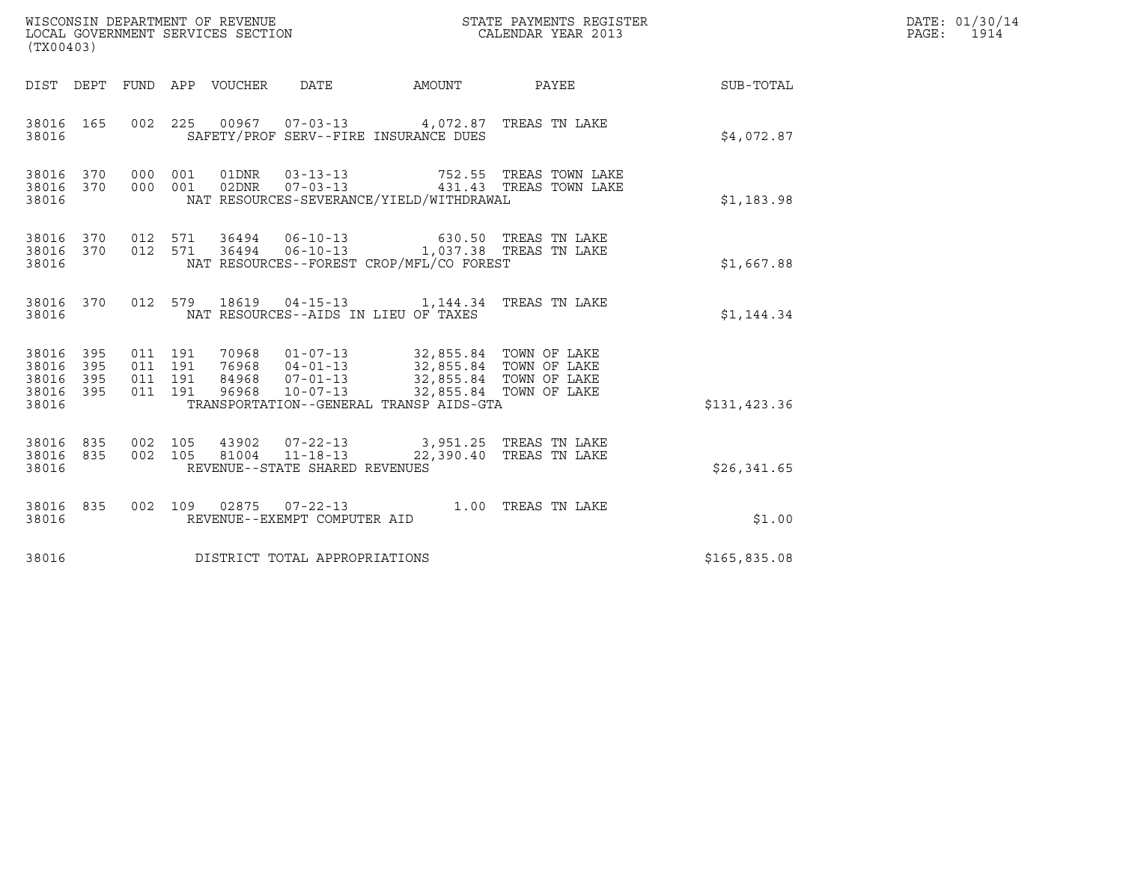| (TX00403)                                     |                   |                    |                    |                                 | WISCONSIN DEPARTMENT OF REVENUE<br>LOCAL GOVERNMENT SERVICES SECTION |                                                                                                                                                                                                                         | CALENDAR YEAR 2013                               | STATE PAYMENTS REGISTER |                  | DATE: 01/30/14<br>PAGE: 1914 |
|-----------------------------------------------|-------------------|--------------------|--------------------|---------------------------------|----------------------------------------------------------------------|-------------------------------------------------------------------------------------------------------------------------------------------------------------------------------------------------------------------------|--------------------------------------------------|-------------------------|------------------|------------------------------|
|                                               |                   |                    |                    | DIST DEPT FUND APP VOUCHER DATE |                                                                      | AMOUNT PAYEE                                                                                                                                                                                                            |                                                  |                         | <b>SUB-TOTAL</b> |                              |
| 38016 165<br>38016                            |                   |                    |                    |                                 |                                                                      | 002 225 00967 07-03-13 4,072.87 TREAS TN LAKE<br>SAFETY/PROF SERV--FIRE INSURANCE DUES                                                                                                                                  |                                                  |                         | \$4,072.87       |                              |
| 38016 370 000 001<br>38016<br>38016           | 370               | 000 001            |                    |                                 | 01DNR        03-13-13                                                | NAT RESOURCES-SEVERANCE/YIELD/WITHDRAWAL                                                                                                                                                                                | 752.55 TREAS TOWN LAKE<br>431.43 TREAS TOWN LAKE |                         | \$1,183.98       |                              |
| 38016 370<br>38016                            |                   |                    |                    |                                 |                                                                      | 38016 370 012 571 36494 06-10-13 630.50 TREAS TN LAKE<br>012 571 36494 06-10-13 1,037.38 TREAS TN LAKE<br>NAT RESOURCES--FOREST CROP/MFL/CO FOREST                                                                      |                                                  |                         | \$1,667.88       |                              |
| 38016 370<br>38016                            |                   |                    |                    |                                 |                                                                      | 012 579 18619 04-15-13 1,144.34 TREAS TN LAKE<br>NAT RESOURCES--AIDS IN LIEU OF TAXES                                                                                                                                   |                                                  |                         | \$1,144.34       |                              |
| 38016 395<br>38016<br>38016<br>38016<br>38016 | 395<br>395<br>395 | 011 191<br>011 191 | 011 191<br>011 191 |                                 |                                                                      | 70968  01-07-13  32,855.84  TOWN OF LAKE<br>76968  04-01-13  32,855.84  TOWN OF LAKE<br>84968  07-01-13  32,855.84  TOWN OF LAKE<br>96968  10-07-13  32,855.84  TOWN OF LAKE<br>TRANSPORTATION--GENERAL TRANSP AIDS-GTA |                                                  |                         | \$131,423.36     |                              |
| 38016<br>38016 835<br>38016                   | 835               | 002 105            | 002 105            |                                 | 81004 11-18-13<br>REVENUE--STATE SHARED REVENUES                     | 43902  07-22-13  3,951.25  TREAS TN LAKE<br>22,390.40 TREAS TN LAKE                                                                                                                                                     |                                                  |                         | \$26,341.65      |                              |
| 38016 835<br>38016                            |                   |                    |                    |                                 | REVENUE--EXEMPT COMPUTER AID                                         | 002 109 02875 07-22-13 1.00 TREAS TN LAKE                                                                                                                                                                               |                                                  |                         | \$1.00           |                              |
| 38016                                         |                   |                    |                    |                                 | DISTRICT TOTAL APPROPRIATIONS                                        |                                                                                                                                                                                                                         |                                                  |                         | \$165,835.08     |                              |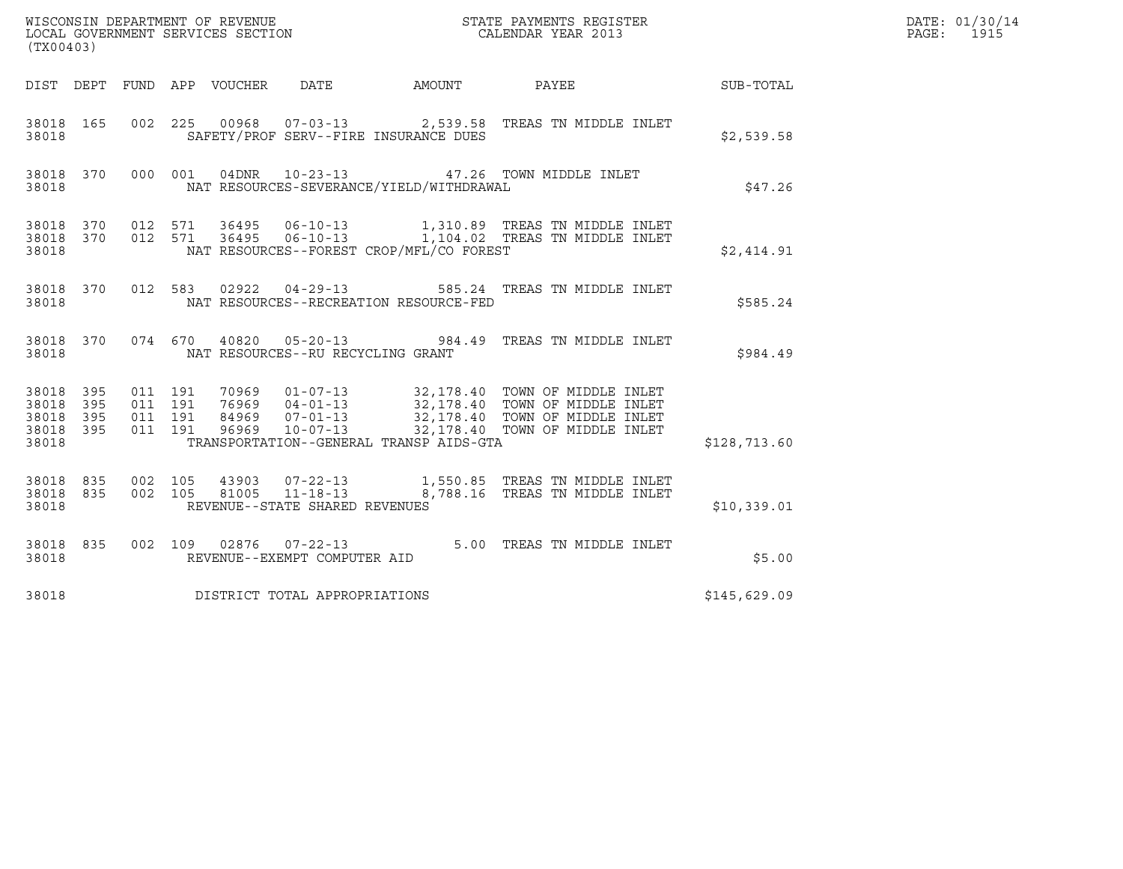| (TX00403)                                             |     |                    |                    |                                 |                                   |                                          |                                                                                                                                                                                                                          |                  | DATE: 01/30/14<br>$\mathtt{PAGE:}$<br>1915 |
|-------------------------------------------------------|-----|--------------------|--------------------|---------------------------------|-----------------------------------|------------------------------------------|--------------------------------------------------------------------------------------------------------------------------------------------------------------------------------------------------------------------------|------------------|--------------------------------------------|
|                                                       |     |                    |                    | DIST DEPT FUND APP VOUCHER DATE |                                   | AMOUNT PAYEE                             |                                                                                                                                                                                                                          | <b>SUB-TOTAL</b> |                                            |
| 38018 165<br>38018                                    |     |                    |                    |                                 |                                   | SAFETY/PROF SERV--FIRE INSURANCE DUES    | 002 225 00968 07-03-13 2,539.58 TREAS TN MIDDLE INLET                                                                                                                                                                    | \$2,539.58       |                                            |
| 38018 370 000 001<br>38018                            |     |                    |                    |                                 |                                   | NAT RESOURCES-SEVERANCE/YIELD/WITHDRAWAL | 04DNR  10-23-13  47.26 TOWN MIDDLE INLET                                                                                                                                                                                 | \$47.26          |                                            |
| 38018                                                 |     |                    |                    |                                 |                                   | NAT RESOURCES--FOREST CROP/MFL/CO FOREST | 38018 370 012 571 36495 06-10-13 1,310.89 TREAS TN MIDDLE INLET<br>38018 370 012 571 36495 06-10-13 1,104.02 TREAS TN MIDDLE INLET                                                                                       | \$2,414.91       |                                            |
| 38018 370<br>38018                                    |     |                    | 012 583            |                                 |                                   | NAT RESOURCES--RECREATION RESOURCE-FED   | 02922  04-29-13  585.24  TREAS TN MIDDLE INLET                                                                                                                                                                           | \$585.24         |                                            |
| 38018 370<br>38018                                    |     |                    |                    |                                 | NAT RESOURCES--RU RECYCLING GRANT |                                          | 074 670 40820 05-20-13 984.49 TREAS TN MIDDLE INLET                                                                                                                                                                      | \$984.49         |                                            |
| 38018 395<br>38018<br>38018 395<br>38018 395<br>38018 | 395 | 011 191<br>011 191 | 011 191<br>011 191 |                                 |                                   | TRANSPORTATION--GENERAL TRANSP AIDS-GTA  | 70969   01-07-13   32,178.40   TOWN OF MIDDLE INLET<br>76969   04-01-13   32,178.40   TOWN OF MIDDLE INLET<br>84969   07-01-13   32,178.40   TOWN OF MIDDLE INLET<br>96969   10-07-13   32,178.40   TOWN OF MIDDLE INLET | \$128,713.60     |                                            |
| 38018 835<br>38018 835<br>38018                       |     |                    |                    |                                 | REVENUE--STATE SHARED REVENUES    |                                          | 002 105 43903 07-22-13 1,550.85 TREAS TN MIDDLE INLET 002 105 81005 11-18-13 8,788.16 TREAS TN MIDDLE INLET                                                                                                              | \$10,339.01      |                                            |
| 38018 835<br>38018                                    |     |                    |                    |                                 | REVENUE--EXEMPT COMPUTER AID      |                                          | 002 109 02876 07-22-13 5.00 TREAS TN MIDDLE INLET                                                                                                                                                                        | \$5.00           |                                            |
| 38018                                                 |     |                    |                    |                                 | DISTRICT TOTAL APPROPRIATIONS     |                                          |                                                                                                                                                                                                                          | \$145,629.09     |                                            |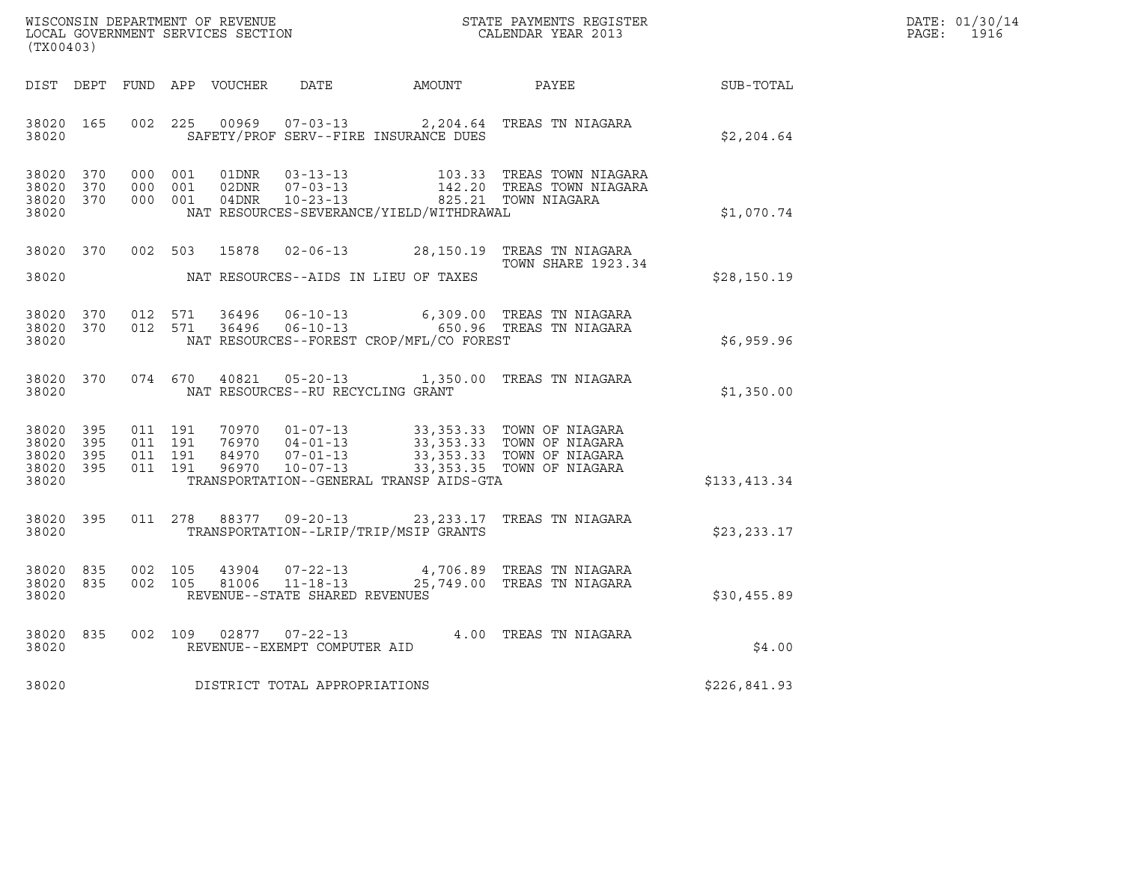| DATE: | 01/30/14 |
|-------|----------|
| PAGE: | 1916     |

| (TX00403)                                                 |  |  |  |  |                                     |                                          |                                                                                                                                                                                                              | $R = \frac{1}{2}$ | DATE: 01/30/14<br>PAGE: 1916 |
|-----------------------------------------------------------|--|--|--|--|-------------------------------------|------------------------------------------|--------------------------------------------------------------------------------------------------------------------------------------------------------------------------------------------------------------|-------------------|------------------------------|
|                                                           |  |  |  |  |                                     |                                          | DIST DEPT FUND APP VOUCHER DATE AMOUNT PAYEE PAYER SUB-TOTAL                                                                                                                                                 |                   |                              |
| 38020                                                     |  |  |  |  |                                     |                                          | 38020 165 002 225 00969 07-03-13 2,204.64 TREAS TN NIAGARA<br>SAFETY/PROF SERV--FIRE INSURANCE DUES                                                                                                          | \$2,204.64        |                              |
| 38020 370<br>38020 370<br>38020 370<br>38020              |  |  |  |  |                                     | NAT RESOURCES-SEVERANCE/YIELD/WITHDRAWAL | 000 001 01DNR 03-13-13 103.33 TREAS TOWN NIAGARA<br>000 001 02DNR 07-03-13 142.20 TREAS TOWN NIAGARA<br>000 001 04DNR 10-23-13 825.21 TOWN NIAGARA                                                           | \$1,070.74        |                              |
|                                                           |  |  |  |  |                                     |                                          | 38020 370 002 503 15878 02-06-13 28,150.19 TREAS TN NIAGARA<br><b>TOWN SHARE 1923.34</b>                                                                                                                     | \$28,150.19       |                              |
| 38020 370<br>38020 370<br>38020                           |  |  |  |  |                                     | NAT RESOURCES--FOREST CROP/MFL/CO FOREST | 012 571 36496 06-10-13 6,309.00 TREAS TN NIAGARA<br>012 571 36496 06-10-13 650.96 TREAS TN NIAGARA                                                                                                           | \$6,959.96        |                              |
| 38020 370<br>38020                                        |  |  |  |  |                                     | NAT RESOURCES--RU RECYCLING GRANT        | 074 670 40821 05-20-13 1,350.00 TREAS TN NIAGARA                                                                                                                                                             | \$1,350.00        |                              |
| 38020 395<br>38020 395<br>38020 395<br>38020 395<br>38020 |  |  |  |  |                                     | TRANSPORTATION--GENERAL TRANSP AIDS-GTA  | 011 191 70970 01-07-13 33,353.33 TOWN OF NIAGARA<br>011 191 76970 04-01-13 33,353.33 TOWN OF NIAGARA<br>011 191 84970 07-01-13 33,353.33 TOWN OF NIAGARA<br>011 191 96970 10-07-13 33,353.35 TOWN OF NIAGARA | \$133,413.34      |                              |
| 38020 395<br>38020                                        |  |  |  |  |                                     | TRANSPORTATION--LRIP/TRIP/MSIP GRANTS    | 011  278  88377  09-20-13  23, 233.17  TREAS TN NIAGARA                                                                                                                                                      | \$23,233.17       |                              |
| 38020 835<br>38020 835<br>38020                           |  |  |  |  | REVENUE--STATE SHARED REVENUES      |                                          | 002 105 43904 07-22-13 4,706.89 TREAS TN NIAGARA<br>002 105 81006 11-18-13 25,749.00 TREAS TN NIAGARA                                                                                                        | \$30,455.89       |                              |
| 38020                                                     |  |  |  |  | REVENUE--EXEMPT COMPUTER AID        |                                          | 38020 835 002 109 02877 07-22-13 4.00 TREAS TN NIAGARA                                                                                                                                                       | \$4.00            |                              |
|                                                           |  |  |  |  | 38020 DISTRICT TOTAL APPROPRIATIONS |                                          |                                                                                                                                                                                                              | \$226,841.93      |                              |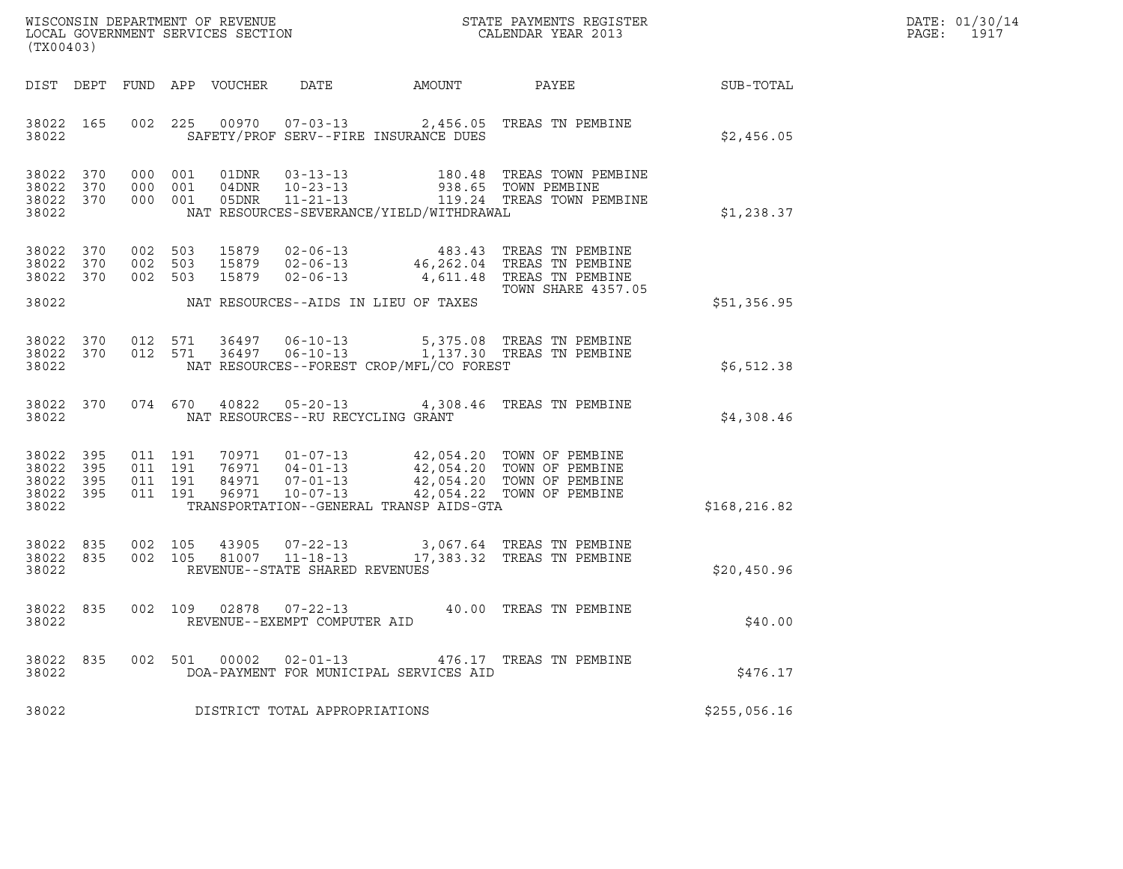| WISCONSIN DEPARTMENT OF REVENUE   | STATE PAYMENTS REGISTER | DATE: 01/30/14 |
|-----------------------------------|-------------------------|----------------|
| LOCAL GOVERNMENT SERVICES SECTION | CALENDAR YEAR 2013      | 1917<br>PAGE:  |

| (TX00403)                                |                    |                                                   |  |                                         |                                              | WISCONSIN DEPARTMENT OF REVENUE<br>LOCAL GOVERNMENT SERVICES SECTION<br>CALENDAR YEAR 2013                                                                                                                                                                                                                                                  |               | DATE: 01/30/14<br>PAGE:<br>1917 |
|------------------------------------------|--------------------|---------------------------------------------------|--|-----------------------------------------|----------------------------------------------|---------------------------------------------------------------------------------------------------------------------------------------------------------------------------------------------------------------------------------------------------------------------------------------------------------------------------------------------|---------------|---------------------------------|
|                                          |                    |                                                   |  |                                         | DIST DEPT FUND APP VOUCHER DATE AMOUNT PAYEE |                                                                                                                                                                                                                                                                                                                                             | SUB-TOTAL     |                                 |
| 38022                                    | 38022 165          |                                                   |  |                                         | SAFETY/PROF SERV--FIRE INSURANCE DUES        | 002 225 00970 07-03-13 2,456.05 TREAS TN PEMBINE                                                                                                                                                                                                                                                                                            | \$2,456.05    |                                 |
| 38022                                    |                    |                                                   |  |                                         | NAT RESOURCES-SEVERANCE/YIELD/WITHDRAWAL     | 38022 370 000 001 01DNR 03-13-13 180.48 TREAS TOWN PEMBINE<br>38022 370 000 001 04DNR 10-23-13 938.65 TOWN PEMBINE<br>38022 370 000 001 05DNR 11-21-13 119.24 TREAS TOWN PEMBINE                                                                                                                                                            | \$1,238.37    |                                 |
|                                          | 38022 370          | 38022 370 002 503<br>002 503<br>38022 370 002 503 |  |                                         |                                              | 15879 02-06-13 483.43 TREAS TN PEMBINE<br>15879 02-06-13 46,262.04 TREAS TN PEMBINE<br>15879 02-06-13 4,611.48 TREAS TN PEMBINE<br>TOWN SHARE 4357.05                                                                                                                                                                                       |               |                                 |
| 38022                                    |                    |                                                   |  |                                         | NAT RESOURCES--AIDS IN LIEU OF TAXES         |                                                                                                                                                                                                                                                                                                                                             | \$51,356.95   |                                 |
| 38022                                    |                    |                                                   |  |                                         | NAT RESOURCES--FOREST CROP/MFL/CO FOREST     | 38022 370 012 571 36497 06-10-13 5,375.08 TREAS TN PEMBINE<br>38022 370 012 571 36497 06-10-13 1,137.30 TREAS TN PEMBINE                                                                                                                                                                                                                    | \$6,512.38    |                                 |
|                                          |                    |                                                   |  | 38022 NAT RESOURCES--RU RECYCLING GRANT |                                              | 38022 370 074 670 40822 05-20-13 4,308.46 TREAS TN PEMBINE                                                                                                                                                                                                                                                                                  | \$4,308.46    |                                 |
| 38022 395<br>38022<br>38022 395<br>38022 | 395                | 38022 395 011 191                                 |  |                                         | TRANSPORTATION--GENERAL TRANSP AIDS-GTA      | $\begin{array}{cccccc} 011 & 191 & 70971 & 01-07-13 & & 42\,,054\,.20 & \text{TOWN OF PEMBINE} \\ 011 & 191 & 76971 & 04-01-13 & & 42\,,054\,.20 & \text{TOWN OF PEMBINE} \\ 011 & 191 & 84971 & 07-01-13 & & 42\,,054\,.20 & \text{TOWN OF PEMBINE} \\ 011 & 191 & 96971 & 10-07-13 & & 42\,,054\,.22 & \text{TOWN OF PEMBINE} \end{array$ | \$168, 216.82 |                                 |
| 38022 835<br>38022                       |                    | 38022 835 002 105<br>002 105                      |  | REVENUE--STATE SHARED REVENUES          |                                              | 43905  07-22-13  3,067.64 TREAS TN PEMBINE<br>81007  11-18-13  17,383.32 TREAS TN PEMBINE                                                                                                                                                                                                                                                   | \$20,450.96   |                                 |
|                                          | 38022 835<br>38022 |                                                   |  | REVENUE--EXEMPT COMPUTER AID            |                                              | 002 109 02878 07-22-13 40.00 TREAS TN PEMBINE                                                                                                                                                                                                                                                                                               | \$40.00       |                                 |
| 38022                                    |                    |                                                   |  |                                         | DOA-PAYMENT FOR MUNICIPAL SERVICES AID       | 38022 835 002 501 00002 02-01-13 476.17 TREAS TN PEMBINE                                                                                                                                                                                                                                                                                    | \$476.17      |                                 |
| 38022                                    |                    |                                                   |  | DISTRICT TOTAL APPROPRIATIONS           |                                              |                                                                                                                                                                                                                                                                                                                                             | \$255,056.16  |                                 |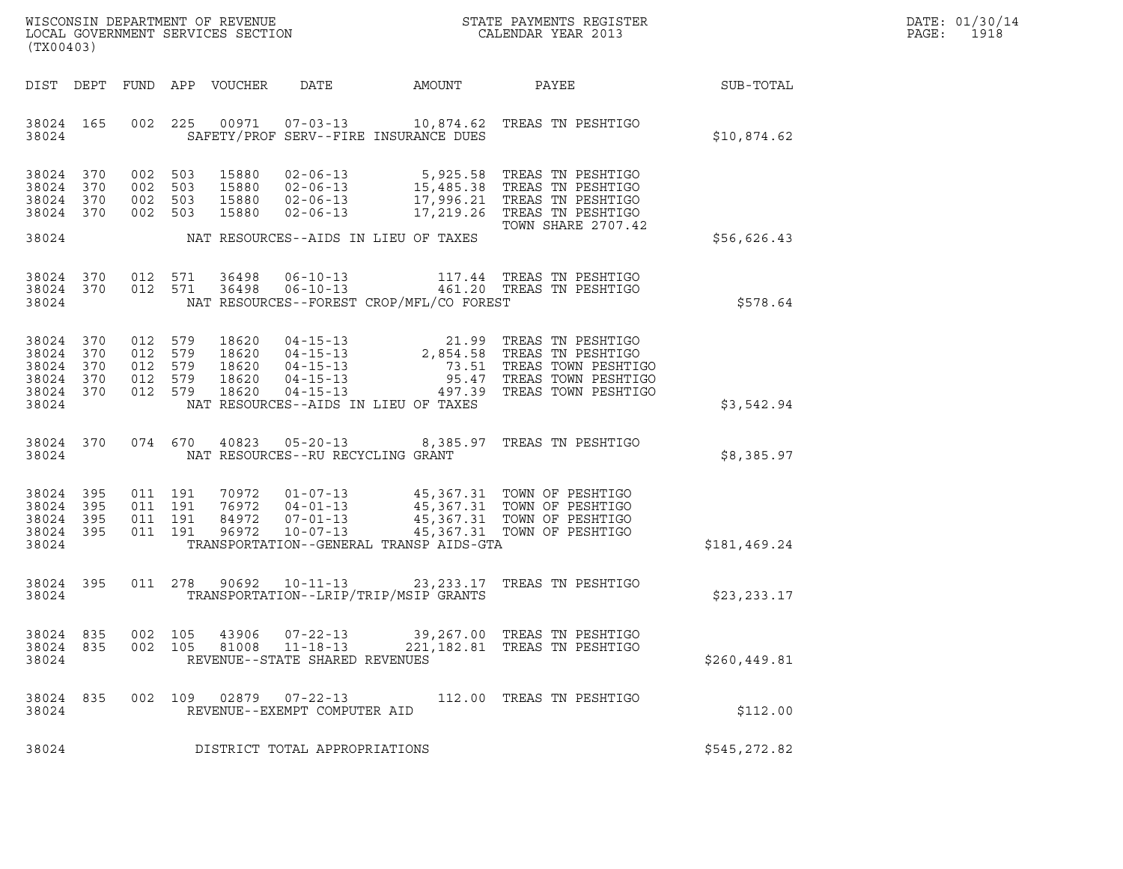|       | DATE: 01/30/14 |
|-------|----------------|
| PAGE: | 1918           |

| ${\tt WISCOONSIM\ DEPARTMENT\ OF\ REVENUE}\qquad \qquad {\tt STATE\ PAYMENTS\ REGISTER\ LOCAL\ GOVERNMENT\ SERVICES\ SECTION\qquad \qquad {\tt CALENDAR\ YEAR\ 2013}$<br>(TX00403) |     |     |                                          |                                 |                                                                    |                                          |                                                                                                                                                                                                                                       | DATE: 01/30/14<br>$\mathtt{PAGE:}$<br>1918 |  |
|------------------------------------------------------------------------------------------------------------------------------------------------------------------------------------|-----|-----|------------------------------------------|---------------------------------|--------------------------------------------------------------------|------------------------------------------|---------------------------------------------------------------------------------------------------------------------------------------------------------------------------------------------------------------------------------------|--------------------------------------------|--|
|                                                                                                                                                                                    |     |     |                                          | DIST DEPT FUND APP VOUCHER DATE |                                                                    | AMOUNT                                   |                                                                                                                                                                                                                                       | PAYEE SUB-TOTAL                            |  |
| 38024 165<br>38024                                                                                                                                                                 |     |     |                                          |                                 |                                                                    | SAFETY/PROF SERV--FIRE INSURANCE DUES    | 002 225 00971 07-03-13 10,874.62 TREAS TN PESHTIGO                                                                                                                                                                                    | \$10,874.62                                |  |
| 38024 370<br>38024<br>38024 370<br>38024 370                                                                                                                                       | 370 |     |                                          |                                 |                                                                    |                                          | 002 503 15880 02-06-13 5,925.58 TREAS TN PESHTIGO<br>002 503 15880 02-06-13 15,485.38 TREAS TN PESHTIGO<br>002 503 15880 02-06-13 17,996.21 TREAS TN PESHTIGO<br>002 503 15880 02-06-13 17,219.26 TREAS TN PESHTIGO                   |                                            |  |
| 38024                                                                                                                                                                              |     |     |                                          |                                 |                                                                    | NAT RESOURCES--AIDS IN LIEU OF TAXES     | TOWN SHARE 2707.42                                                                                                                                                                                                                    | \$56,626.43                                |  |
| 38024 370<br>38024 370<br>38024                                                                                                                                                    |     |     |                                          |                                 |                                                                    | NAT RESOURCES--FOREST CROP/MFL/CO FOREST | 012 571 36498 06-10-13 117.44 TREAS TN PESHTIGO<br>012 571 36498 06-10-13 461.20 TREAS TN PESHTIGO                                                                                                                                    | \$578.64                                   |  |
| 38024 370<br>38024 370<br>38024<br>38024 370<br>38024 370<br>38024                                                                                                                 | 370 |     |                                          |                                 |                                                                    | NAT RESOURCES--AIDS IN LIEU OF TAXES     | 012 579 18620 04-15-13 21.99 TREAS TN PESHTIGO<br>012 579 18620 04-15-13 2,854.58 TREAS TN PESHTIGO<br>012 579 18620 04-15-13 73.51 TREAS TOWN PESHTIGO<br>012 579 18620 04-15-13 95.47 TREAS TOWN PESHTIGO<br>012 579 18620 04-15-13 | \$3,542.94                                 |  |
| 38024 370<br>38024                                                                                                                                                                 |     |     |                                          |                                 | NAT RESOURCES--RU RECYCLING GRANT                                  |                                          | 074 670 40823 05-20-13 8,385.97 TREAS TN PESHTIGO                                                                                                                                                                                     | \$8,385.97                                 |  |
| 38024<br>38024 395<br>38024 395<br>38024 395<br>38024                                                                                                                              | 395 |     | 011 191<br>011 191<br>011 191<br>011 191 |                                 |                                                                    | TRANSPORTATION--GENERAL TRANSP AIDS-GTA  | 70972  01-07-13  45,367.31 TOWN OF PESHTIGO<br>76972  04-01-13  45,367.31 TOWN OF PESHTIGO<br>84972  07-01-13  45,367.31 TOWN OF PESHTIGO<br>96972  10-07-13  45,367.31 TOWN OF PESHTIGO                                              | \$181,469.24                               |  |
| 38024 395<br>38024                                                                                                                                                                 |     |     |                                          |                                 |                                                                    | TRANSPORTATION--LRIP/TRIP/MSIP GRANTS    | 011 278 90692 10-11-13 23,233.17 TREAS TN PESHTIGO                                                                                                                                                                                    | \$23,233.17                                |  |
| 38024 835<br>38024<br>38024                                                                                                                                                        | 835 | 002 | 105<br>002 105                           | 43906<br>81008                  | $07 - 22 - 13$<br>$11 - 18 - 13$<br>REVENUE--STATE SHARED REVENUES |                                          | 39,267.00 TREAS TN PESHTIGO<br>221, 182.81 TREAS TN PESHTIGO                                                                                                                                                                          | \$260, 449.81                              |  |
| 38024 835<br>38024                                                                                                                                                                 |     |     | 002 109                                  |                                 | $02879$ $07 - 22 - 13$<br>REVENUE--EXEMPT COMPUTER AID             |                                          | 112.00 TREAS TN PESHTIGO                                                                                                                                                                                                              | \$112.00                                   |  |
| 38024                                                                                                                                                                              |     |     |                                          |                                 | DISTRICT TOTAL APPROPRIATIONS                                      |                                          |                                                                                                                                                                                                                                       | \$545,272.82                               |  |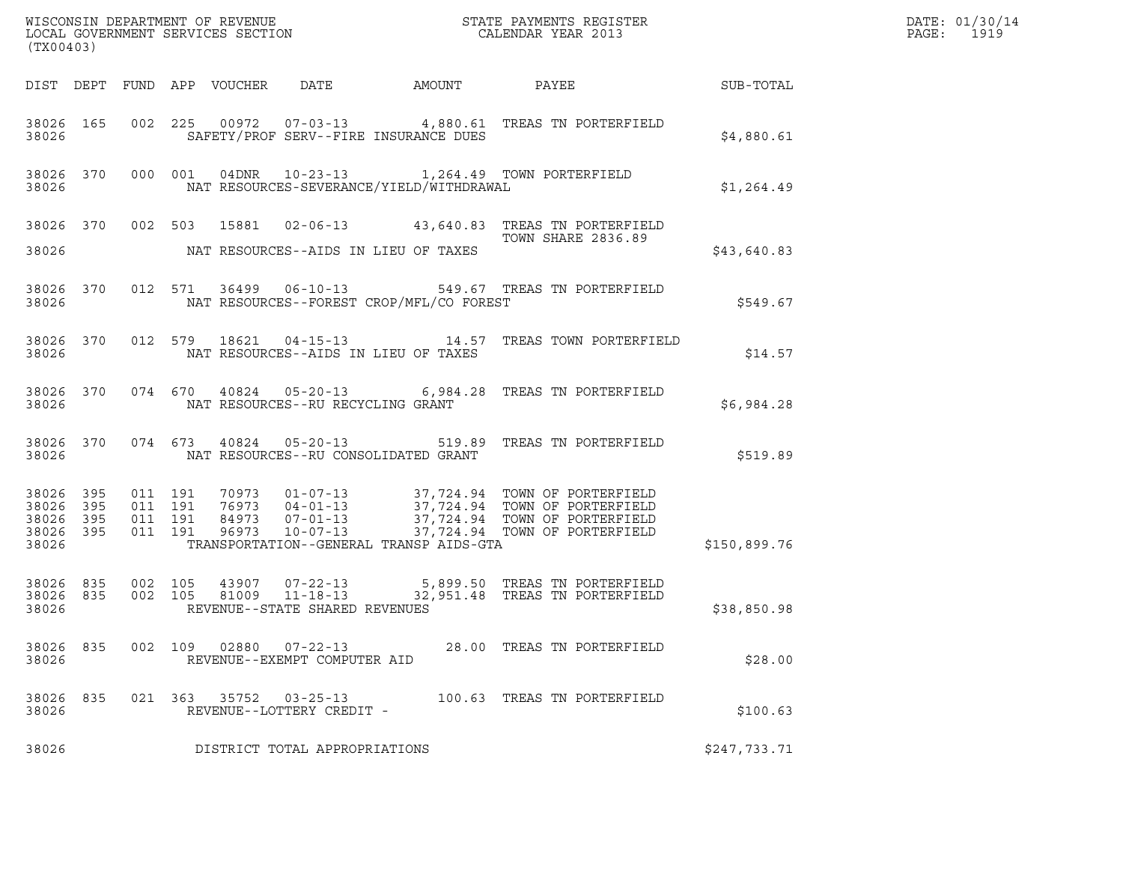| (TX00403)          |     |            |               |                                             |                                                |                                                                                                                                                                                                                                        |              | WISCONSIN DEPARTMENT OF REVENUE<br>LOCAL GOVERNMENT SERVICES SECTION<br>CALENDAR YEAR 2013 |
|--------------------|-----|------------|---------------|---------------------------------------------|------------------------------------------------|----------------------------------------------------------------------------------------------------------------------------------------------------------------------------------------------------------------------------------------|--------------|--------------------------------------------------------------------------------------------|
|                    |     |            |               |                                             |                                                | DIST DEPT FUND APP VOUCHER DATE AMOUNT PAYEE SUB-TOTAL                                                                                                                                                                                 |              |                                                                                            |
|                    |     | 38026 3802 |               |                                             | SAFETY/PROF SERV--FIRE INSURANCE DUES          | 38026 165 002 225 00972 07-03-13 4,880.61 TREAS TN PORTERFIELD                                                                                                                                                                         | \$4,880.61   |                                                                                            |
|                    |     |            |               |                                             |                                                | 38026 370 000 001 04DNR 10-23-13 1,264.49 TOWN PORTERFIELD<br>38026 NAT RESOURCES-SEVERANCE/YIELD/WITHDRAWAL                                                                                                                           | \$1,264.49   |                                                                                            |
|                    |     |            |               |                                             | 38026 NAT RESOURCES--AIDS IN LIEU OF TAXES     | 38026 370 002 503 15881 02-06-13 43,640.83 TREAS TN PORTERFIELD<br>TOWN SHARE 2836.89                                                                                                                                                  | \$43,640.83  |                                                                                            |
|                    |     |            |               |                                             | 38026 NAT RESOURCES--FOREST CROP/MFL/CO FOREST | 38026 370 012 571 36499 06-10-13 549.67 TREAS TN PORTERFIELD                                                                                                                                                                           | \$549.67     |                                                                                            |
|                    |     |            |               |                                             | 38026 NAT RESOURCES--AIDS IN LIEU OF TAXES     | 38026 370 012 579 18621 04-15-13 14.57 TREAS TOWN PORTERFIELD                                                                                                                                                                          | \$14.57      |                                                                                            |
|                    |     |            |               | 38026 NAT RESOURCES--RU RECYCLING GRANT     |                                                | 38026 370 074 670 40824 05-20-13 6,984.28 TREAS TN PORTERFIELD                                                                                                                                                                         | \$6,984.28   |                                                                                            |
|                    |     |            |               |                                             |                                                | 38026 370 074 673 40824 05-20-13 519.89 TREAS TN PORTERFIELD                                                                                                                                                                           | \$519.89     |                                                                                            |
| 38026              |     |            |               |                                             | TRANSPORTATION--GENERAL TRANSP AIDS-GTA        | 38026 395 011 191 70973 01-07-13 37,724.94 TOWN OF PORTERFIELD<br>38026 395 011 191 76973 04-01-13 37,724.94 TOWN OF PORTERFIELD<br>38026 395 011 191 84973 07-01-13 37,724.94 TOWN OF PORTERFIELD<br>38026 395 011 191 96973 10-07-13 | \$150,899.76 |                                                                                            |
| 38026              |     |            |               | REVENUE--STATE SHARED REVENUES              |                                                | 38026 835 002 105 43907 07-22-13 5,899.50 TREAS TN PORTERFIELD<br>38026 835 002 105 81009 11-18-13 32,951.48 TREAS TN PORTERFIELD                                                                                                      | \$38,850.98  |                                                                                            |
| 38026 835<br>38026 |     | 002 109    | 02880         | 07-22-13<br>REVENUE--EXEMPT COMPUTER AID    |                                                | 28.00 TREAS TN PORTERFIELD                                                                                                                                                                                                             | \$28.00      |                                                                                            |
| 38026<br>38026     | 835 |            | 021 363 35752 | $03 - 25 - 13$<br>REVENUE--LOTTERY CREDIT - |                                                | 100.63 TREAS TN PORTERFIELD                                                                                                                                                                                                            | \$100.63     |                                                                                            |
| 38026              |     |            |               | DISTRICT TOTAL APPROPRIATIONS               |                                                |                                                                                                                                                                                                                                        | \$247,733.71 |                                                                                            |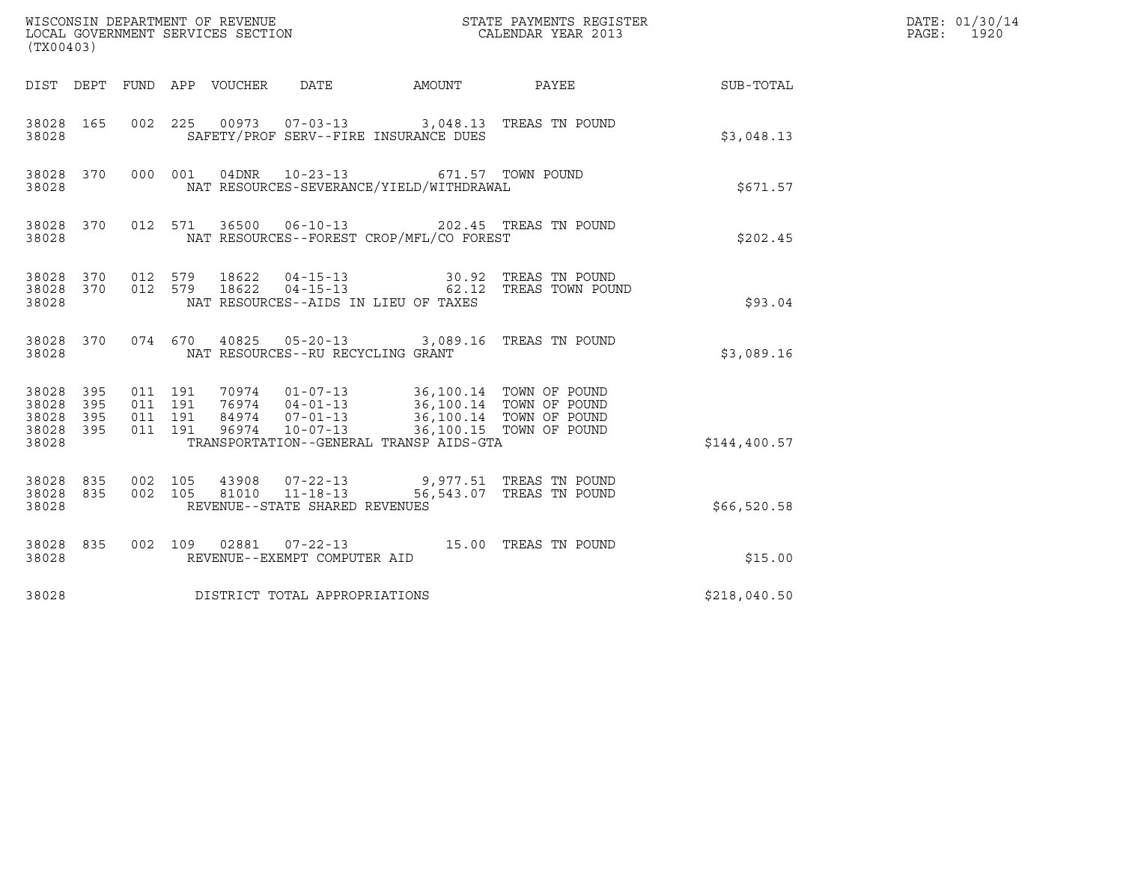| (TX00403)                                 |                          |                                          |         |                            | WISCONSIN DEPARTMENT OF REVENUE<br>LOCAL GOVERNMENT SERVICES SECTION |                                                                                                                                                                                | STATE PAYMENTS REGISTER<br>CALENDAR YEAR 2013 |              | DATE: 01/30/14<br>$\mathtt{PAGE:}$<br>1920 |
|-------------------------------------------|--------------------------|------------------------------------------|---------|----------------------------|----------------------------------------------------------------------|--------------------------------------------------------------------------------------------------------------------------------------------------------------------------------|-----------------------------------------------|--------------|--------------------------------------------|
|                                           |                          |                                          |         | DIST DEPT FUND APP VOUCHER | DATE                                                                 | AMOUNT PAYEE                                                                                                                                                                   |                                               | SUB-TOTAL    |                                            |
| 38028 165<br>38028                        |                          |                                          |         |                            |                                                                      | 002 225 00973 07-03-13 3,048.13 TREAS TN POUND<br>SAFETY/PROF SERV--FIRE INSURANCE DUES                                                                                        |                                               | \$3,048.13   |                                            |
| 38028 370<br>38028                        |                          | 000 001                                  |         | 04DNR                      | $10 - 23 - 13$                                                       | NAT RESOURCES-SEVERANCE/YIELD/WITHDRAWAL                                                                                                                                       | 671.57 TOWN POUND                             | \$671.57     |                                            |
| 38028 370<br>38028                        |                          |                                          | 012 571 |                            |                                                                      | 36500  06-10-13  202.45  TREAS TN POUND<br>NAT RESOURCES--FOREST CROP/MFL/CO FOREST                                                                                            |                                               | \$202.45     |                                            |
| 38028 370 012 579<br>38028 370<br>38028   |                          | 012 579                                  |         | 18622<br>18622             |                                                                      | NAT RESOURCES--AIDS IN LIEU OF TAXES                                                                                                                                           |                                               | \$93.04      |                                            |
| 38028 370<br>38028                        |                          | 074 670                                  |         |                            | NAT RESOURCES--RU RECYCLING GRANT                                    | 40825  05-20-13  3,089.16  TREAS TN POUND                                                                                                                                      |                                               | \$3,089.16   |                                            |
| 38028<br>38028<br>38028<br>38028<br>38028 | 395<br>395<br>395<br>395 | 011 191<br>011 191<br>011 191<br>011 191 |         | 96974                      | $10 - 07 - 13$                                                       | 70974  01-07-13  36,100.14  TOWN OF POUND<br>76974  04-01-13  36,100.14  TOWN OF POUND<br>84974  07-01-13  36,100.14  TOWN OF POUND<br>TRANSPORTATION--GENERAL TRANSP AIDS-GTA | 36,100.15 TOWN OF POUND                       | \$144,400.57 |                                            |
| 38028 835<br>38028 835<br>38028           |                          | 002 105<br>002 105                       |         | 43908                      | 81010 11-18-13<br>REVENUE--STATE SHARED REVENUES                     | 07-22-13 9,977.51 TREAS TN POUND                                                                                                                                               | 56,543.07 TREAS TN POUND                      | \$66,520.58  |                                            |
| 38028 835<br>38028                        |                          |                                          |         |                            | REVENUE--EXEMPT COMPUTER AID                                         | 002 109 02881 07-22-13 15.00 TREAS TN POUND                                                                                                                                    |                                               | \$15.00      |                                            |
| 38028                                     |                          |                                          |         |                            | DISTRICT TOTAL APPROPRIATIONS                                        |                                                                                                                                                                                |                                               | \$218,040.50 |                                            |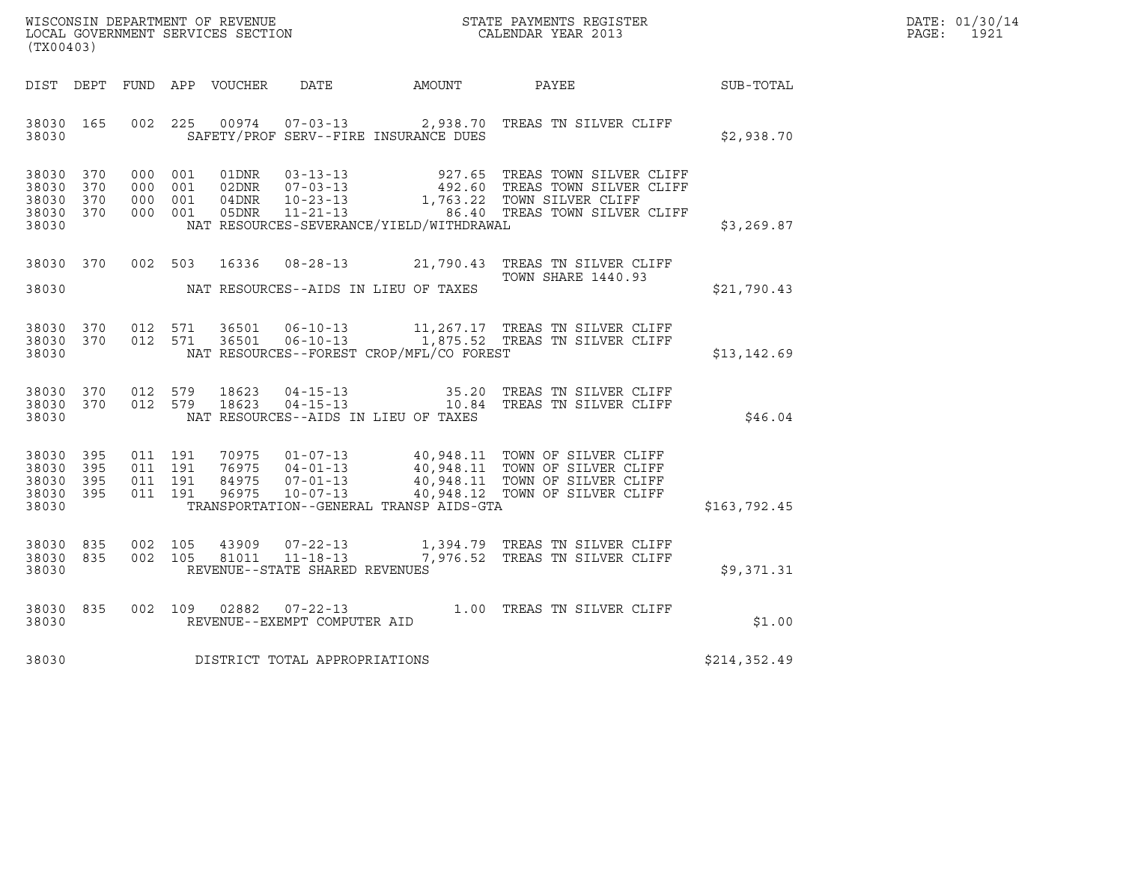| WISCONSIN DEPARTMENT OF REVENUE   | STATE PAYMENTS REGISTER | DATE: 01/30/14 |
|-----------------------------------|-------------------------|----------------|
| LOCAL GOVERNMENT SERVICES SECTION | CALENDAR YEAR 2013      | 1921<br>PAGE : |

| (TX00403)                                                 |     |  |                                          |                                |                                             |                                                                                                                                                                                                                                  |              | DATE: 01/30/14<br>PAGE: 1921 |
|-----------------------------------------------------------|-----|--|------------------------------------------|--------------------------------|---------------------------------------------|----------------------------------------------------------------------------------------------------------------------------------------------------------------------------------------------------------------------------------|--------------|------------------------------|
|                                                           |     |  |                                          |                                |                                             |                                                                                                                                                                                                                                  |              |                              |
| 38030 165                                                 |     |  |                                          |                                | 38030 SAFETY/PROF SERV--FIRE INSURANCE DUES | 002 225 00974 07-03-13 2,938.70 TREAS TN SILVER CLIFF                                                                                                                                                                            | \$2,938.70   |                              |
| 38030 370<br>38030 370<br>38030 370<br>38030 370<br>38030 |     |  |                                          |                                | NAT RESOURCES-SEVERANCE/YIELD/WITHDRAWAL    |                                                                                                                                                                                                                                  | \$3,269.87   |                              |
|                                                           |     |  |                                          |                                | 38030 MAT RESOURCES--AIDS IN LIEU OF TAXES  | 38030 370 002 503 16336 08-28-13 21,790.43 TREAS TN SILVER CLIFF<br><b>TOWN SHARE 1440.93</b>                                                                                                                                    | \$21,790.43  |                              |
| 38030                                                     |     |  |                                          |                                | NAT RESOURCES--FOREST CROP/MFL/CO FOREST    | 38030 370 012 571 36501 06-10-13 11,267.17 TREAS TN SILVER CLIFF 38030 370 012 571 36501 06-10-13 1,875.52 TREAS TN SILVER CLIFF                                                                                                 | \$13,142.69  |                              |
| 38030 370<br>38030                                        |     |  | 38030 370 012 579 18623<br>012 579 18623 |                                | NAT RESOURCES--AIDS IN LIEU OF TAXES        | 04-15-13 35.20 TREAS TN SILVER CLIFF<br>04-15-13 10.84 TREAS TN SILVER CLIFF                                                                                                                                                     | \$46.04      |                              |
| 38030 395<br>38030 395<br>38030 395<br>38030 395<br>38030 |     |  |                                          |                                | TRANSPORTATION--GENERAL TRANSP AIDS-GTA     | 011 191 70975 01-07-13 40,948.11 TOWN OF SILVER CLIFF<br>011 191 76975 04-01-13 40,948.11 TOWN OF SILVER CLIFF<br>011 191 96975 10-07-13 40,948.11 TOWN OF SILVER CLIFF<br>011 191 96975 10-07-13 40,948.12 TOWN OF SILVER CLIFF | \$163,792.45 |                              |
| 38030 835<br>38030 835<br>38030                           |     |  |                                          | REVENUE--STATE SHARED REVENUES |                                             | 002 105 43909 07-22-13 1,394.79 TREAS TN SILVER CLIFF 002 105 81011 11-18-13 7,976.52 TREAS TN SILVER CLIFF                                                                                                                      | \$9,371.31   |                              |
| 38030<br>38030                                            | 835 |  |                                          | REVENUE--EXEMPT COMPUTER AID   |                                             | 002 109 02882 07-22-13 1.00 TREAS TN SILVER CLIFF                                                                                                                                                                                | \$1.00       |                              |
| 38030                                                     |     |  |                                          | DISTRICT TOTAL APPROPRIATIONS  |                                             |                                                                                                                                                                                                                                  | \$214,352.49 |                              |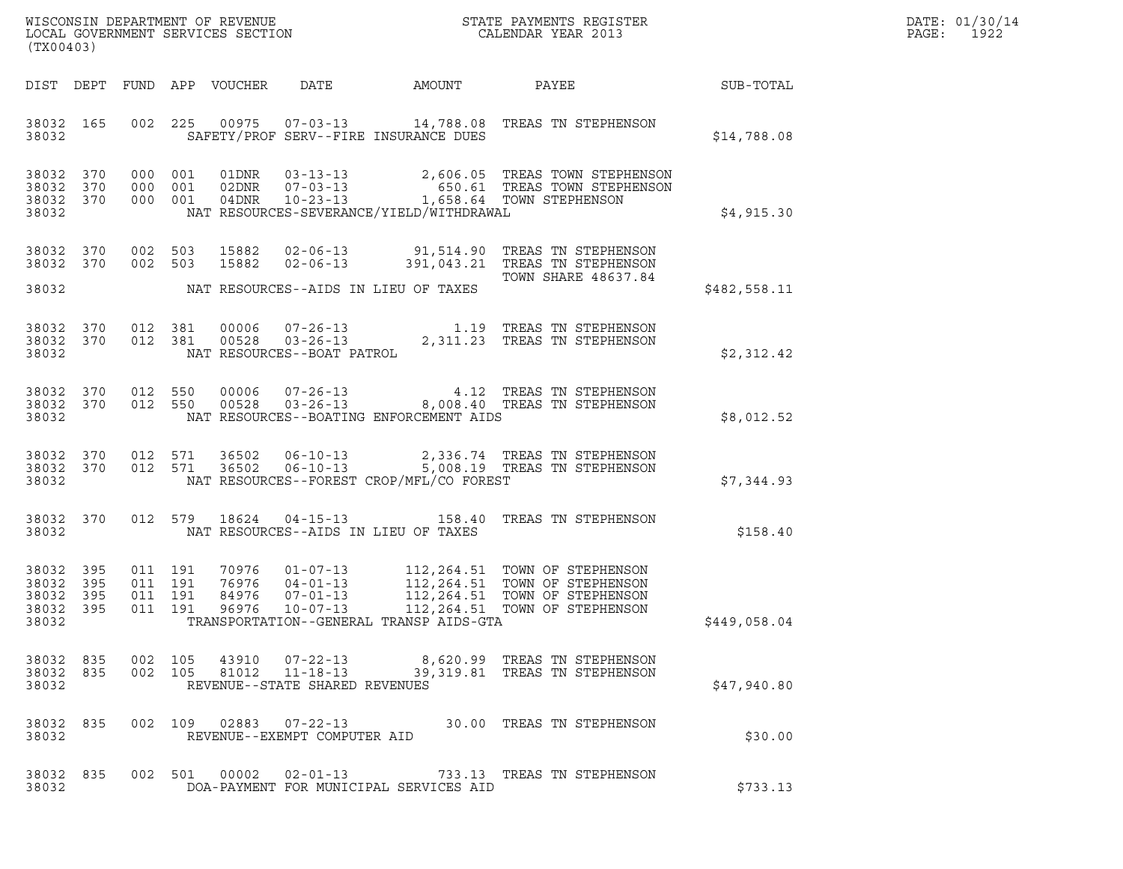| DATE: | 01/30/14 |
|-------|----------|
| PAGE: | 1922     |

| (TX00403)                                         |            |                                          | $\tt WISCONSIM DEPARTMENT OF REVENUE$ $\tt WISCONSIM EN THE BAYMENTS REGISTERLOCAL GOVERNMENT SERVICES SECTION CALENDAR YEAR 2013$                                                                                                                                                                                                    |              | DATE: 01/30/14<br>PAGE:<br>1922 |
|---------------------------------------------------|------------|------------------------------------------|---------------------------------------------------------------------------------------------------------------------------------------------------------------------------------------------------------------------------------------------------------------------------------------------------------------------------------------|--------------|---------------------------------|
|                                                   |            |                                          | DIST DEPT FUND APP VOUCHER<br>DATE<br>AMOUNT<br>PAYEE                                                                                                                                                                                                                                                                                 | SUB-TOTAL    |                                 |
| 38032 165<br>38032                                |            |                                          | 002  225  00975  07-03-13  14,788.08  TREAS TN STEPHENSON<br>SAFETY/PROF SERV--FIRE INSURANCE DUES                                                                                                                                                                                                                                    | \$14,788.08  |                                 |
| 38032 370<br>38032<br>38032 370<br>38032          | 370        | 000 001<br>000 001<br>000 001            | $\begin{array}{lllllllllll} 01\text{DNR} & 03-13-13 & 2,606.05 & \text{TREAS} & \text{TOWN} & \text{STEPHENSON} \\ 02\text{DNR} & 07-03-13 & 650.61 & \text{TREAS} & \text{TOWN} & \text{STEPHENSON} \\ 04\text{DNR} & 10-23-13 & 1,658.64 & \text{TOWN} & \text{STEPHENSON} \end{array}$<br>NAT RESOURCES-SEVERANCE/YIELD/WITHDRAWAL | \$4,915.30   |                                 |
| 38032 370<br>38032 370<br>38032                   |            | 002 503<br>002 503                       | 15882<br>02-06-13 91,514.90 TREAS TN STEPHENSON<br>$02 - 06 - 13$<br>15882<br>391,043.21 TREAS TN STEPHENSON<br>TOWN SHARE 48637.84<br>NAT RESOURCES--AIDS IN LIEU OF TAXES                                                                                                                                                           | \$482,558.11 |                                 |
| 38032 370<br>38032 370<br>38032                   |            | 012 381<br>012 381                       | 00006  07-26-13   1.19   TREAS TN STEPHENSON<br>00528   03-26-13   2,311.23   TREAS TN STEPHENSON<br>NAT RESOURCES--BOAT PATROL                                                                                                                                                                                                       | \$2,312.42   |                                 |
| 38032 370<br>38032 370<br>38032                   |            | 012 550<br>012 550                       | 00006<br>07-26-13 4.12 TREAS TN STEPHENSON<br>03-26-13 8,008.40 TREAS TN STEPHENSON<br>00528<br>NAT RESOURCES--BOATING ENFORCEMENT AIDS                                                                                                                                                                                               | \$8,012.52   |                                 |
| 38032 370<br>38032 370<br>38032                   |            | 012 571<br>012 571                       | 36502<br>$06 - 10 - 13$<br>2,336.74 TREAS TN STEPHENSON<br>36502<br>$06 - 10 - 13$<br>5,008.19 TREAS TN STEPHENSON<br>NAT RESOURCES--FOREST CROP/MFL/CO FOREST                                                                                                                                                                        | \$7,344.93   |                                 |
| 38032 370<br>38032                                |            | 012 579                                  | 04-15-13 158.40 TREAS TN STEPHENSON<br>18624<br>NAT RESOURCES--AIDS IN LIEU OF TAXES                                                                                                                                                                                                                                                  | \$158.40     |                                 |
| 38032 395<br>38032 395<br>38032<br>38032<br>38032 | 395<br>395 | 011 191<br>011 191<br>011 191<br>011 191 | 70976<br>$01 - 07 - 13$<br>$04 - 01 - 13$<br>$07 - 01 - 13$<br>112, 264.51 TOWN OF STEPHENSON<br>112, 264.51 TOWN OF STEPHENSON<br>76976<br>$04 - 01 - 13$<br>112,264.51 TOWN OF STEPHENSON<br>84976<br>96976<br>$10 - 07 - 13$<br>112,264.51 TOWN OF STEPHENSON<br>TRANSPORTATION--GENERAL TRANSP AIDS-GTA                           | \$449,058.04 |                                 |
| 38032                                             |            |                                          | $\begin{array}{cccccc} 3\,8\,0\,3\,2 & 8\,3\,5 & 0\,0\,2 & 1\,0\,5 & 4\,3\,9\,1\,0 & 0\,7\,-2\,2\,-1\,3 & 8\,,6\,2\,0\,.9\,9 & \text{TREAS TN STEPHENSON} \\ 3\,8\,0\,3\,2 & 8\,3\,5 & 0\,0\,2 & 1\,0\,5 & 8\,1\,0\,1\,2 & 1\,1\,-1\,8\,-1\,3 & 3\,9\,,\,3\,1\,9\,.8\,1 & \text{TREAS TN STEPHEN$<br>REVENUE--STATE SHARED REVENUES   | \$47,940.80  |                                 |
| 38032 835<br>38032                                |            |                                          | 002 109 02883 07-22-13 30.00 TREAS TN STEPHENSON<br>REVENUE--EXEMPT COMPUTER AID                                                                                                                                                                                                                                                      | \$30.00      |                                 |
| 38032 835<br>38032                                |            |                                          | 002 501 00002 02-01-13 733.13 TREAS TN STEPHENSON<br>DOA-PAYMENT FOR MUNICIPAL SERVICES AID                                                                                                                                                                                                                                           | \$733.13     |                                 |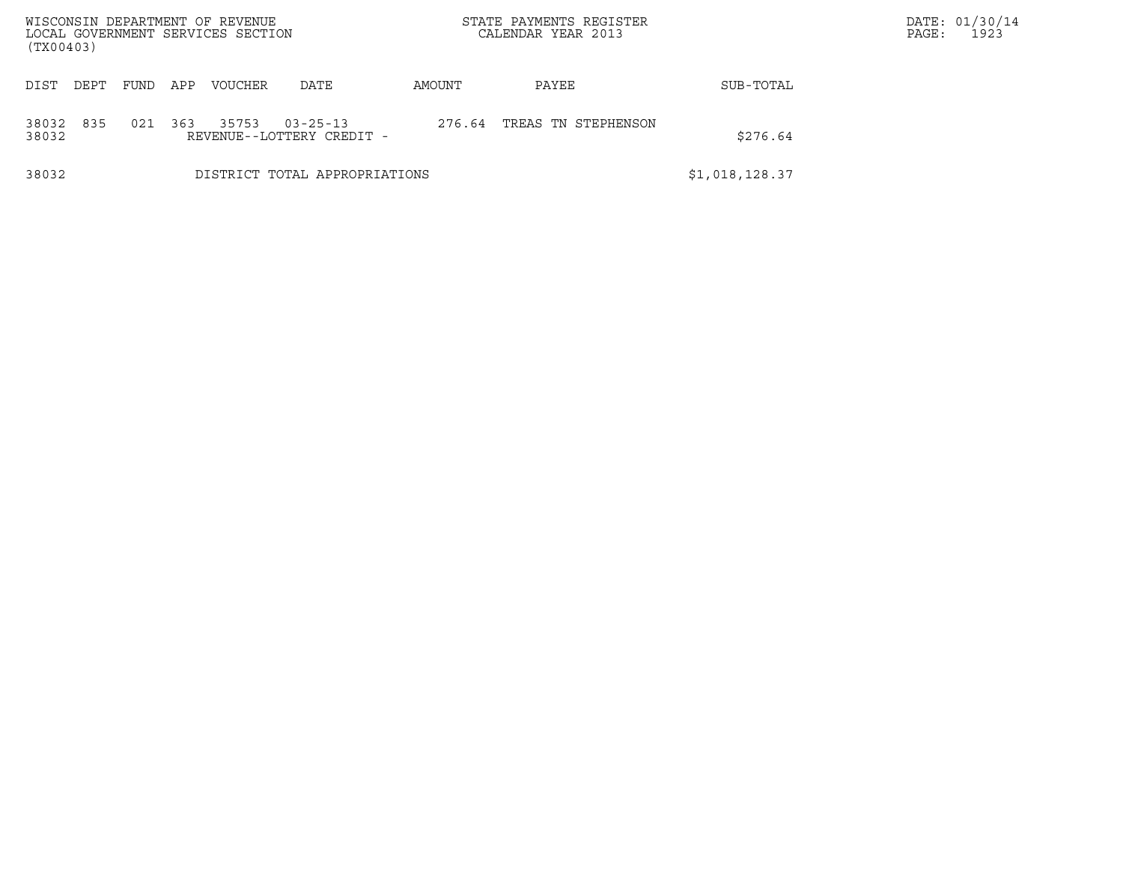| WISCONSIN DEPARTMENT OF REVENUE<br>LOCAL GOVERNMENT SERVICES SECTION<br>(TX00403) |                                                                                                     |     |         |                               |        | STATE PAYMENTS REGISTER<br>CALENDAR YEAR 2013 |                | DATE: 01/30/14<br>1923<br>PAGE: |
|-----------------------------------------------------------------------------------|-----------------------------------------------------------------------------------------------------|-----|---------|-------------------------------|--------|-----------------------------------------------|----------------|---------------------------------|
|                                                                                   |                                                                                                     |     |         |                               |        |                                               |                |                                 |
| DEPT<br>DIST                                                                      | FUND                                                                                                | APP | VOUCHER | DATE                          | AMOUNT | PAYEE                                         | SUB-TOTAL      |                                 |
| 835<br>38032<br>38032                                                             | 021<br>363<br>35753<br>TREAS TN STEPHENSON<br>$03 - 25 - 13$<br>276.64<br>REVENUE--LOTTERY CREDIT - |     |         |                               |        |                                               | \$276.64       |                                 |
| 38032                                                                             |                                                                                                     |     |         | DISTRICT TOTAL APPROPRIATIONS |        |                                               | \$1,018,128.37 |                                 |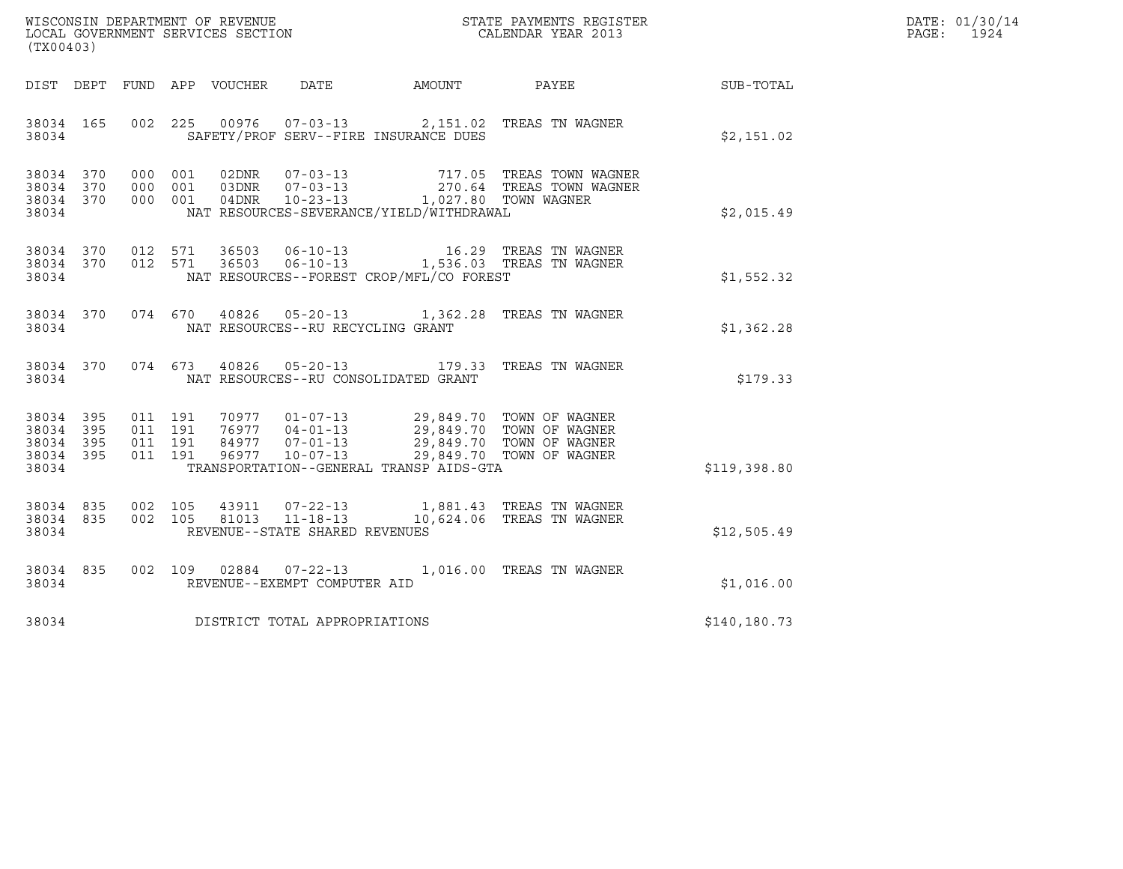| DATE: | 01/30/14 |
|-------|----------|
| PAGE: | 1924     |

| (TX00403)                                                 |  |  |         |                        |                                |                                                                                                                                                                                                                                                                                                                                                        |                                                                                                                                                                                                                                                                                     |              | DATE: 01/30/14<br>PAGE: 1924 |
|-----------------------------------------------------------|--|--|---------|------------------------|--------------------------------|--------------------------------------------------------------------------------------------------------------------------------------------------------------------------------------------------------------------------------------------------------------------------------------------------------------------------------------------------------|-------------------------------------------------------------------------------------------------------------------------------------------------------------------------------------------------------------------------------------------------------------------------------------|--------------|------------------------------|
|                                                           |  |  |         |                        |                                |                                                                                                                                                                                                                                                                                                                                                        | DIST DEPT FUND APP VOUCHER DATE AMOUNT PAYEE SUB-TOTAL                                                                                                                                                                                                                              |              |                              |
| 38034 165<br>38034                                        |  |  |         |                        |                                | SAFETY/PROF SERV--FIRE INSURANCE DUES                                                                                                                                                                                                                                                                                                                  | 002 225 00976 07-03-13 2,151.02 TREAS TN WAGNER                                                                                                                                                                                                                                     | \$2,151.02   |                              |
| 38034 370<br>38034 370<br>38034 370<br>38034              |  |  |         |                        |                                | NAT RESOURCES-SEVERANCE/YIELD/WITHDRAWAL                                                                                                                                                                                                                                                                                                               | 717.05 TREAS TOWN WAGNER<br>000 001 02DNR 07-03-13 717.05 TREAS TOWN WAGNER<br>000 001 03DNR 07-03-13 270.64 TREAS TOWN WAGNER<br>000 001 04DNR 10-23-13 1,027.80 TOWN WAGNER                                                                                                       | \$2,015.49   |                              |
| 38034                                                     |  |  |         |                        |                                | NAT RESOURCES--FOREST CROP/MFL/CO FOREST                                                                                                                                                                                                                                                                                                               | $\begin{array}{cccccc} 3\,8\,0\,3\,4 & 3\,7\,0 & 0\,1\,2 & 5\,7\,1 & 3\,6\,5\,0\,3 & 0\,6\, -\,1\,0\, -\,1\,3 & 1\,6\,.\,2\,9 & \text{TREAS TN WAGNER} \\ 3\,8\,0\,3\,4 & 3\,7\,0 & 0\,1\,2 & 5\,7\,1 & 3\,6\,5\,0\,3 & 0\,6\, -\,1\,0\, -\,1\,3 & 1\,5\,3\,6\,.\,0\,3 & \text{TRE$ | \$1,552.32   |                              |
| 38034                                                     |  |  |         |                        |                                | NAT RESOURCES--RU RECYCLING GRANT                                                                                                                                                                                                                                                                                                                      | 38034 370 074 670 40826 05-20-13 1,362.28 TREAS TN WAGNER                                                                                                                                                                                                                           | \$1,362.28   |                              |
| 38034                                                     |  |  |         |                        |                                | NAT RESOURCES--RU CONSOLIDATED GRANT                                                                                                                                                                                                                                                                                                                   | 38034 370 074 673 40826 05-20-13 179.33 TREAS TN WAGNER                                                                                                                                                                                                                             | \$179.33     |                              |
| 38034 395<br>38034 395<br>38034 395<br>38034 395<br>38034 |  |  |         |                        |                                | $\begin{array}{cccccc} 011 & 191 & 70977 & 01-07-13 & 29,849.70 & TOWN OF WAGNER \\ 011 & 191 & 76977 & 04-01-13 & 29,849.70 & TOWN OF WAGNER \\ 011 & 191 & 84977 & 07-01-13 & 29,849.70 & TOWN OF WAGNER \\ 011 & 191 & 96977 & 10-07-13 & 29,849.70 & TOWN OF WAGNER \\ 011 & 191 & 96977 & 10-07-13 & $<br>TRANSPORTATION--GENERAL TRANSP AIDS-GTA |                                                                                                                                                                                                                                                                                     | \$119,398.80 |                              |
| 38034 835<br>38034 835<br>38034                           |  |  | 002 105 | 002 105 43911<br>81013 | REVENUE--STATE SHARED REVENUES |                                                                                                                                                                                                                                                                                                                                                        | 07-22-13 1,881.43 TREAS TN WAGNER<br>11-18-13    10,624.06 TREAS TN WAGNER                                                                                                                                                                                                          | \$12,505.49  |                              |
| 38034 835<br>38034                                        |  |  |         |                        | REVENUE--EXEMPT COMPUTER AID   |                                                                                                                                                                                                                                                                                                                                                        | 002 109 02884 07-22-13 1,016.00 TREAS TN WAGNER                                                                                                                                                                                                                                     | \$1,016.00   |                              |
| 38034                                                     |  |  |         |                        | DISTRICT TOTAL APPROPRIATIONS  |                                                                                                                                                                                                                                                                                                                                                        |                                                                                                                                                                                                                                                                                     | \$140,180.73 |                              |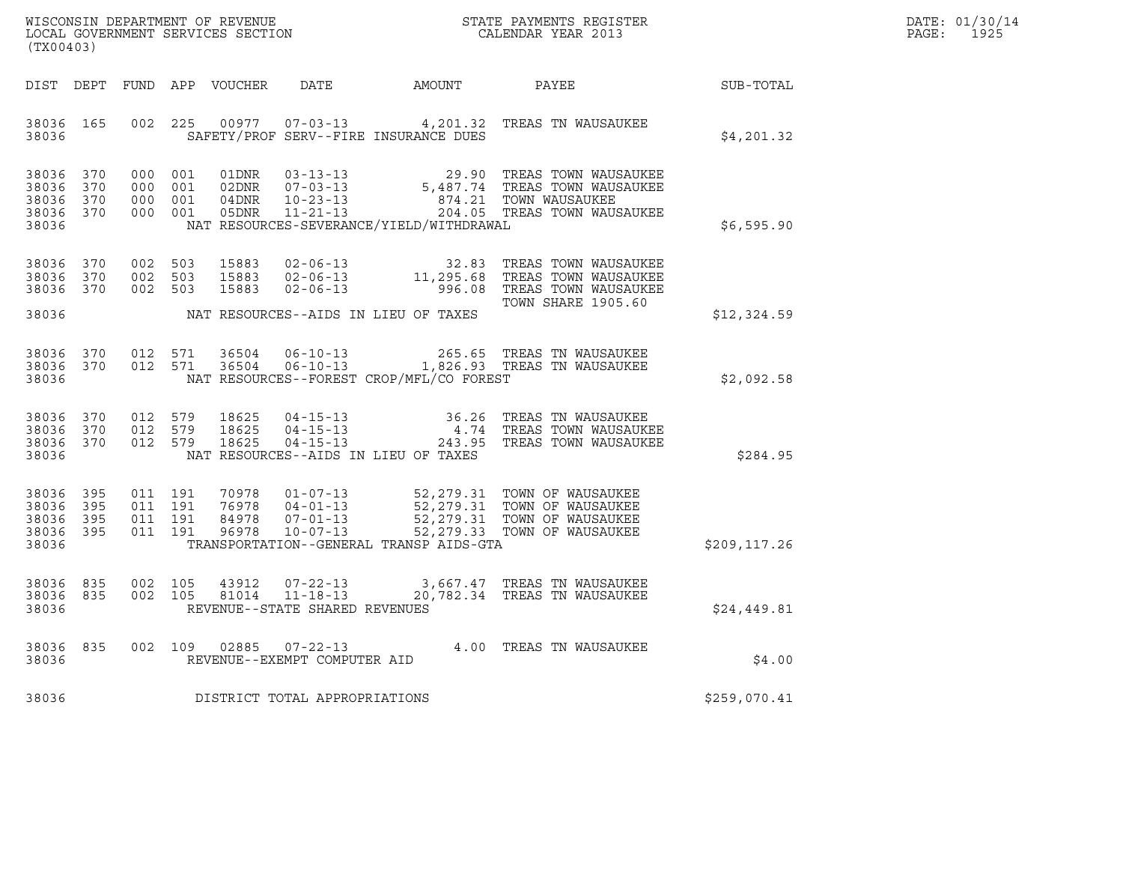| WISCONSIN DEPARTMENT OF REVENUE   | STATE PAYMENTS REGISTER | DATE: 01/30/14 |
|-----------------------------------|-------------------------|----------------|
| LOCAL GOVERNMENT SERVICES SECTION | CALENDAR YEAR 2013      | 1925<br>PAGE : |

|                                           | WISCONSIN DEPARTMENT OF REVENUE<br>STATE PAYMENTS REGISTER<br>LOCAL GOVERNMENT SERVICES SECTION<br>CALENDAR YEAR 2013<br>(TX00403) |                          |                          |                                  |                                                                      |                                                                                              |                                                                                                   |              |
|-------------------------------------------|------------------------------------------------------------------------------------------------------------------------------------|--------------------------|--------------------------|----------------------------------|----------------------------------------------------------------------|----------------------------------------------------------------------------------------------|---------------------------------------------------------------------------------------------------|--------------|
| DIST                                      | DEPT                                                                                                                               | FUND                     | APP                      | VOUCHER                          | DATE                                                                 | AMOUNT                                                                                       | PAYEE                                                                                             | SUB-TOTAL    |
| 38036<br>38036                            | 165                                                                                                                                | 002                      | 225                      | 00977                            | $07 - 03 - 13$                                                       | 4,201.32<br>SAFETY/PROF SERV--FIRE INSURANCE DUES                                            | TREAS TN WAUSAUKEE                                                                                | \$4,201.32   |
| 38036<br>38036<br>38036<br>38036<br>38036 | 370<br>370<br>370<br>370                                                                                                           | 000<br>000<br>000<br>000 | 001<br>001<br>001<br>001 | 01DNR<br>02DNR<br>04DNR<br>05DNR | $03 - 13 - 13$<br>$07 - 03 - 13$<br>$10 - 23 - 13$<br>$11 - 21 - 13$ | 29.90<br>5,487.74<br>874.21<br>NAT RESOURCES-SEVERANCE/YIELD/WITHDRAWAL                      | TREAS TOWN WAUSAUKEE<br>TREAS TOWN WAUSAUKEE<br>TOWN WAUSAUKEE<br>204.05 TREAS TOWN WAUSAUKEE     | \$6,595.90   |
| 38036<br>38036<br>38036                   | 370<br>370<br>370                                                                                                                  | 002<br>002<br>002        | 503<br>503<br>503        | 15883<br>15883<br>15883          | $02 - 06 - 13$<br>$02 - 06 - 13$<br>$02 - 06 - 13$                   | 32.83<br>11,295.68<br>996.08                                                                 | TREAS TOWN WAUSAUKEE<br>TREAS TOWN WAUSAUKEE<br>TREAS TOWN WAUSAUKEE<br><b>TOWN SHARE 1905.60</b> |              |
| 38036                                     |                                                                                                                                    |                          |                          |                                  |                                                                      | NAT RESOURCES--AIDS IN LIEU OF TAXES                                                         |                                                                                                   | \$12,324.59  |
| 38036<br>38036<br>38036                   | 370<br>370                                                                                                                         | 012<br>012               | 571<br>571               | 36504<br>36504                   | $06 - 10 - 13$<br>$06 - 10 - 13$                                     | 265.65<br>NAT RESOURCES--FOREST CROP/MFL/CO FOREST                                           | TREAS TN WAUSAUKEE<br>1,826.93 TREAS TN WAUSAUKEE                                                 | \$2,092.58   |
| 38036<br>38036<br>38036<br>38036          | 370<br>370<br>370                                                                                                                  | 012<br>012<br>012        | 579<br>579<br>579        | 18625<br>18625<br>18625          | $04 - 15 - 13$<br>$04 - 15 - 13$<br>$04 - 15 - 13$                   | 36.26<br>4.74<br>243.95<br>NAT RESOURCES--AIDS IN LIEU OF TAXES                              | TREAS TN WAUSAUKEE<br>TREAS TOWN WAUSAUKEE<br>TREAS TOWN WAUSAUKEE                                | \$284.95     |
| 38036<br>38036<br>38036<br>38036<br>38036 | 395<br>395<br>395<br>395                                                                                                           | 011<br>011<br>011<br>011 | 191<br>191<br>191<br>191 | 70978<br>76978<br>84978<br>96978 | $01 - 07 - 13$<br>$04 - 01 - 13$<br>$07 - 01 - 13$<br>$10 - 07 - 13$ | 52,279.31<br>52,279.31<br>52,279.31<br>52, 279.33<br>TRANSPORTATION--GENERAL TRANSP AIDS-GTA | TOWN OF WAUSAUKEE<br>TOWN OF WAUSAUKEE<br>TOWN OF WAUSAUKEE<br>TOWN OF WAUSAUKEE                  | \$209,117.26 |
| 38036<br>38036<br>38036                   | 835<br>835                                                                                                                         | 002<br>002               | 105<br>105               | 43912<br>81014                   | $07 - 22 - 13$<br>$11 - 18 - 13$<br>REVENUE--STATE SHARED REVENUES   | 3,667.47<br>20,782.34                                                                        | TREAS TN WAUSAUKEE<br>TREAS TN WAUSAUKEE                                                          | \$24,449.81  |
| 38036<br>38036                            | 835                                                                                                                                | 002                      | 109                      | 02885                            | $07 - 22 - 13$<br>REVENUE--EXEMPT COMPUTER AID                       | 4.00                                                                                         | TREAS TN WAUSAUKEE                                                                                | \$4.00       |
| 38036                                     |                                                                                                                                    |                          |                          |                                  | DISTRICT TOTAL APPROPRIATIONS                                        |                                                                                              |                                                                                                   | \$259,070.41 |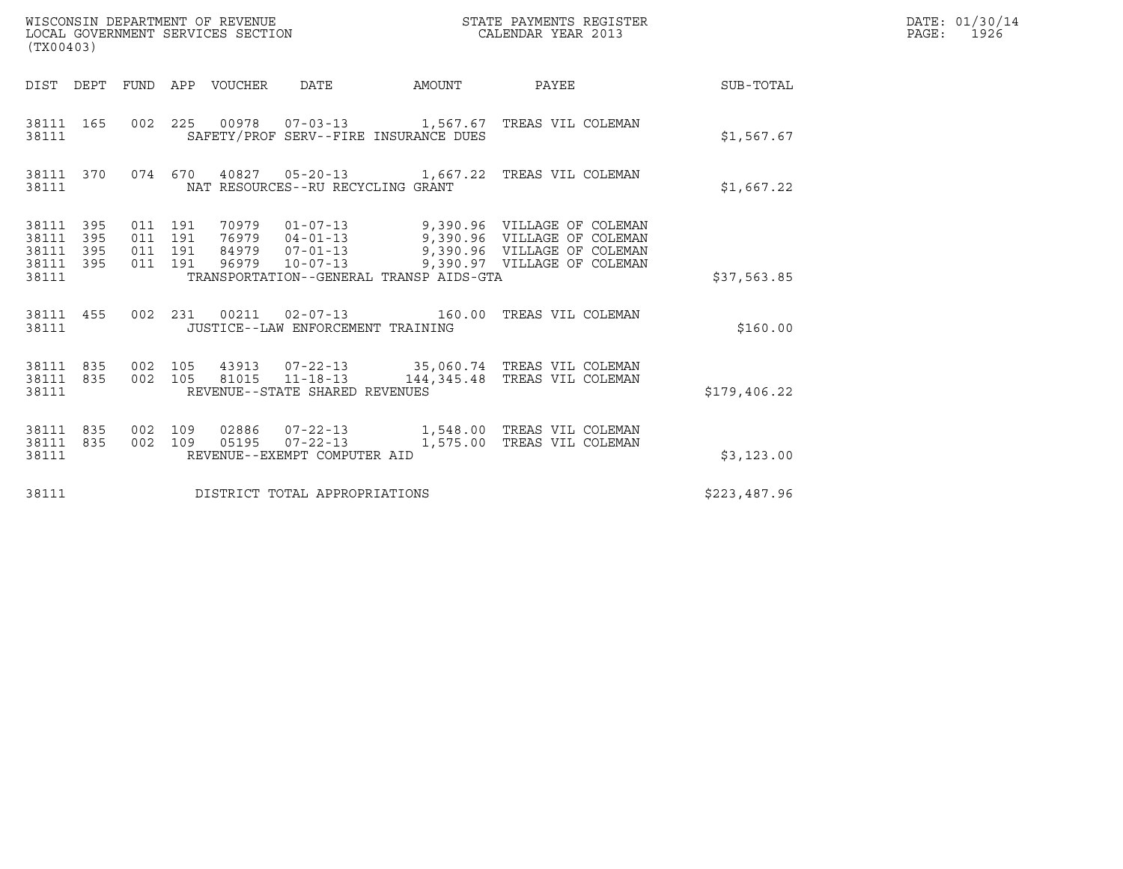| (TX00403)                                                       | WISCONSIN DEPARTMENT OF REVENUE<br>LOCAL GOVERNMENT SERVICES SECTION |                                   |                                         | STATE PAYMENTS REGISTER<br>CALENDAR YEAR 2013                                                                                                                                                    |              | DATE: 01/30/14<br>PAGE: 1926 |
|-----------------------------------------------------------------|----------------------------------------------------------------------|-----------------------------------|-----------------------------------------|--------------------------------------------------------------------------------------------------------------------------------------------------------------------------------------------------|--------------|------------------------------|
|                                                                 | DIST DEPT FUND APP VOUCHER DATE                                      |                                   |                                         | AMOUNT PAYEE SUB-TOTAL                                                                                                                                                                           |              |                              |
| 38111 165<br>38111                                              |                                                                      |                                   | SAFETY/PROF SERV--FIRE INSURANCE DUES   | 002  225  00978  07-03-13  1,567.67  TREAS VIL COLEMAN                                                                                                                                           | \$1,567.67   |                              |
| 38111                                                           |                                                                      | NAT RESOURCES--RU RECYCLING GRANT |                                         | 38111 370 074 670 40827 05-20-13 1,667.22 TREAS VIL COLEMAN                                                                                                                                      | \$1,667.22   |                              |
| 38111 395<br>38111<br>395<br>395<br>38111<br>38111 395<br>38111 | 011 191<br>011 191<br>011 191<br>011 191                             |                                   | TRANSPORTATION--GENERAL TRANSP AIDS-GTA | 70979  01-07-13  9,390.96  VILLAGE OF COLEMAN<br>76979  04-01-13  9,390.96  VILLAGE OF COLEMAN<br>84979  07-01-13  9,390.96  VILLAGE OF COLEMAN<br>96979  10-07-13  9,390.97  VILLAGE OF COLEMAN | \$37,563.85  |                              |
| 38111 455<br>38111                                              |                                                                      | JUSTICE--LAW ENFORCEMENT TRAINING |                                         | 002 231 00211 02-07-13 160.00 TREAS VIL COLEMAN                                                                                                                                                  | \$160.00     |                              |
| 38111 835 002 105<br>38111 835<br>38111                         | 002 105                                                              | REVENUE--STATE SHARED REVENUES    |                                         | 43913  07-22-13  35,060.74  TREAS VIL COLEMAN<br>81015  11-18-13  144,345.48  TREAS VIL COLEMAN                                                                                                  | \$179,406.22 |                              |
| 38111 835<br>38111<br>835<br>38111                              | 002 109<br>002 109                                                   | REVENUE--EXEMPT COMPUTER AID      |                                         | 05195  07-22-13    1,575.00    TREAS VIL COLEMAN                                                                                                                                                 | \$3,123.00   |                              |
| 38111                                                           |                                                                      | DISTRICT TOTAL APPROPRIATIONS     |                                         |                                                                                                                                                                                                  | \$223,487.96 |                              |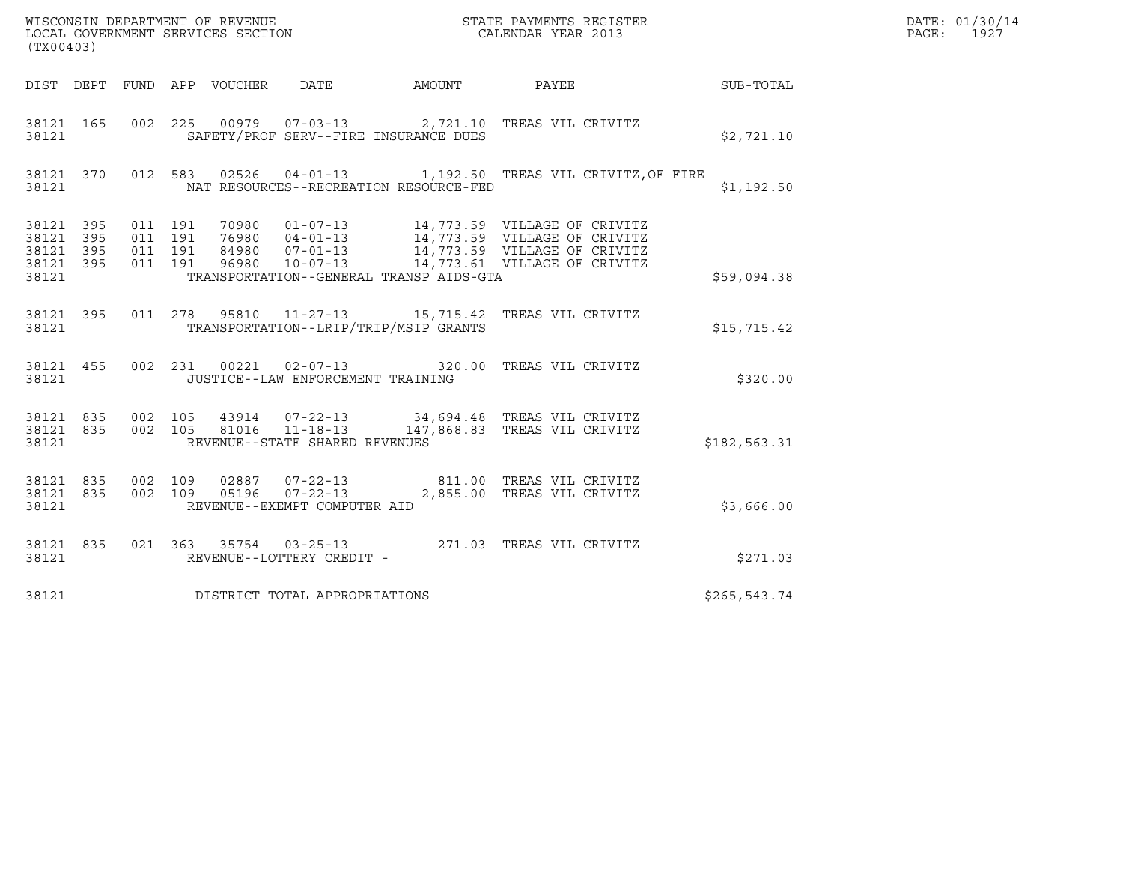| (TX00403)                                                         |  |                               |  |                                 |                                                          |                                         |                                                                                                                                                                                                      | DATE: 01/30/14<br>PAGE: 1927 |  |
|-------------------------------------------------------------------|--|-------------------------------|--|---------------------------------|----------------------------------------------------------|-----------------------------------------|------------------------------------------------------------------------------------------------------------------------------------------------------------------------------------------------------|------------------------------|--|
|                                                                   |  |                               |  | DIST DEPT FUND APP VOUCHER DATE |                                                          |                                         | AMOUNT PAYEE SUB-TOTAL                                                                                                                                                                               |                              |  |
| 38121                                                             |  |                               |  |                                 |                                                          | SAFETY/PROF SERV--FIRE INSURANCE DUES   | 38121 165 002 225 00979 07-03-13 2,721.10 TREAS VIL CRIVITZ                                                                                                                                          | \$2,721.10                   |  |
| 38121                                                             |  |                               |  |                                 |                                                          | NAT RESOURCES--RECREATION RESOURCE-FED  | 38121 370 012 583 02526 04-01-13 1,192.50 TREAS VIL CRIVITZ, OF FIRE                                                                                                                                 | \$1,192.50                   |  |
| 38121 395 011 191<br>38121 395<br>38121 395<br>38121 395<br>38121 |  | 011 191<br>011 191<br>011 191 |  |                                 |                                                          | TRANSPORTATION--GENERAL TRANSP AIDS-GTA | 70980  01-07-13  14,773.59  VILLAGE OF CRIVITZ<br>76980  04-01-13  14,773.59  VILLAGE OF CRIVITZ<br>84980  07-01-13  14,773.59  VILLAGE OF CRIVITZ<br>96980  10-07-13  14,773.61  VILLAGE OF CRIVITZ | \$59,094.38                  |  |
| 38121                                                             |  |                               |  |                                 |                                                          | TRANSPORTATION--LRIP/TRIP/MSIP GRANTS   | 38121 395 011 278 95810 11-27-13 15,715.42 TREAS VIL CRIVITZ                                                                                                                                         | \$15,715.42                  |  |
| 38121                                                             |  |                               |  |                                 | JUSTICE--LAW ENFORCEMENT TRAINING                        |                                         | 38121 455 002 231 00221 02-07-13 320.00 TREAS VIL CRIVITZ                                                                                                                                            | \$320.00                     |  |
| 38121 835<br>38121                                                |  |                               |  |                                 | 002 105 81016 11-18-13<br>REVENUE--STATE SHARED REVENUES |                                         | 38121 835 002 105 43914 07-22-13 34,694.48 TREAS VIL CRIVITZ<br>147,868.83 TREAS VIL CRIVITZ                                                                                                         | \$182,563.31                 |  |
| 38121 835<br>38121 835<br>38121                                   |  |                               |  |                                 | REVENUE--EXEMPT COMPUTER AID                             |                                         | 002 109 02887 07-22-13 811.00 TREAS VIL CRIVITZ<br>002 109 05196 07-22-13 2,855.00 TREAS VIL CRIVITZ                                                                                                 | \$3,666.00                   |  |
| 38121                                                             |  |                               |  |                                 | REVENUE--LOTTERY CREDIT -                                |                                         | 38121 835 021 363 35754 03-25-13 271.03 TREAS VIL CRIVITZ                                                                                                                                            | \$271.03                     |  |
| 38121                                                             |  |                               |  |                                 | DISTRICT TOTAL APPROPRIATIONS                            |                                         |                                                                                                                                                                                                      | \$265,543.74                 |  |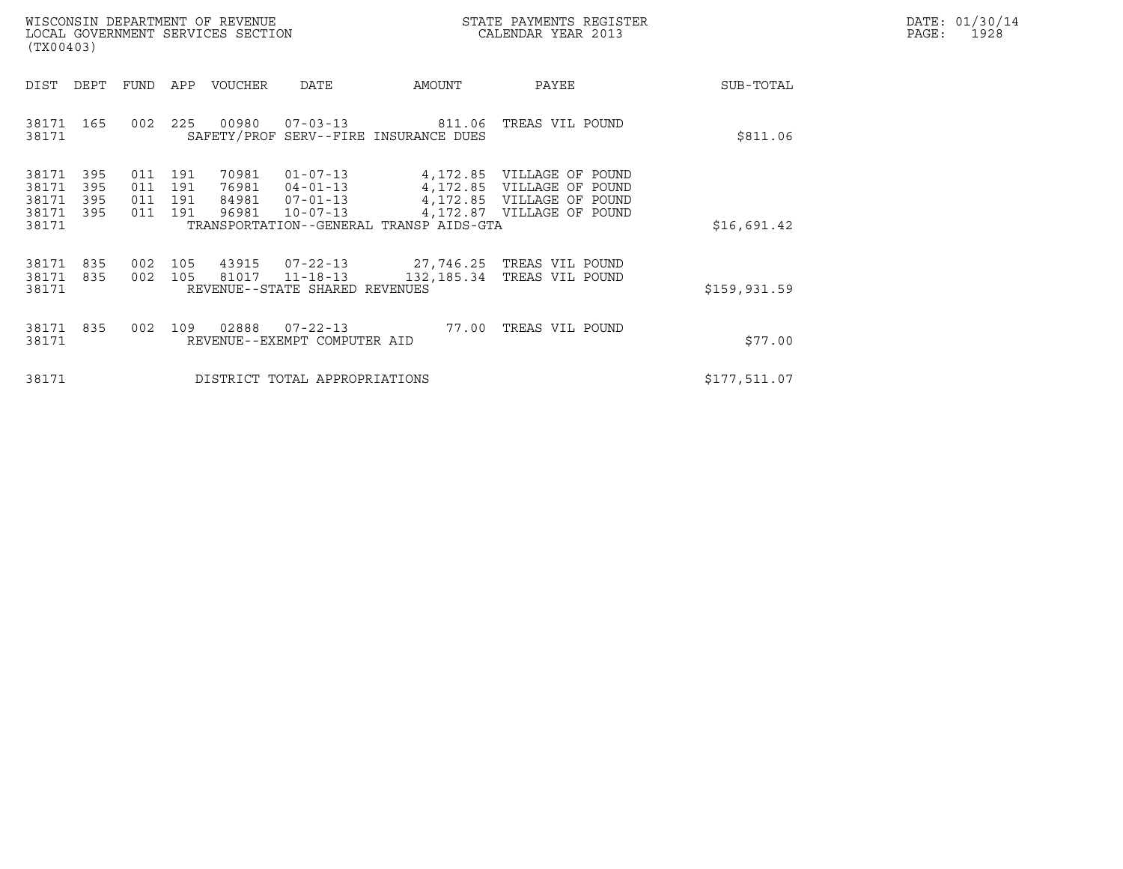|       | DATE: 01/30/14 |
|-------|----------------|
| PAGE: | 1928           |

|                                           | WISCONSIN DEPARTMENT OF REVENUE<br>STATE PAYMENTS REGISTER<br>LOCAL GOVERNMENT SERVICES SECTION<br>CALENDAR YEAR 2013<br>(TX00403) |                              |                   |                                  |                                                                      |                                                                |                                                                                                                  |              | DATE: 01/30/14<br>PAGE: 1928 |
|-------------------------------------------|------------------------------------------------------------------------------------------------------------------------------------|------------------------------|-------------------|----------------------------------|----------------------------------------------------------------------|----------------------------------------------------------------|------------------------------------------------------------------------------------------------------------------|--------------|------------------------------|
| DIST                                      | DEPT                                                                                                                               | FUND                         |                   | APP VOUCHER                      | DATE                                                                 | AMOUNT                                                         | PAYEE                                                                                                            | SUB-TOTAL    |                              |
| 38171 165<br>38171                        |                                                                                                                                    | 002                          | 225               | 00980                            |                                                                      | $07 - 03 - 13$ 811.06<br>SAFETY/PROF SERV--FIRE INSURANCE DUES | TREAS VIL POUND                                                                                                  | \$811.06     |                              |
| 38171<br>38171<br>38171<br>38171<br>38171 | 395<br>395<br>395<br>395                                                                                                           | 011 191<br>011<br>011<br>011 | 191<br>191<br>191 | 70981<br>76981<br>84981<br>96981 | $01 - 07 - 13$<br>$04 - 01 - 13$<br>$07 - 01 - 13$<br>$10 - 07 - 13$ | TRANSPORTATION--GENERAL TRANSP AIDS-GTA                        | 4,172.85 VILLAGE OF POUND<br>4,172.85 VILLAGE OF POUND<br>4,172.85 VILLAGE OF POUND<br>4,172.87 VILLAGE OF POUND | \$16,691.42  |                              |
| 38171 835<br>38171<br>38171               | 835                                                                                                                                | 002                          | 002 105           | 105 43915<br>81017               | $11 - 18 - 13$<br>REVENUE--STATE SHARED REVENUES                     | 132,185.34                                                     | 07-22-13 27,746.25 TREAS VIL POUND<br>TREAS VIL POUND                                                            | \$159,931.59 |                              |
| 38171<br>38171                            | 835                                                                                                                                | 002                          | 109               | 02888                            | $07 - 22 - 13$<br>REVENUE--EXEMPT COMPUTER AID                       |                                                                | 77.00 TREAS VIL POUND                                                                                            | \$77.00      |                              |
| 38171                                     |                                                                                                                                    |                              |                   |                                  | DISTRICT TOTAL APPROPRIATIONS                                        |                                                                |                                                                                                                  | \$177,511.07 |                              |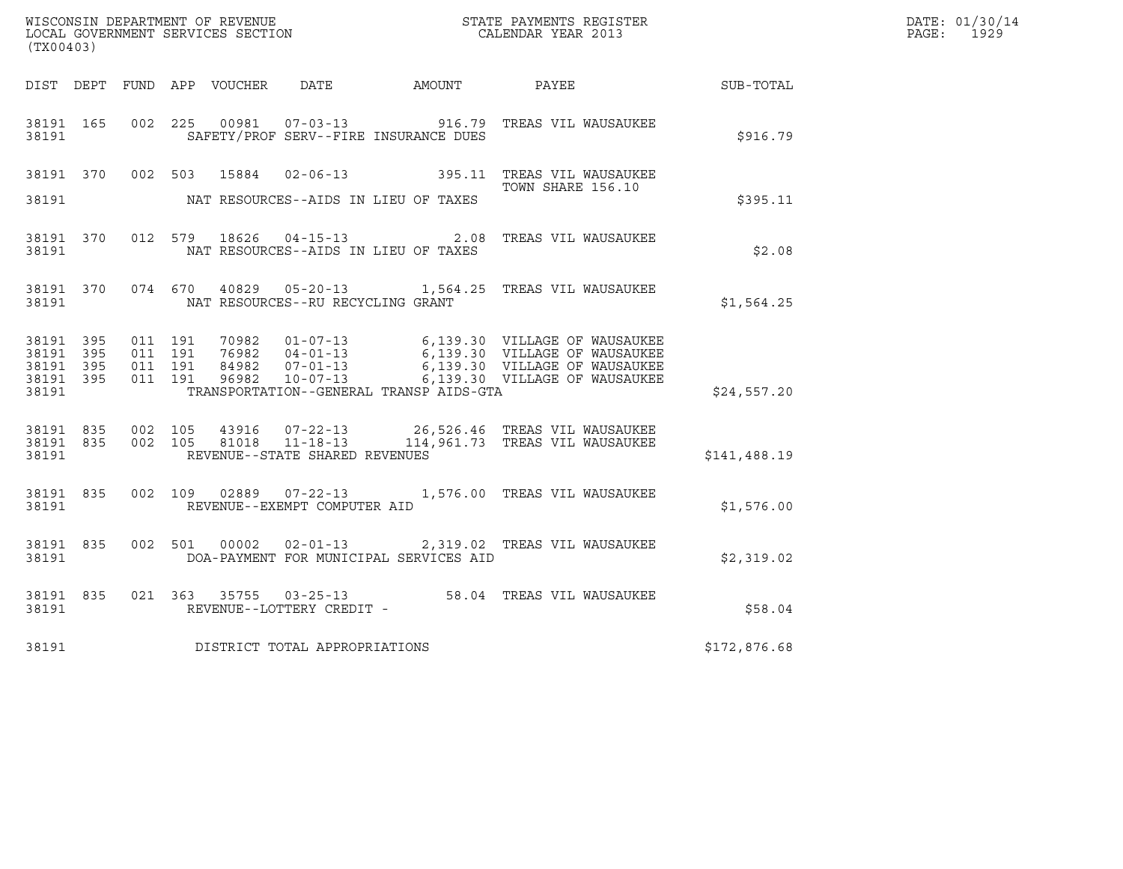| WISCONSIN DEPARTMENT OF REVENUE   | STATE PAYMENTS REGISTER | DATE: 01/30/14 |
|-----------------------------------|-------------------------|----------------|
| LOCAL GOVERNMENT SERVICES SECTION | CALENDAR YEAR 2013      | 1929<br>PAGE : |

| (TX00403)                                                 |  |  |                                         |                                            | WISCONSIN DEPARTMENT OF REVENUE<br>LOCAL GOVERNMENT SERVICES SECTION<br>CALENDAR YEAR 2013                                                                                                                                   | $\mathbb{E} \mathbf{R}$ | DATE: 01/30/14<br>PAGE: 1929 |
|-----------------------------------------------------------|--|--|-----------------------------------------|--------------------------------------------|------------------------------------------------------------------------------------------------------------------------------------------------------------------------------------------------------------------------------|-------------------------|------------------------------|
|                                                           |  |  |                                         |                                            | DIST DEPT FUND APP VOUCHER DATE AMOUNT PAYEE                                                                                                                                                                                 | SUB-TOTAL               |                              |
| 38191                                                     |  |  |                                         | SAFETY/PROF SERV--FIRE INSURANCE DUES      | 38191 165 002 225 00981 07-03-13 916.79 TREAS VIL WAUSAUKEE                                                                                                                                                                  | \$916.79                |                              |
|                                                           |  |  |                                         |                                            | 38191 370 002 503 15884 02-06-13 395.11 TREAS VIL WAUSAUKEE<br>TOWN SHARE 156.10                                                                                                                                             |                         |                              |
|                                                           |  |  |                                         | 38191 MAT RESOURCES--AIDS IN LIEU OF TAXES |                                                                                                                                                                                                                              | \$395.11                |                              |
|                                                           |  |  |                                         |                                            | 38191 370 012 579 18626 04-15-13 2.08 TREAS VIL WAUSAUKEE                                                                                                                                                                    | \$2.08                  |                              |
|                                                           |  |  | 38191 NAT RESOURCES--RU RECYCLING GRANT |                                            | 38191 370 074 670 40829 05-20-13 1,564.25 TREAS VIL WAUSAUKEE                                                                                                                                                                | \$1,564.25              |                              |
| 38191 395<br>38191 395<br>38191 395<br>38191 395<br>38191 |  |  |                                         | TRANSPORTATION--GENERAL TRANSP AIDS-GTA    | 011 191 70982 01-07-13 6,139.30 VILLAGE OF WAUSAUKEE<br>011 191 76982 04-01-13 6,139.30 VILLAGE OF WAUSAUKEE<br>011 191 84982 07-01-13 6,139.30 VILLAGE OF WAUSAUKEE<br>011 191 96982 10-07-13 6,139.30 VILLAGE OF WAUSAUKEE | \$24,557.20             |                              |
|                                                           |  |  | 38191 REVENUE--STATE SHARED REVENUES    |                                            | 38191 835 002 105 43916 07-22-13 26,526.46 TREAS VIL WAUSAUKEE<br>38191 835 002 105 81018 11-18-13 114,961.73 TREAS VIL WAUSAUKEE                                                                                            | \$141,488.19            |                              |
|                                                           |  |  | 38191 REVENUE--EXEMPT COMPUTER AID      |                                            | 38191 835 002 109 02889 07-22-13 1,576.00 TREAS VIL WAUSAUKEE                                                                                                                                                                | \$1,576.00              |                              |
| 38191                                                     |  |  |                                         | DOA-PAYMENT FOR MUNICIPAL SERVICES AID     | 38191 835 002 501 00002 02-01-13 2,319.02 TREAS VIL WAUSAUKEE                                                                                                                                                                | \$2,319.02              |                              |
|                                                           |  |  |                                         |                                            | $\begin{tabular}{lllllll} 38191 & 835 & 021 & 363 & 35755 & 03-25-13 & & 58.04 & TREAS VIL WAUSAUKEE \\ & & & & & & \\ & & & & & \\ \hline \end{tabular}$                                                                    | \$58.04                 |                              |
|                                                           |  |  | 38191 DISTRICT TOTAL APPROPRIATIONS     |                                            |                                                                                                                                                                                                                              | \$172,876.68            |                              |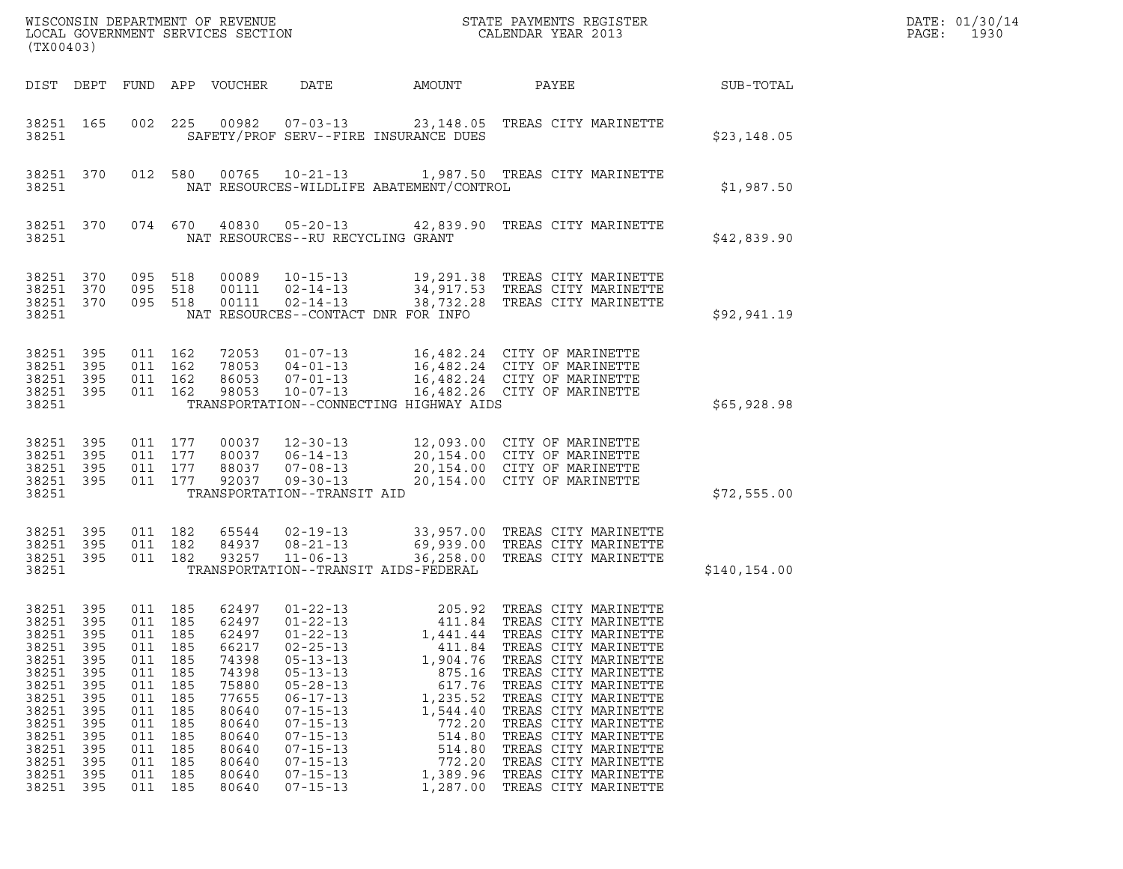| (TX00403)                                                                                                                               |                                                                                                  |                                                                                             |                                                                                                        | WISCONSIN DEPARTMENT OF REVENUE<br>LOCAL GOVERNMENT SERVICES SECTION                                                                |                                                                                                                                                                                                                                                                            |                                                                                                                                          | STATE PAYMENTS REGISTER<br>CALENDAR YEAR 2013                                                                                                                                                                                                                                                                                                                                        |               | DATE: 01/30/14<br>$\mathtt{PAGE}$ :<br>1930 |
|-----------------------------------------------------------------------------------------------------------------------------------------|--------------------------------------------------------------------------------------------------|---------------------------------------------------------------------------------------------|--------------------------------------------------------------------------------------------------------|-------------------------------------------------------------------------------------------------------------------------------------|----------------------------------------------------------------------------------------------------------------------------------------------------------------------------------------------------------------------------------------------------------------------------|------------------------------------------------------------------------------------------------------------------------------------------|--------------------------------------------------------------------------------------------------------------------------------------------------------------------------------------------------------------------------------------------------------------------------------------------------------------------------------------------------------------------------------------|---------------|---------------------------------------------|
| DIST DEPT                                                                                                                               |                                                                                                  |                                                                                             |                                                                                                        | FUND APP VOUCHER                                                                                                                    | DATE                                                                                                                                                                                                                                                                       | AMOUNT                                                                                                                                   | PAYEE                                                                                                                                                                                                                                                                                                                                                                                | SUB-TOTAL     |                                             |
| 38251 165<br>38251                                                                                                                      |                                                                                                  | 002                                                                                         | 225                                                                                                    | 00982                                                                                                                               | $07 - 03 - 13$                                                                                                                                                                                                                                                             | SAFETY/PROF SERV--FIRE INSURANCE DUES                                                                                                    | 23,148.05 TREAS CITY MARINETTE                                                                                                                                                                                                                                                                                                                                                       | \$23,148.05   |                                             |
| 38251 370<br>38251                                                                                                                      |                                                                                                  |                                                                                             | 012 580                                                                                                | 00765                                                                                                                               | $10 - 21 - 13$                                                                                                                                                                                                                                                             | NAT RESOURCES-WILDLIFE ABATEMENT/CONTROL                                                                                                 | 1,987.50 TREAS CITY MARINETTE                                                                                                                                                                                                                                                                                                                                                        | \$1,987.50    |                                             |
| 38251 370<br>38251                                                                                                                      |                                                                                                  |                                                                                             | 074 670                                                                                                | 40830                                                                                                                               | $05 - 20 - 13$<br>NAT RESOURCES--RU RECYCLING GRANT                                                                                                                                                                                                                        |                                                                                                                                          | 42,839.90 TREAS CITY MARINETTE                                                                                                                                                                                                                                                                                                                                                       | \$42,839.90   |                                             |
| 38251 370<br>38251<br>38251 370<br>38251                                                                                                | 370                                                                                              | 095 518<br>095                                                                              | 518<br>095 518                                                                                         | 00089<br>00111<br>00111                                                                                                             | $10 - 15 - 13$<br>$02 - 14 - 13$<br>$02 - 14 - 13$                                                                                                                                                                                                                         | NAT RESOURCES--CONTACT DNR FOR INFO                                                                                                      | 19,291.38 TREAS CITY MARINETTE<br>34,917.53 TREAS CITY MARINETTE<br>38,732.28 TREAS CITY MARINETTE                                                                                                                                                                                                                                                                                   | \$92,941.19   |                                             |
| 38251 395<br>38251<br>38251 395<br>38251 395<br>38251                                                                                   | 395                                                                                              |                                                                                             | 011 162<br>011 162<br>011 162<br>011 162                                                               | 72053<br>78053<br>86053<br>98053                                                                                                    | $01 - 07 - 13$<br>$04 - 01 - 13$<br>$07 - 01 - 13$<br>$10 - 07 - 13$                                                                                                                                                                                                       | TRANSPORTATION--CONNECTING HIGHWAY AIDS                                                                                                  | 16,482.24 CITY OF MARINETTE<br>16,482.24 CITY OF MARINETTE<br>16,482.24 CITY OF MARINETTE<br>16,482.26 CITY OF MARINETTE                                                                                                                                                                                                                                                             | \$65,928.98   |                                             |
| 38251<br>38251<br>38251<br>38251 395<br>38251                                                                                           | 395<br>395<br>395                                                                                |                                                                                             | 011 177<br>011 177<br>011 177<br>011 177                                                               | 00037<br>80037<br>88037<br>92037                                                                                                    | $12 - 30 - 13$<br>$06 - 14 - 13$<br>$07 - 08 - 13$<br>$09 - 30 - 13$<br>TRANSPORTATION--TRANSIT AID                                                                                                                                                                        |                                                                                                                                          | 12,093.00 CITY OF MARINETTE<br>20,154.00 CITY OF MARINETTE<br>20,154.00 CITY OF MARINETTE<br>20,154.00 CITY OF MARINETTE                                                                                                                                                                                                                                                             | \$72,555.00   |                                             |
| 38251 395<br>38251<br>38251 395<br>38251                                                                                                | 395                                                                                              |                                                                                             | 011 182<br>011 182<br>011 182                                                                          | 65544<br>84937<br>93257                                                                                                             | $02 - 19 - 13$<br>$08 - 21 - 13$<br>$11 - 06 - 13$                                                                                                                                                                                                                         | TRANSPORTATION--TRANSIT AIDS-FEDERAL                                                                                                     | 33,957.00 TREAS CITY MARINETTE<br>69,939.00 TREAS CITY MARINETTE<br>36,258.00 TREAS CITY MARINETTE                                                                                                                                                                                                                                                                                   | \$140, 154.00 |                                             |
| 38251 395<br>38251<br>38251<br>38251<br>38251<br>38251<br>38251<br>38251<br>38251<br>38251<br>38251<br>38251<br>38251<br>38251<br>38251 | 395<br>395<br>395<br>395<br>395<br>395<br>395<br>395<br>395<br>395<br>395<br>395<br>395<br>- 395 | 011<br>011<br>011<br>011<br>011<br>011<br>011<br>011<br>011<br>011<br>011<br>011<br>011 185 | 011 185<br>185<br>185<br>185<br>185<br>185<br>185<br>185<br>185<br>185<br>185<br>185<br>185<br>011 185 | 62497<br>62497<br>62497<br>66217<br>74398<br>74398<br>75880<br>77655<br>80640<br>80640<br>80640<br>80640<br>80640<br>80640<br>80640 | $01 - 22 - 13$<br>$01 - 22 - 13$<br>$01 - 22 - 13$<br>$02 - 25 - 13$<br>$05 - 13 - 13$<br>$05 - 13 - 13$<br>$05 - 28 - 13$<br>$06 - 17 - 13$<br>$07 - 15 - 13$<br>$07 - 15 - 13$<br>$07 - 15 - 13$<br>$07 - 15 - 13$<br>$07 - 15 - 13$<br>$07 - 15 - 13$<br>$07 - 15 - 13$ | 411.84<br>1,441.44<br>411.84<br>1,904.76<br>875.16<br>617.76<br>1,235.52<br>1,544.40<br>772.20<br>514.80<br>514.80<br>772.20<br>1,389.96 | 205.92 TREAS CITY MARINETTE<br>TREAS CITY MARINETTE<br>TREAS CITY MARINETTE<br>TREAS CITY MARINETTE<br>TREAS CITY MARINETTE<br>TREAS CITY MARINETTE<br>TREAS CITY MARINETTE<br>TREAS CITY MARINETTE<br>TREAS CITY MARINETTE<br>TREAS CITY MARINETTE<br>TREAS CITY MARINETTE<br>TREAS CITY MARINETTE<br>TREAS CITY MARINETTE<br>TREAS CITY MARINETTE<br>1,287.00 TREAS CITY MARINETTE |               |                                             |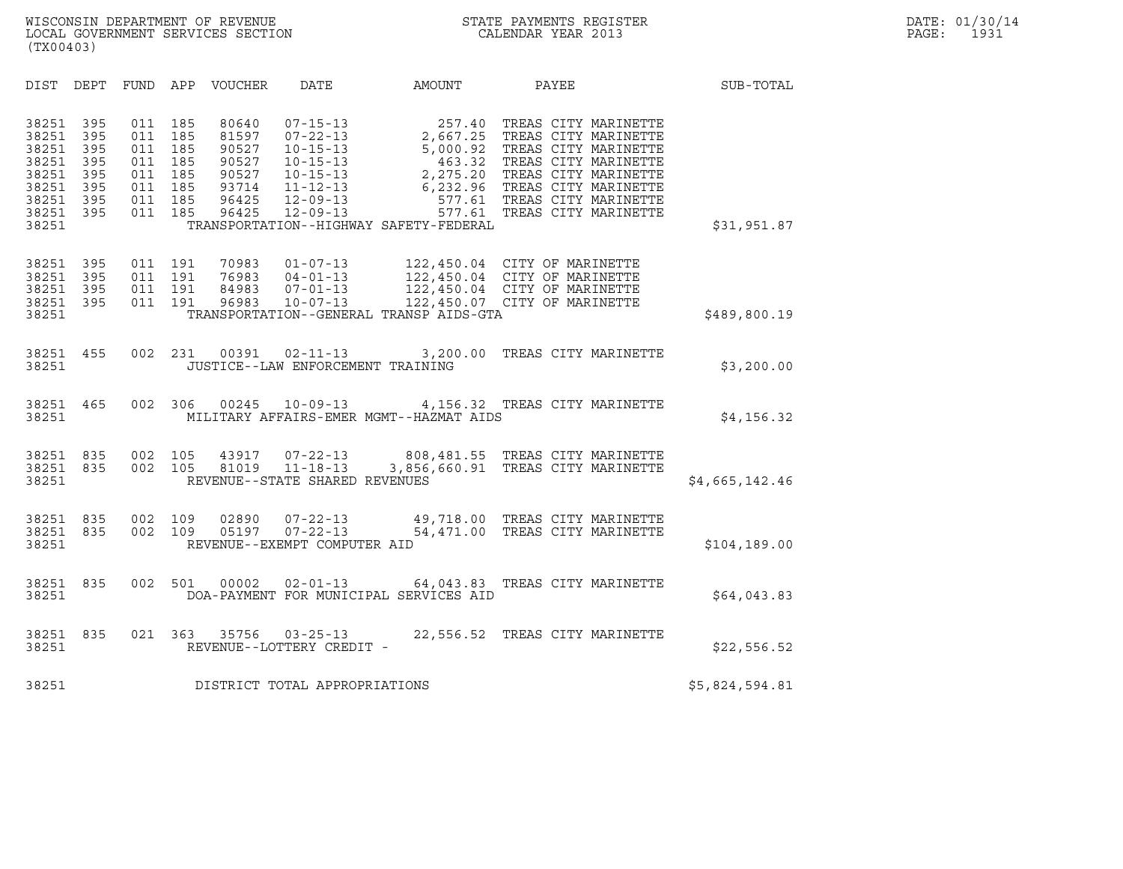| (TX00403)                                                                     |                                                      |                                                      |                                                      |                                                                      |                                                                                                                                              |                                                                          |                                                                                                                                                                                                                                     |                |  |
|-------------------------------------------------------------------------------|------------------------------------------------------|------------------------------------------------------|------------------------------------------------------|----------------------------------------------------------------------|----------------------------------------------------------------------------------------------------------------------------------------------|--------------------------------------------------------------------------|-------------------------------------------------------------------------------------------------------------------------------------------------------------------------------------------------------------------------------------|----------------|--|
| DIST                                                                          | <b>DEPT</b>                                          | <b>FUND</b>                                          | APP                                                  | VOUCHER                                                              | DATE                                                                                                                                         | AMOUNT                                                                   | PAYEE                                                                                                                                                                                                                               | SUB-TOTAL      |  |
| 38251<br>38251<br>38251<br>38251<br>38251<br>38251<br>38251<br>38251<br>38251 | 395<br>395<br>395<br>395<br>395<br>395<br>395<br>395 | 011<br>011<br>011<br>011<br>011<br>011<br>011<br>011 | 185<br>185<br>185<br>185<br>185<br>185<br>185<br>185 | 80640<br>81597<br>90527<br>90527<br>90527<br>93714<br>96425<br>96425 | $07 - 15 - 13$<br>$07 - 22 - 13$<br>$10 - 15 - 13$<br>$10 - 15 - 13$<br>$10 - 15 - 13$<br>$11 - 12 - 13$<br>$12 - 09 - 13$<br>$12 - 09 - 13$ | 5,000.92<br>463.32<br>2,275.20<br>TRANSPORTATION--HIGHWAY SAFETY-FEDERAL | 257.40 TREAS CITY MARINETTE<br>2,667.25 TREAS CITY MARINETTE<br>TREAS CITY MARINETTE<br>TREAS CITY MARINETTE<br>TREAS CITY MARINETTE<br>6,232.96 TREAS CITY MARINETTE<br>577.61 TREAS CITY MARINETTE<br>577.61 TREAS CITY MARINETTE | \$31,951.87    |  |
| 38251<br>38251<br>38251<br>38251<br>38251                                     | 395<br>395<br>395<br>395                             | 011<br>011<br>011<br>011                             | 191<br>191<br>191<br>191                             | 70983<br>76983<br>84983<br>96983                                     | $01 - 07 - 13$<br>$04 - 01 - 13$<br>$07 - 01 - 13$<br>$10 - 07 - 13$                                                                         | TRANSPORTATION--GENERAL TRANSP AIDS-GTA                                  | 122,450.04 CITY OF MARINETTE<br>122,450.04 CITY OF MARINETTE<br>122,450.04 CITY OF MARINETTE<br>122,450.07 CITY OF MARINETTE                                                                                                        | \$489,800.19   |  |
| 38251<br>38251                                                                | 455                                                  | 002                                                  | 231                                                  | 00391                                                                | $02 - 11 - 13$<br>JUSTICE--LAW ENFORCEMENT TRAINING                                                                                          | 3,200.00                                                                 | TREAS CITY MARINETTE                                                                                                                                                                                                                | \$3,200.00     |  |
| 38251<br>38251                                                                | 465                                                  | 002                                                  | 306                                                  | 00245                                                                | $10 - 09 - 13$                                                                                                                               | MILITARY AFFAIRS-EMER MGMT--HAZMAT AIDS                                  | 4, 156.32 TREAS CITY MARINETTE                                                                                                                                                                                                      | \$4,156.32     |  |
| 38251<br>38251<br>38251                                                       | 835<br>835                                           | 002<br>002                                           | 105<br>105                                           | 43917<br>81019                                                       | $07 - 22 - 13$<br>$11 - 18 - 13$<br>REVENUE--STATE SHARED REVENUES                                                                           |                                                                          | 808,481.55 TREAS CITY MARINETTE<br>3,856,660.91 TREAS CITY MARINETTE                                                                                                                                                                | \$4,665,142.46 |  |
| 38251<br>38251<br>38251                                                       | 835<br>835                                           | 002<br>002                                           | 109<br>109                                           | 02890<br>05197                                                       | $07 - 22 - 13$<br>$07 - 22 - 13$<br>REVENUE--EXEMPT COMPUTER AID                                                                             | 54,471.00                                                                | 49,718.00 TREAS CITY MARINETTE<br>TREAS CITY MARINETTE                                                                                                                                                                              | \$104,189.00   |  |
| 38251<br>38251                                                                | 835                                                  | 002                                                  | 501                                                  | 00002                                                                | $02 - 01 - 13$                                                                                                                               | 64,043.83<br>DOA-PAYMENT FOR MUNICIPAL SERVICES AID                      | TREAS CITY MARINETTE                                                                                                                                                                                                                | \$64,043.83    |  |
| 38251<br>38251                                                                | 835                                                  | 021                                                  | 363                                                  | 35756                                                                | $03 - 25 - 13$<br>REVENUE--LOTTERY CREDIT -                                                                                                  | 22,556.52                                                                | TREAS CITY MARINETTE                                                                                                                                                                                                                | \$22,556.52    |  |
| 38251                                                                         |                                                      |                                                      |                                                      |                                                                      | DISTRICT TOTAL APPROPRIATIONS                                                                                                                |                                                                          |                                                                                                                                                                                                                                     | \$5,824,594.81 |  |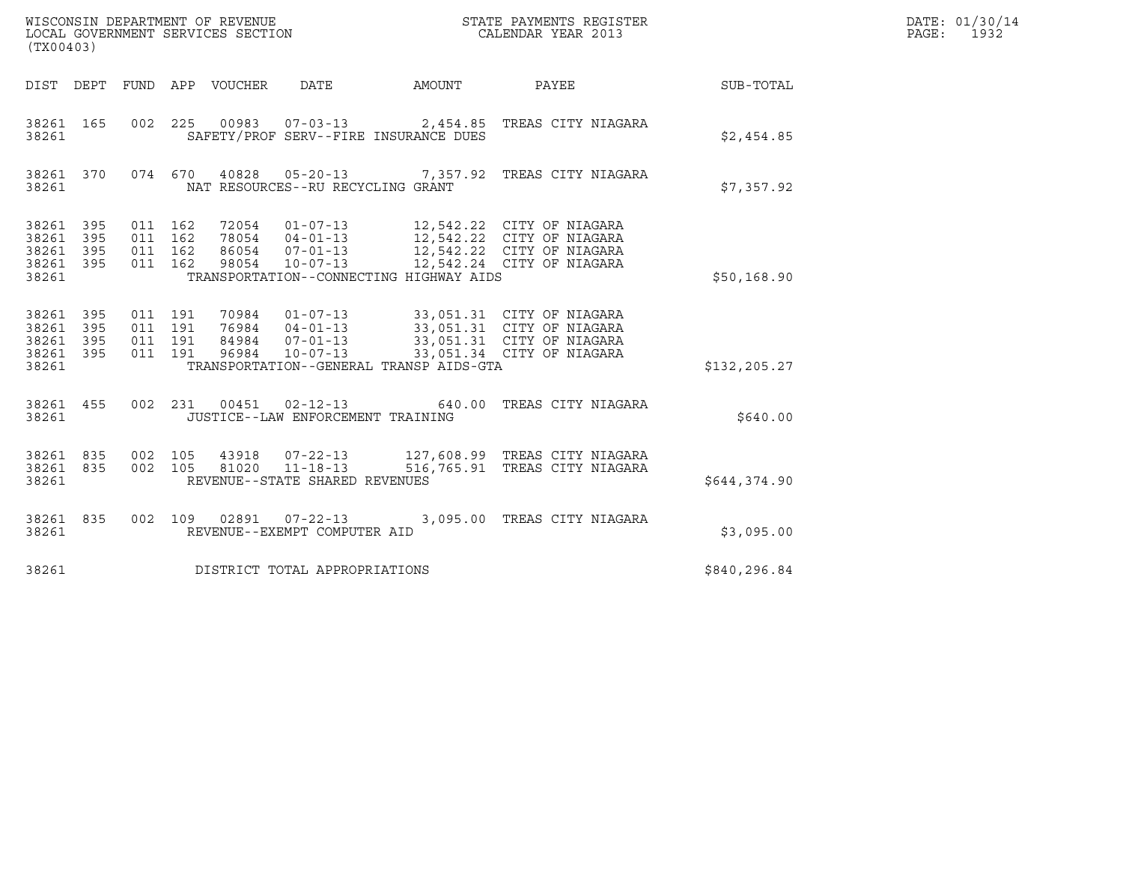| (TX00403)                                     |                               |                               |                               |                                 | WISCONSIN DEPARTMENT OF REVENUE<br>LOCAL GOVERNMENT SERVICES SECTION       |                                         | STATE PAYMENTS REGISTER<br>CALENDAR YEAR 2013                                                                                                                                                           |              | DATE: 01/30/14<br>PAGE: 1932 |
|-----------------------------------------------|-------------------------------|-------------------------------|-------------------------------|---------------------------------|----------------------------------------------------------------------------|-----------------------------------------|---------------------------------------------------------------------------------------------------------------------------------------------------------------------------------------------------------|--------------|------------------------------|
|                                               |                               |                               |                               | DIST DEPT FUND APP VOUCHER DATE |                                                                            | AMOUNT                                  | <b>PAYEE</b>                                                                                                                                                                                            | SUB-TOTAL    |                              |
| 38261 165<br>38261                            |                               |                               |                               |                                 |                                                                            | SAFETY/PROF SERV--FIRE INSURANCE DUES   | 002 225 00983 07-03-13 2,454.85 TREAS CITY NIAGARA                                                                                                                                                      | \$2,454.85   |                              |
| 38261                                         | 38261 370                     |                               |                               |                                 | NAT RESOURCES--RU RECYCLING GRANT                                          |                                         | 074 670 40828 05-20-13 7,357.92 TREAS CITY NIAGARA                                                                                                                                                      | \$7,357.92   |                              |
| 38261<br>38261<br>38261<br>38261<br>38261     | 395<br>395<br>395<br>395      | 011 162<br>011 162<br>011 162 | 011 162                       | 98054                           |                                                                            | TRANSPORTATION--CONNECTING HIGHWAY AIDS | 72054  01-07-13  12,542.22  CITY OF NIAGARA<br>78054  04-01-13  12,542.22  CITY OF NIAGARA<br>86054  07-01-13  12,542.22  CITY OF NIAGARA<br>10-07-13 12,542.24 CITY OF NIAGARA                         | \$50,168.90  |                              |
| 38261<br>38261<br>38261<br>38261 395<br>38261 | 395<br>395<br>395             | 011 191                       | 011 191<br>011 191<br>011 191 |                                 |                                                                            | TRANSPORTATION--GENERAL TRANSP AIDS-GTA | 70984   01-07-13   33,051.31   CITY   OF NIAGARA<br>76984   04-01-13   33,051.31   CITY   OF NIAGARA<br>84984   07-01-13   33,051.31   CITY   OF NIAGARA<br>96984  10-07-13  33,051.34  CITY OF NIAGARA | \$132,205.27 |                              |
| 38261 455<br>38261                            |                               |                               |                               |                                 | JUSTICE--LAW ENFORCEMENT TRAINING                                          |                                         | 002 231 00451 02-12-13 640.00 TREAS CITY NIAGARA                                                                                                                                                        | \$640.00     |                              |
| 38261 835<br>38261 835<br>38261               |                               |                               | 002 105                       |                                 | 43918 07-22-13<br>002 105 81020 11-18-13<br>REVENUE--STATE SHARED REVENUES |                                         | 127,608.99 TREAS CITY NIAGARA<br>516,765.91 TREAS CITY NIAGARA                                                                                                                                          | \$644,374.90 |                              |
| 38261 835<br>38261                            |                               |                               |                               |                                 | REVENUE--EXEMPT COMPUTER AID                                               |                                         | 002 109 02891 07-22-13 3,095.00 TREAS CITY NIAGARA                                                                                                                                                      | \$3,095.00   |                              |
| 38261                                         | DISTRICT TOTAL APPROPRIATIONS |                               |                               |                                 |                                                                            |                                         |                                                                                                                                                                                                         |              |                              |